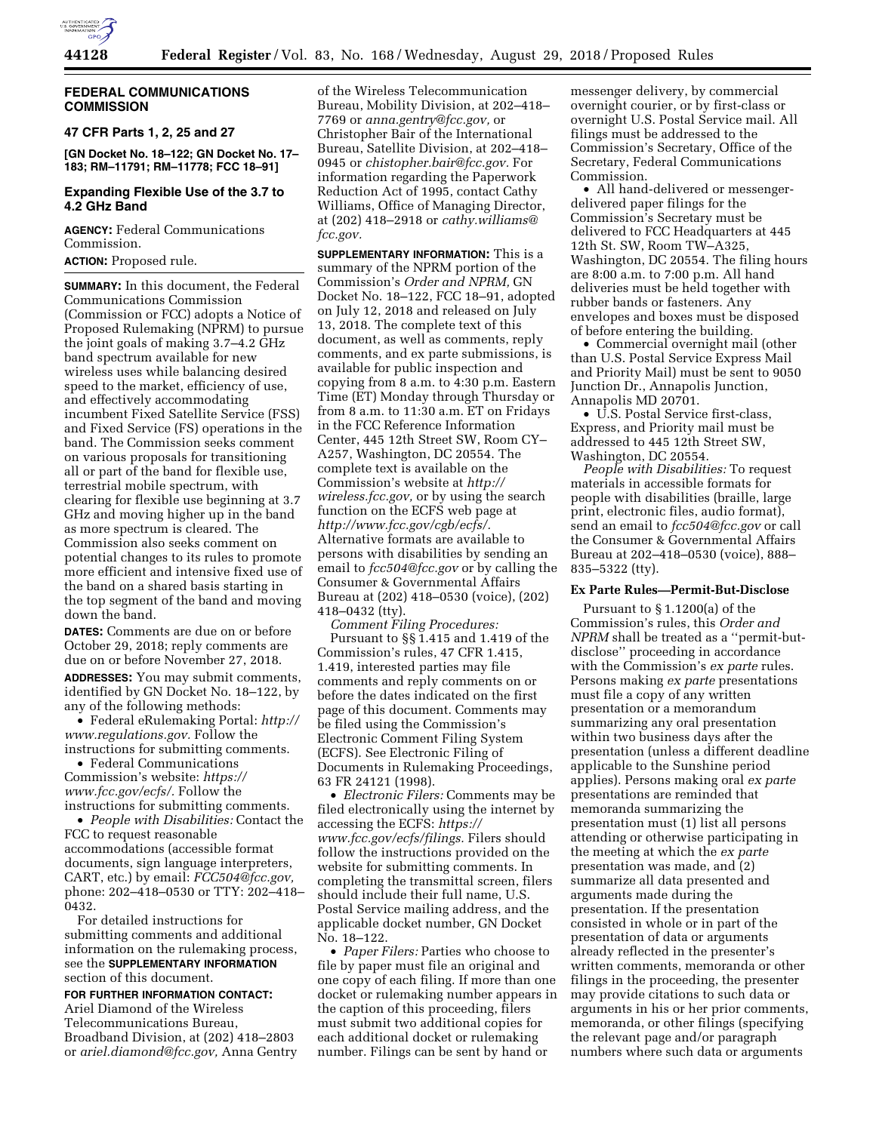

## **FEDERAL COMMUNICATIONS COMMISSION**

# **47 CFR Parts 1, 2, 25 and 27**

**[GN Docket No. 18–122; GN Docket No. 17– 183; RM–11791; RM–11778; FCC 18–91]** 

## **Expanding Flexible Use of the 3.7 to 4.2 GHz Band**

**AGENCY:** Federal Communications Commission.

**ACTION:** Proposed rule.

**SUMMARY:** In this document, the Federal Communications Commission (Commission or FCC) adopts a Notice of Proposed Rulemaking (NPRM) to pursue the joint goals of making 3.7–4.2 GHz band spectrum available for new wireless uses while balancing desired speed to the market, efficiency of use, and effectively accommodating incumbent Fixed Satellite Service (FSS) and Fixed Service (FS) operations in the band. The Commission seeks comment on various proposals for transitioning all or part of the band for flexible use, terrestrial mobile spectrum, with clearing for flexible use beginning at 3.7 GHz and moving higher up in the band as more spectrum is cleared. The Commission also seeks comment on potential changes to its rules to promote more efficient and intensive fixed use of the band on a shared basis starting in the top segment of the band and moving down the band.

**DATES:** Comments are due on or before October 29, 2018; reply comments are due on or before November 27, 2018. **ADDRESSES:** You may submit comments, identified by GN Docket No. 18–122, by any of the following methods:

• Federal eRulemaking Portal: *[http://](http://www.regulations.gov) [www.regulations.gov.](http://www.regulations.gov)* Follow the instructions for submitting comments.

• Federal Communications Commission's website: *[https://](https://www.fcc.gov/ecfs/) [www.fcc.gov/ecfs/.](https://www.fcc.gov/ecfs/)* Follow the instructions for submitting comments.

• *People with Disabilities:* Contact the FCC to request reasonable accommodations (accessible format documents, sign language interpreters, CART, etc.) by email: *[FCC504@fcc.gov,](mailto:FCC504@fcc.gov)*  phone: 202–418–0530 or TTY: 202–418– 0432.

For detailed instructions for submitting comments and additional information on the rulemaking process, see the **SUPPLEMENTARY INFORMATION** section of this document.

**FOR FURTHER INFORMATION CONTACT:**  Ariel Diamond of the Wireless Telecommunications Bureau, Broadband Division, at (202) 418–2803 or *[ariel.diamond@fcc.gov,](mailto:ariel.diamond@fcc.gov)* Anna Gentry

of the Wireless Telecommunication Bureau, Mobility Division, at 202–418– 7769 or *[anna.gentry@fcc.gov,](mailto:anna.gentry@fcc.gov)* or Christopher Bair of the International Bureau, Satellite Division, at 202–418– 0945 or *[chistopher.bair@fcc.gov.](mailto:chistopher.bair@fcc.gov)* For information regarding the Paperwork Reduction Act of 1995, contact Cathy Williams, Office of Managing Director, at (202) 418–2918 or *[cathy.williams@](mailto:cathy.williams@fcc.gov) [fcc.gov.](mailto:cathy.williams@fcc.gov)* 

**SUPPLEMENTARY INFORMATION:** This is a summary of the NPRM portion of the Commission's *Order and NPRM,* GN Docket No. 18–122, FCC 18–91, adopted on July 12, 2018 and released on July 13, 2018. The complete text of this document, as well as comments, reply comments, and ex parte submissions, is available for public inspection and copying from 8 a.m. to 4:30 p.m. Eastern Time (ET) Monday through Thursday or from 8 a.m. to 11:30 a.m. ET on Fridays in the FCC Reference Information Center, 445 12th Street SW, Room CY– A257, Washington, DC 20554. The complete text is available on the Commission's website at *[http://](http://wireless.fcc.gov) [wireless.fcc.gov,](http://wireless.fcc.gov)* or by using the search function on the ECFS web page at *[http://www.fcc.gov/cgb/ecfs/.](http://www.fcc.gov/cgb/ecfs/)*  Alternative formats are available to persons with disabilities by sending an email to *[fcc504@fcc.gov](mailto:fcc504@fcc.gov)* or by calling the Consumer & Governmental Affairs Bureau at (202) 418–0530 (voice), (202) 418–0432 (tty).

*Comment Filing Procedures:*  Pursuant to §§ 1.415 and 1.419 of the Commission's rules, 47 CFR 1.415, 1.419, interested parties may file comments and reply comments on or before the dates indicated on the first page of this document. Comments may be filed using the Commission's Electronic Comment Filing System (ECFS). See Electronic Filing of Documents in Rulemaking Proceedings, 63 FR 24121 (1998).

• *Electronic Filers:* Comments may be filed electronically using the internet by accessing the ECFS: *[https://](https://www.fcc.gov/ecfs/filings) [www.fcc.gov/ecfs/filings.](https://www.fcc.gov/ecfs/filings)* Filers should follow the instructions provided on the website for submitting comments. In completing the transmittal screen, filers should include their full name, U.S. Postal Service mailing address, and the applicable docket number, GN Docket No. 18–122.

• *Paper Filers:* Parties who choose to file by paper must file an original and one copy of each filing. If more than one docket or rulemaking number appears in the caption of this proceeding, filers must submit two additional copies for each additional docket or rulemaking number. Filings can be sent by hand or

messenger delivery, by commercial overnight courier, or by first-class or overnight U.S. Postal Service mail. All filings must be addressed to the Commission's Secretary, Office of the Secretary, Federal Communications Commission.

• All hand-delivered or messengerdelivered paper filings for the Commission's Secretary must be delivered to FCC Headquarters at 445 12th St. SW, Room TW–A325, Washington, DC 20554. The filing hours are 8:00 a.m. to 7:00 p.m. All hand deliveries must be held together with rubber bands or fasteners. Any envelopes and boxes must be disposed of before entering the building.

• Commercial overnight mail (other than U.S. Postal Service Express Mail and Priority Mail) must be sent to 9050 Junction Dr., Annapolis Junction, Annapolis MD 20701.

• U.S. Postal Service first-class, Express, and Priority mail must be addressed to 445 12th Street SW, Washington, DC 20554.

*People with Disabilities:* To request materials in accessible formats for people with disabilities (braille, large print, electronic files, audio format), send an email to *[fcc504@fcc.gov](mailto:fcc504@fcc.gov)* or call the Consumer & Governmental Affairs Bureau at 202–418–0530 (voice), 888– 835–5322 (tty).

#### **Ex Parte Rules—Permit-But-Disclose**

Pursuant to § 1.1200(a) of the Commission's rules, this *Order and NPRM* shall be treated as a ''permit-butdisclose'' proceeding in accordance with the Commission's *ex parte* rules. Persons making *ex parte* presentations must file a copy of any written presentation or a memorandum summarizing any oral presentation within two business days after the presentation (unless a different deadline applicable to the Sunshine period applies). Persons making oral *ex parte*  presentations are reminded that memoranda summarizing the presentation must (1) list all persons attending or otherwise participating in the meeting at which the *ex parte*  presentation was made, and (2) summarize all data presented and arguments made during the presentation. If the presentation consisted in whole or in part of the presentation of data or arguments already reflected in the presenter's written comments, memoranda or other filings in the proceeding, the presenter may provide citations to such data or arguments in his or her prior comments, memoranda, or other filings (specifying the relevant page and/or paragraph numbers where such data or arguments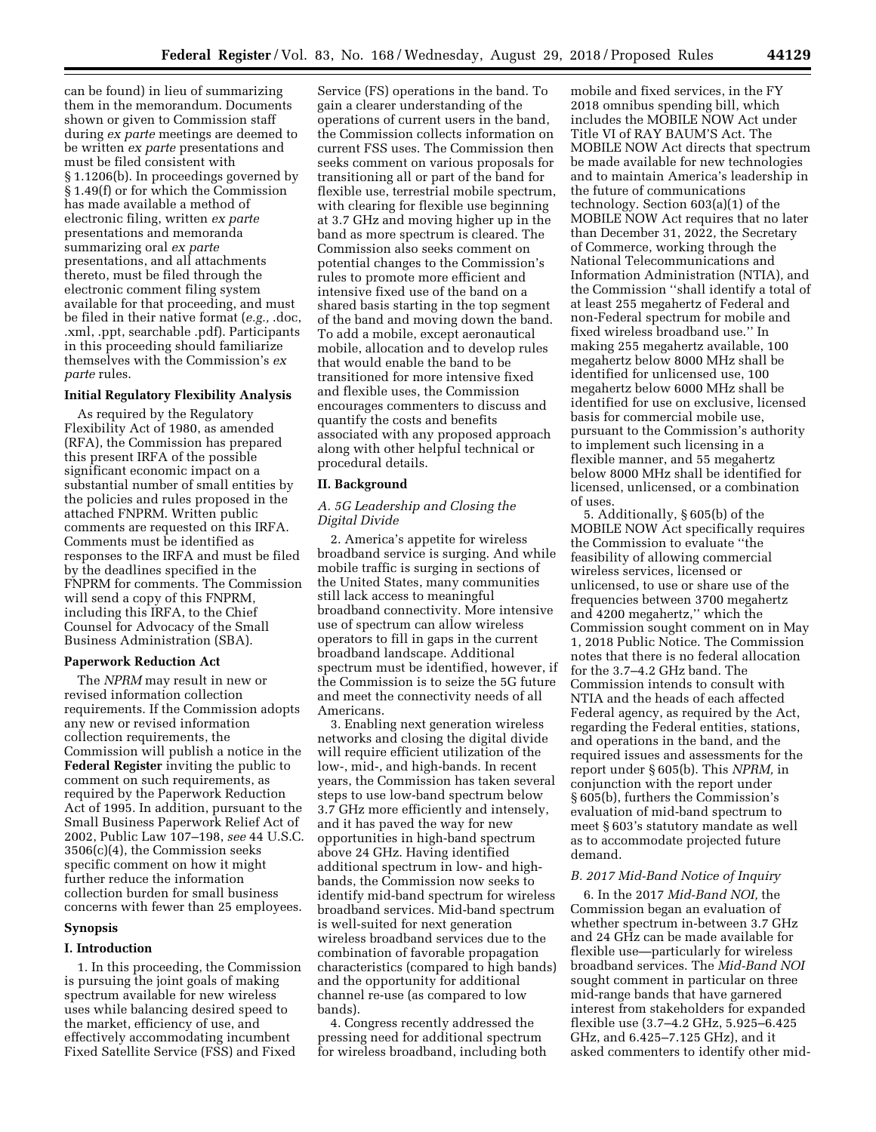can be found) in lieu of summarizing them in the memorandum. Documents shown or given to Commission staff during *ex parte* meetings are deemed to be written *ex parte* presentations and must be filed consistent with § 1.1206(b). In proceedings governed by § 1.49(f) or for which the Commission has made available a method of electronic filing, written *ex parte*  presentations and memoranda summarizing oral *ex parte*  presentations, and all attachments thereto, must be filed through the electronic comment filing system available for that proceeding, and must be filed in their native format (*e.g.,* .doc, .xml, .ppt, searchable .pdf). Participants in this proceeding should familiarize themselves with the Commission's *ex parte* rules.

## **Initial Regulatory Flexibility Analysis**

As required by the Regulatory Flexibility Act of 1980, as amended (RFA), the Commission has prepared this present IRFA of the possible significant economic impact on a substantial number of small entities by the policies and rules proposed in the attached FNPRM. Written public comments are requested on this IRFA. Comments must be identified as responses to the IRFA and must be filed by the deadlines specified in the FNPRM for comments. The Commission will send a copy of this FNPRM, including this IRFA, to the Chief Counsel for Advocacy of the Small Business Administration (SBA).

#### **Paperwork Reduction Act**

The *NPRM* may result in new or revised information collection requirements. If the Commission adopts any new or revised information collection requirements, the Commission will publish a notice in the **Federal Register** inviting the public to comment on such requirements, as required by the Paperwork Reduction Act of 1995. In addition, pursuant to the Small Business Paperwork Relief Act of 2002, Public Law 107–198, *see* 44 U.S.C. 3506(c)(4), the Commission seeks specific comment on how it might further reduce the information collection burden for small business concerns with fewer than 25 employees.

## **Synopsis**

### **I. Introduction**

1. In this proceeding, the Commission is pursuing the joint goals of making spectrum available for new wireless uses while balancing desired speed to the market, efficiency of use, and effectively accommodating incumbent Fixed Satellite Service (FSS) and Fixed

Service (FS) operations in the band. To gain a clearer understanding of the operations of current users in the band, the Commission collects information on current FSS uses. The Commission then seeks comment on various proposals for transitioning all or part of the band for flexible use, terrestrial mobile spectrum, with clearing for flexible use beginning at 3.7 GHz and moving higher up in the band as more spectrum is cleared. The Commission also seeks comment on potential changes to the Commission's rules to promote more efficient and intensive fixed use of the band on a shared basis starting in the top segment of the band and moving down the band. To add a mobile, except aeronautical mobile, allocation and to develop rules that would enable the band to be transitioned for more intensive fixed and flexible uses, the Commission encourages commenters to discuss and quantify the costs and benefits associated with any proposed approach along with other helpful technical or procedural details.

#### **II. Background**

## *A. 5G Leadership and Closing the Digital Divide*

2. America's appetite for wireless broadband service is surging. And while mobile traffic is surging in sections of the United States, many communities still lack access to meaningful broadband connectivity. More intensive use of spectrum can allow wireless operators to fill in gaps in the current broadband landscape. Additional spectrum must be identified, however, if the Commission is to seize the 5G future and meet the connectivity needs of all Americans.

3. Enabling next generation wireless networks and closing the digital divide will require efficient utilization of the low-, mid-, and high-bands. In recent years, the Commission has taken several steps to use low-band spectrum below 3.7 GHz more efficiently and intensely, and it has paved the way for new opportunities in high-band spectrum above 24 GHz. Having identified additional spectrum in low- and highbands, the Commission now seeks to identify mid-band spectrum for wireless broadband services. Mid-band spectrum is well-suited for next generation wireless broadband services due to the combination of favorable propagation characteristics (compared to high bands) and the opportunity for additional channel re-use (as compared to low bands).

4. Congress recently addressed the pressing need for additional spectrum for wireless broadband, including both

mobile and fixed services, in the FY 2018 omnibus spending bill, which includes the MOBILE NOW Act under Title VI of RAY BAUM'S Act. The MOBILE NOW Act directs that spectrum be made available for new technologies and to maintain America's leadership in the future of communications technology. Section 603(a)(1) of the MOBILE NOW Act requires that no later than December 31, 2022, the Secretary of Commerce, working through the National Telecommunications and Information Administration (NTIA), and the Commission ''shall identify a total of at least 255 megahertz of Federal and non-Federal spectrum for mobile and fixed wireless broadband use.'' In making 255 megahertz available, 100 megahertz below 8000 MHz shall be identified for unlicensed use, 100 megahertz below 6000 MHz shall be identified for use on exclusive, licensed basis for commercial mobile use, pursuant to the Commission's authority to implement such licensing in a flexible manner, and 55 megahertz below 8000 MHz shall be identified for licensed, unlicensed, or a combination of uses.

5. Additionally, § 605(b) of the MOBILE NOW Act specifically requires the Commission to evaluate ''the feasibility of allowing commercial wireless services, licensed or unlicensed, to use or share use of the frequencies between 3700 megahertz and 4200 megahertz,'' which the Commission sought comment on in May 1, 2018 Public Notice. The Commission notes that there is no federal allocation for the 3.7–4.2 GHz band. The Commission intends to consult with NTIA and the heads of each affected Federal agency, as required by the Act, regarding the Federal entities, stations, and operations in the band, and the required issues and assessments for the report under § 605(b). This *NPRM,* in conjunction with the report under § 605(b), furthers the Commission's evaluation of mid-band spectrum to meet § 603's statutory mandate as well as to accommodate projected future demand.

#### *B. 2017 Mid-Band Notice of Inquiry*

6. In the 2017 *Mid-Band NOI,* the Commission began an evaluation of whether spectrum in-between 3.7 GHz and 24 GHz can be made available for flexible use—particularly for wireless broadband services. The *Mid-Band NOI*  sought comment in particular on three mid-range bands that have garnered interest from stakeholders for expanded flexible use (3.7–4.2 GHz, 5.925–6.425 GHz, and 6.425–7.125 GHz), and it asked commenters to identify other mid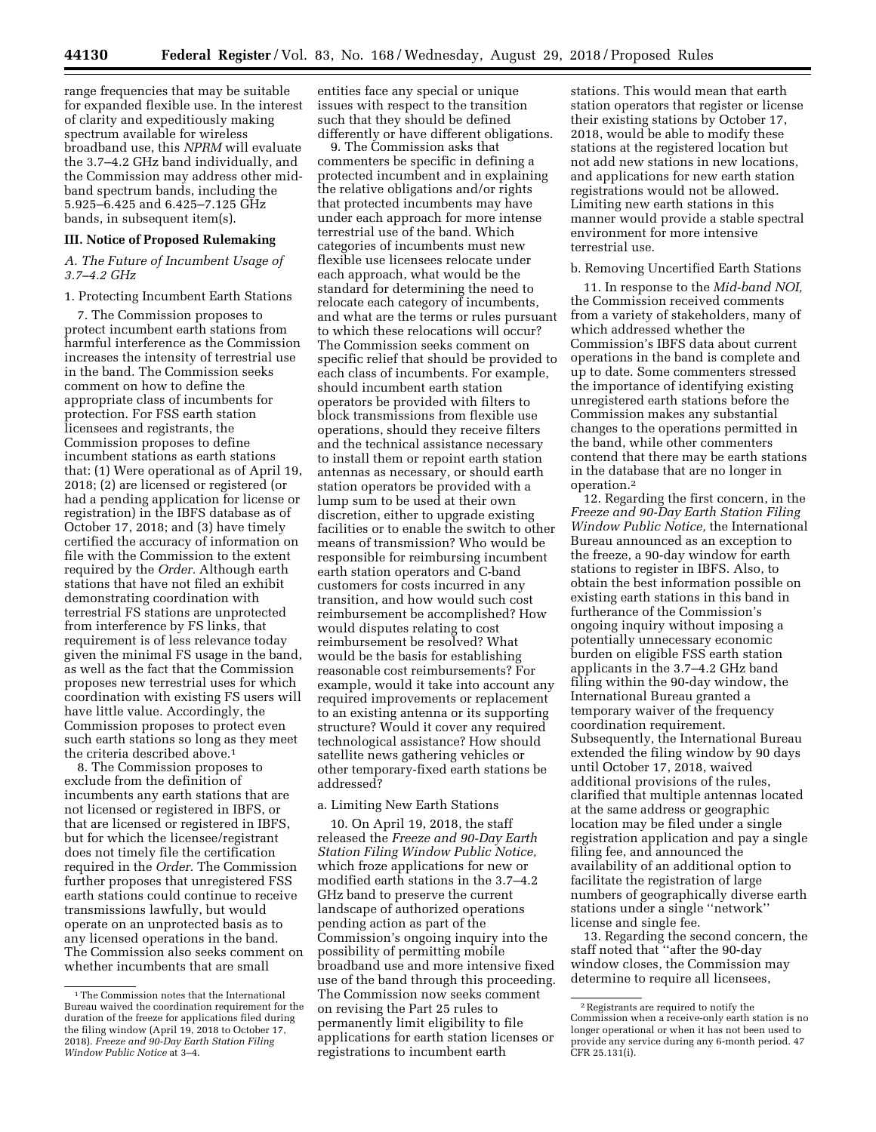**44130 Federal Register** / Vol. 83, No. 168 / Wednesday, August 29, 2018 / Proposed Rules

range frequencies that may be suitable for expanded flexible use. In the interest of clarity and expeditiously making spectrum available for wireless broadband use, this *NPRM* will evaluate the 3.7–4.2 GHz band individually, and the Commission may address other midband spectrum bands, including the 5.925–6.425 and 6.425–7.125 GHz bands, in subsequent item(s).

#### **III. Notice of Proposed Rulemaking**

#### *A. The Future of Incumbent Usage of 3.7–4.2 GHz*

#### 1. Protecting Incumbent Earth Stations

7. The Commission proposes to protect incumbent earth stations from harmful interference as the Commission increases the intensity of terrestrial use in the band. The Commission seeks comment on how to define the appropriate class of incumbents for protection. For FSS earth station licensees and registrants, the Commission proposes to define incumbent stations as earth stations that: (1) Were operational as of April 19, 2018; (2) are licensed or registered (or had a pending application for license or registration) in the IBFS database as of October 17, 2018; and (3) have timely certified the accuracy of information on file with the Commission to the extent required by the *Order.* Although earth stations that have not filed an exhibit demonstrating coordination with terrestrial FS stations are unprotected from interference by FS links, that requirement is of less relevance today given the minimal FS usage in the band, as well as the fact that the Commission proposes new terrestrial uses for which coordination with existing FS users will have little value. Accordingly, the Commission proposes to protect even such earth stations so long as they meet the criteria described above.<sup>1</sup>

8. The Commission proposes to exclude from the definition of incumbents any earth stations that are not licensed or registered in IBFS, or that are licensed or registered in IBFS, but for which the licensee/registrant does not timely file the certification required in the *Order.* The Commission further proposes that unregistered FSS earth stations could continue to receive transmissions lawfully, but would operate on an unprotected basis as to any licensed operations in the band. The Commission also seeks comment on whether incumbents that are small

entities face any special or unique issues with respect to the transition such that they should be defined differently or have different obligations.

9. The Commission asks that commenters be specific in defining a protected incumbent and in explaining the relative obligations and/or rights that protected incumbents may have under each approach for more intense terrestrial use of the band. Which categories of incumbents must new flexible use licensees relocate under each approach, what would be the standard for determining the need to relocate each category of incumbents, and what are the terms or rules pursuant to which these relocations will occur? The Commission seeks comment on specific relief that should be provided to each class of incumbents. For example, should incumbent earth station operators be provided with filters to block transmissions from flexible use operations, should they receive filters and the technical assistance necessary to install them or repoint earth station antennas as necessary, or should earth station operators be provided with a lump sum to be used at their own discretion, either to upgrade existing facilities or to enable the switch to other means of transmission? Who would be responsible for reimbursing incumbent earth station operators and C-band customers for costs incurred in any transition, and how would such cost reimbursement be accomplished? How would disputes relating to cost reimbursement be resolved? What would be the basis for establishing reasonable cost reimbursements? For example, would it take into account any required improvements or replacement to an existing antenna or its supporting structure? Would it cover any required technological assistance? How should satellite news gathering vehicles or other temporary-fixed earth stations be addressed?

#### a. Limiting New Earth Stations

10. On April 19, 2018, the staff released the *Freeze and 90-Day Earth Station Filing Window Public Notice,*  which froze applications for new or modified earth stations in the 3.7–4.2 GHz band to preserve the current landscape of authorized operations pending action as part of the Commission's ongoing inquiry into the possibility of permitting mobile broadband use and more intensive fixed use of the band through this proceeding. The Commission now seeks comment on revising the Part 25 rules to permanently limit eligibility to file applications for earth station licenses or registrations to incumbent earth

stations. This would mean that earth station operators that register or license their existing stations by October 17, 2018, would be able to modify these stations at the registered location but not add new stations in new locations, and applications for new earth station registrations would not be allowed. Limiting new earth stations in this manner would provide a stable spectral environment for more intensive terrestrial use.

#### b. Removing Uncertified Earth Stations

11. In response to the *Mid-band NOI,*  the Commission received comments from a variety of stakeholders, many of which addressed whether the Commission's IBFS data about current operations in the band is complete and up to date. Some commenters stressed the importance of identifying existing unregistered earth stations before the Commission makes any substantial changes to the operations permitted in the band, while other commenters contend that there may be earth stations in the database that are no longer in operation.2

12. Regarding the first concern, in the *Freeze and 90-Day Earth Station Filing Window Public Notice,* the International Bureau announced as an exception to the freeze, a 90-day window for earth stations to register in IBFS. Also, to obtain the best information possible on existing earth stations in this band in furtherance of the Commission's ongoing inquiry without imposing a potentially unnecessary economic burden on eligible FSS earth station applicants in the 3.7–4.2 GHz band filing within the 90-day window, the International Bureau granted a temporary waiver of the frequency coordination requirement. Subsequently, the International Bureau extended the filing window by 90 days until October 17, 2018, waived additional provisions of the rules, clarified that multiple antennas located at the same address or geographic location may be filed under a single registration application and pay a single filing fee, and announced the availability of an additional option to facilitate the registration of large numbers of geographically diverse earth stations under a single ''network'' license and single fee.

13. Regarding the second concern, the staff noted that ''after the 90-day window closes, the Commission may determine to require all licensees,

<sup>&</sup>lt;sup>1</sup>The Commission notes that the International Bureau waived the coordination requirement for the duration of the freeze for applications filed during the filing window (April 19, 2018 to October 17, 2018). *Freeze and 90-Day Earth Station Filing Window Public Notice* at 3–4.

<sup>2</sup>Registrants are required to notify the Commission when a receive-only earth station is no longer operational or when it has not been used to provide any service during any 6-month period. 47  $CFR 25.131(i)$ .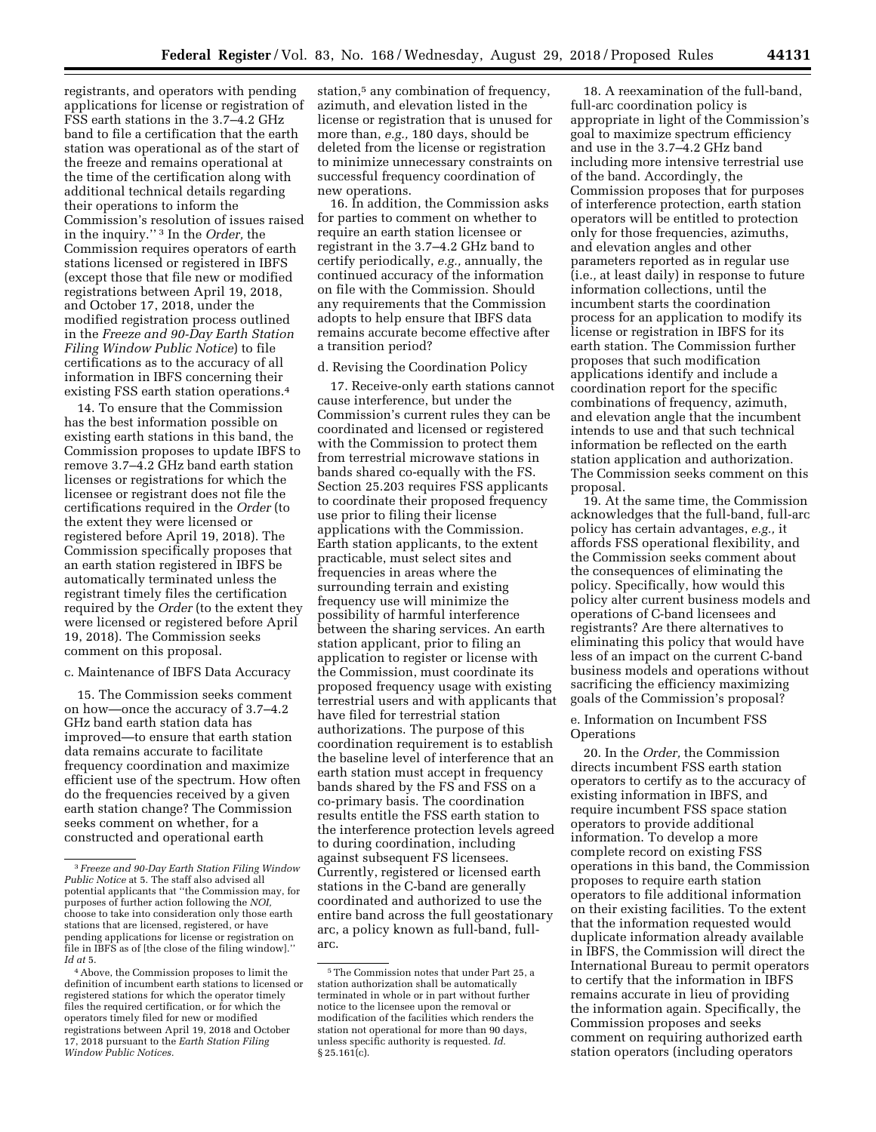registrants, and operators with pending applications for license or registration of FSS earth stations in the 3.7–4.2 GHz band to file a certification that the earth station was operational as of the start of the freeze and remains operational at the time of the certification along with additional technical details regarding their operations to inform the Commission's resolution of issues raised in the inquiry.'' 3 In the *Order,* the Commission requires operators of earth stations licensed or registered in IBFS (except those that file new or modified registrations between April 19, 2018, and October 17, 2018, under the modified registration process outlined in the *Freeze and 90-Day Earth Station Filing Window Public Notice*) to file certifications as to the accuracy of all information in IBFS concerning their existing FSS earth station operations.4

14. To ensure that the Commission has the best information possible on existing earth stations in this band, the Commission proposes to update IBFS to remove 3.7–4.2 GHz band earth station licenses or registrations for which the licensee or registrant does not file the certifications required in the *Order* (to the extent they were licensed or registered before April 19, 2018). The Commission specifically proposes that an earth station registered in IBFS be automatically terminated unless the registrant timely files the certification required by the *Order* (to the extent they were licensed or registered before April 19, 2018). The Commission seeks comment on this proposal.

#### c. Maintenance of IBFS Data Accuracy

15. The Commission seeks comment on how—once the accuracy of 3.7–4.2 GHz band earth station data has improved—to ensure that earth station data remains accurate to facilitate frequency coordination and maximize efficient use of the spectrum. How often do the frequencies received by a given earth station change? The Commission seeks comment on whether, for a constructed and operational earth

station,<sup>5</sup> any combination of frequency, azimuth, and elevation listed in the license or registration that is unused for more than, *e.g.,* 180 days, should be deleted from the license or registration to minimize unnecessary constraints on successful frequency coordination of new operations.

16. In addition, the Commission asks for parties to comment on whether to require an earth station licensee or registrant in the 3.7–4.2 GHz band to certify periodically, *e.g.,* annually, the continued accuracy of the information on file with the Commission. Should any requirements that the Commission adopts to help ensure that IBFS data remains accurate become effective after a transition period?

## d. Revising the Coordination Policy

17. Receive-only earth stations cannot cause interference, but under the Commission's current rules they can be coordinated and licensed or registered with the Commission to protect them from terrestrial microwave stations in bands shared co-equally with the FS. Section 25.203 requires FSS applicants to coordinate their proposed frequency use prior to filing their license applications with the Commission. Earth station applicants, to the extent practicable, must select sites and frequencies in areas where the surrounding terrain and existing frequency use will minimize the possibility of harmful interference between the sharing services. An earth station applicant, prior to filing an application to register or license with the Commission, must coordinate its proposed frequency usage with existing terrestrial users and with applicants that have filed for terrestrial station authorizations. The purpose of this coordination requirement is to establish the baseline level of interference that an earth station must accept in frequency bands shared by the FS and FSS on a co-primary basis. The coordination results entitle the FSS earth station to the interference protection levels agreed to during coordination, including against subsequent FS licensees. Currently, registered or licensed earth stations in the C-band are generally coordinated and authorized to use the entire band across the full geostationary arc, a policy known as full-band, fullarc.

18. A reexamination of the full-band, full-arc coordination policy is appropriate in light of the Commission's goal to maximize spectrum efficiency and use in the 3.7–4.2 GHz band including more intensive terrestrial use of the band. Accordingly, the Commission proposes that for purposes of interference protection, earth station operators will be entitled to protection only for those frequencies, azimuths, and elevation angles and other parameters reported as in regular use (i.e*.,* at least daily) in response to future information collections, until the incumbent starts the coordination process for an application to modify its license or registration in IBFS for its earth station. The Commission further proposes that such modification applications identify and include a coordination report for the specific combinations of frequency, azimuth, and elevation angle that the incumbent intends to use and that such technical information be reflected on the earth station application and authorization. The Commission seeks comment on this proposal.

19. At the same time, the Commission acknowledges that the full-band, full-arc policy has certain advantages, *e.g.,* it affords FSS operational flexibility, and the Commission seeks comment about the consequences of eliminating the policy. Specifically, how would this policy alter current business models and operations of C-band licensees and registrants? Are there alternatives to eliminating this policy that would have less of an impact on the current C-band business models and operations without sacrificing the efficiency maximizing goals of the Commission's proposal?

### e. Information on Incumbent FSS **Operations**

20. In the *Order,* the Commission directs incumbent FSS earth station operators to certify as to the accuracy of existing information in IBFS, and require incumbent FSS space station operators to provide additional information. To develop a more complete record on existing FSS operations in this band, the Commission proposes to require earth station operators to file additional information on their existing facilities. To the extent that the information requested would duplicate information already available in IBFS, the Commission will direct the International Bureau to permit operators to certify that the information in IBFS remains accurate in lieu of providing the information again. Specifically, the Commission proposes and seeks comment on requiring authorized earth station operators (including operators

<sup>3</sup> *Freeze and 90-Day Earth Station Filing Window Public Notice* at 5. The staff also advised all potential applicants that ''the Commission may, for purposes of further action following the *NOI,*  choose to take into consideration only those earth stations that are licensed, registered, or have pending applications for license or registration on file in IBFS as of [the close of the filing window].'' *Id at* 5.

<sup>4</sup>Above, the Commission proposes to limit the definition of incumbent earth stations to licensed or registered stations for which the operator timely files the required certification, or for which the operators timely filed for new or modified registrations between April 19, 2018 and October 17, 2018 pursuant to the *Earth Station Filing Window Public Notices.* 

<sup>5</sup>The Commission notes that under Part 25, a station authorization shall be automatically terminated in whole or in part without further notice to the licensee upon the removal or modification of the facilities which renders the station not operational for more than 90 days, unless specific authority is requested. *Id.*   $$25.161(c)$ .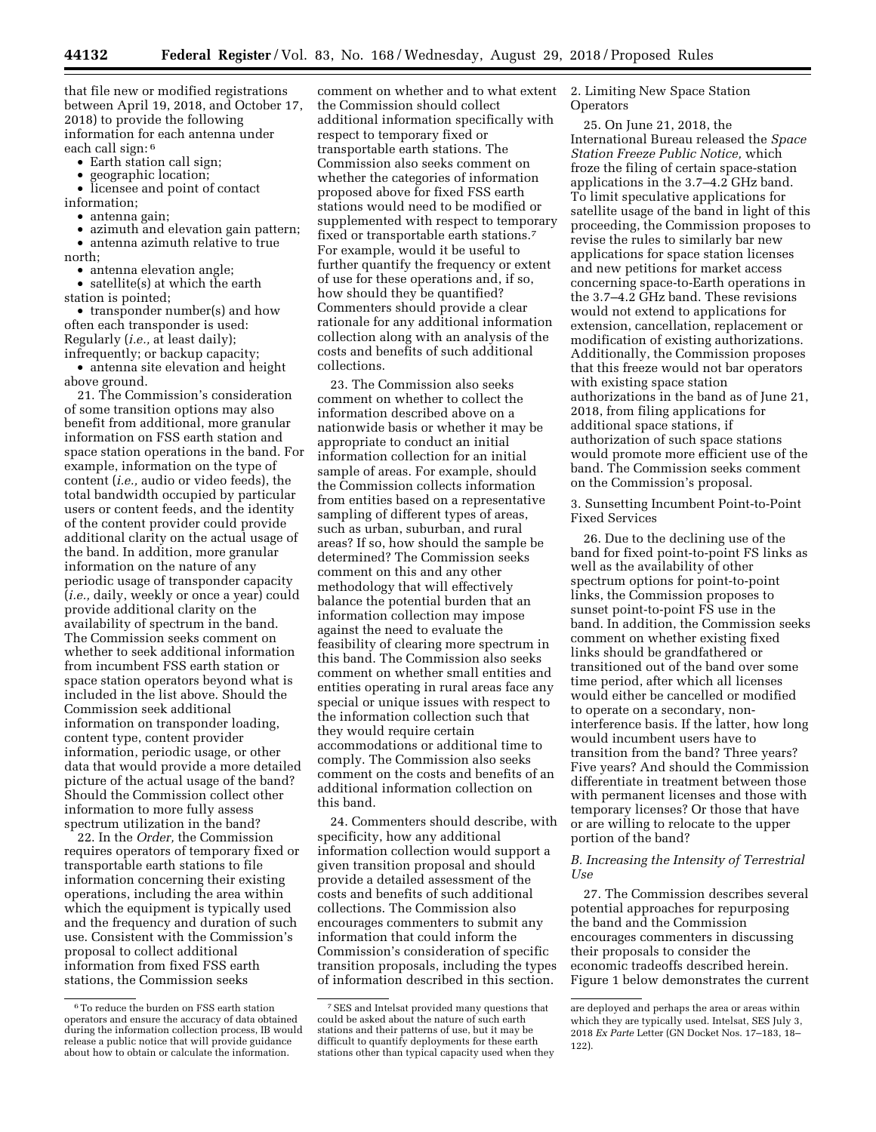that file new or modified registrations between April 19, 2018, and October 17, 2018) to provide the following information for each antenna under each call sign: 6

- Earth station call sign;
- geographic location;

licensee and point of contact information;

• antenna gain;

• azimuth and elevation gain pattern; • antenna azimuth relative to true

north;

• antenna elevation angle;

• satellite(s) at which the earth station is pointed;

• transponder number(s) and how often each transponder is used: Regularly (*i.e.,* at least daily); infrequently; or backup capacity;

• antenna site elevation and height above ground.

21. The Commission's consideration of some transition options may also benefit from additional, more granular information on FSS earth station and space station operations in the band. For example, information on the type of content (*i.e.,* audio or video feeds), the total bandwidth occupied by particular users or content feeds, and the identity of the content provider could provide additional clarity on the actual usage of the band. In addition, more granular information on the nature of any periodic usage of transponder capacity (*i.e.,* daily, weekly or once a year) could provide additional clarity on the availability of spectrum in the band. The Commission seeks comment on whether to seek additional information from incumbent FSS earth station or space station operators beyond what is included in the list above. Should the Commission seek additional information on transponder loading, content type, content provider information, periodic usage, or other data that would provide a more detailed picture of the actual usage of the band? Should the Commission collect other information to more fully assess spectrum utilization in the band?

22. In the *Order,* the Commission requires operators of temporary fixed or transportable earth stations to file information concerning their existing operations, including the area within which the equipment is typically used and the frequency and duration of such use. Consistent with the Commission's proposal to collect additional information from fixed FSS earth stations, the Commission seeks

comment on whether and to what extent the Commission should collect additional information specifically with respect to temporary fixed or transportable earth stations. The Commission also seeks comment on whether the categories of information proposed above for fixed FSS earth stations would need to be modified or supplemented with respect to temporary fixed or transportable earth stations.7 For example, would it be useful to further quantify the frequency or extent of use for these operations and, if so, how should they be quantified? Commenters should provide a clear rationale for any additional information collection along with an analysis of the costs and benefits of such additional collections.

23. The Commission also seeks comment on whether to collect the information described above on a nationwide basis or whether it may be appropriate to conduct an initial information collection for an initial sample of areas. For example, should the Commission collects information from entities based on a representative sampling of different types of areas, such as urban, suburban, and rural areas? If so, how should the sample be determined? The Commission seeks comment on this and any other methodology that will effectively balance the potential burden that an information collection may impose against the need to evaluate the feasibility of clearing more spectrum in this band. The Commission also seeks comment on whether small entities and entities operating in rural areas face any special or unique issues with respect to the information collection such that they would require certain accommodations or additional time to comply. The Commission also seeks comment on the costs and benefits of an additional information collection on this band.

24. Commenters should describe, with specificity, how any additional information collection would support a given transition proposal and should provide a detailed assessment of the costs and benefits of such additional collections. The Commission also encourages commenters to submit any information that could inform the Commission's consideration of specific transition proposals, including the types of information described in this section.

2. Limiting New Space Station **Operators** 

25. On June 21, 2018, the International Bureau released the *Space Station Freeze Public Notice,* which froze the filing of certain space-station applications in the 3.7–4.2 GHz band. To limit speculative applications for satellite usage of the band in light of this proceeding, the Commission proposes to revise the rules to similarly bar new applications for space station licenses and new petitions for market access concerning space-to-Earth operations in the 3.7–4.2 GHz band. These revisions would not extend to applications for extension, cancellation, replacement or modification of existing authorizations. Additionally, the Commission proposes that this freeze would not bar operators with existing space station authorizations in the band as of June 21, 2018, from filing applications for additional space stations, if authorization of such space stations would promote more efficient use of the band. The Commission seeks comment on the Commission's proposal.

3. Sunsetting Incumbent Point-to-Point Fixed Services

26. Due to the declining use of the band for fixed point-to-point FS links as well as the availability of other spectrum options for point-to-point links, the Commission proposes to sunset point-to-point FS use in the band. In addition, the Commission seeks comment on whether existing fixed links should be grandfathered or transitioned out of the band over some time period, after which all licenses would either be cancelled or modified to operate on a secondary, noninterference basis. If the latter, how long would incumbent users have to transition from the band? Three years? Five years? And should the Commission differentiate in treatment between those with permanent licenses and those with temporary licenses? Or those that have or are willing to relocate to the upper portion of the band?

## *B. Increasing the Intensity of Terrestrial Use*

27. The Commission describes several potential approaches for repurposing the band and the Commission encourages commenters in discussing their proposals to consider the economic tradeoffs described herein. Figure 1 below demonstrates the current

<sup>6</sup>To reduce the burden on FSS earth station operators and ensure the accuracy of data obtained during the information collection process, IB would release a public notice that will provide guidance about how to obtain or calculate the information.

<sup>7</sup>SES and Intelsat provided many questions that could be asked about the nature of such earth stations and their patterns of use, but it may be difficult to quantify deployments for these earth stations other than typical capacity used when they

are deployed and perhaps the area or areas within which they are typically used. Intelsat, SES July 3, 2018 *Ex Parte* Letter (GN Docket Nos. 17–183, 18– 122).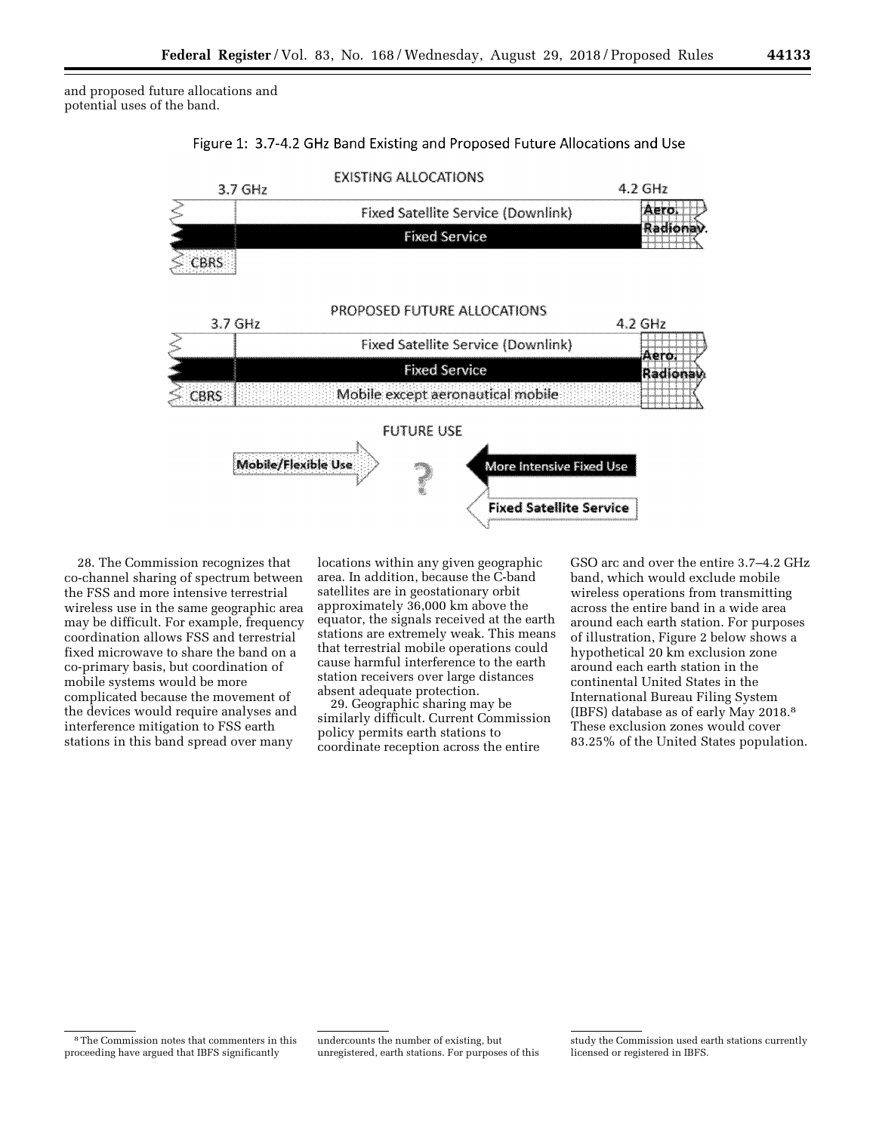and proposed future allocations and potential uses of the band.





28. The Commission recognizes that co-channel sharing of spectrum between the FSS and more intensive terrestrial wireless use in the same geographic area may be difficult. For example, frequency coordination allows FSS and terrestrial fixed microwave to share the band on a co-primary basis, but coordination of mobile systems would be more complicated because the movement of the devices would require analyses and interference mitigation to FSS earth stations in this band spread over many

locations within any given geographic area. In addition, because the C-band satellites are in geostationary orbit approximately 36,000 km above the equator, the signals received at the earth stations are extremely weak. This means that terrestrial mobile operations could cause harmful interference to the earth station receivers over large distances absent adequate protection.

29. Geographic sharing may be similarly difficult. Current Commission policy permits earth stations to coordinate reception across the entire

GSO arc and over the entire 3.7–4.2 GHz band, which would exclude mobile wireless operations from transmitting across the entire band in a wide area around each earth station. For purposes of illustration, Figure 2 below shows a hypothetical 20 km exclusion zone around each earth station in the continental United States in the International Bureau Filing System (IBFS) database as of early May 2018.8 These exclusion zones would cover 83.25% of the United States population.

8The Commission notes that commenters in this proceeding have argued that IBFS significantly

undercounts the number of existing, but unregistered, earth stations. For purposes of this

study the Commission used earth stations currently licensed or registered in IBFS.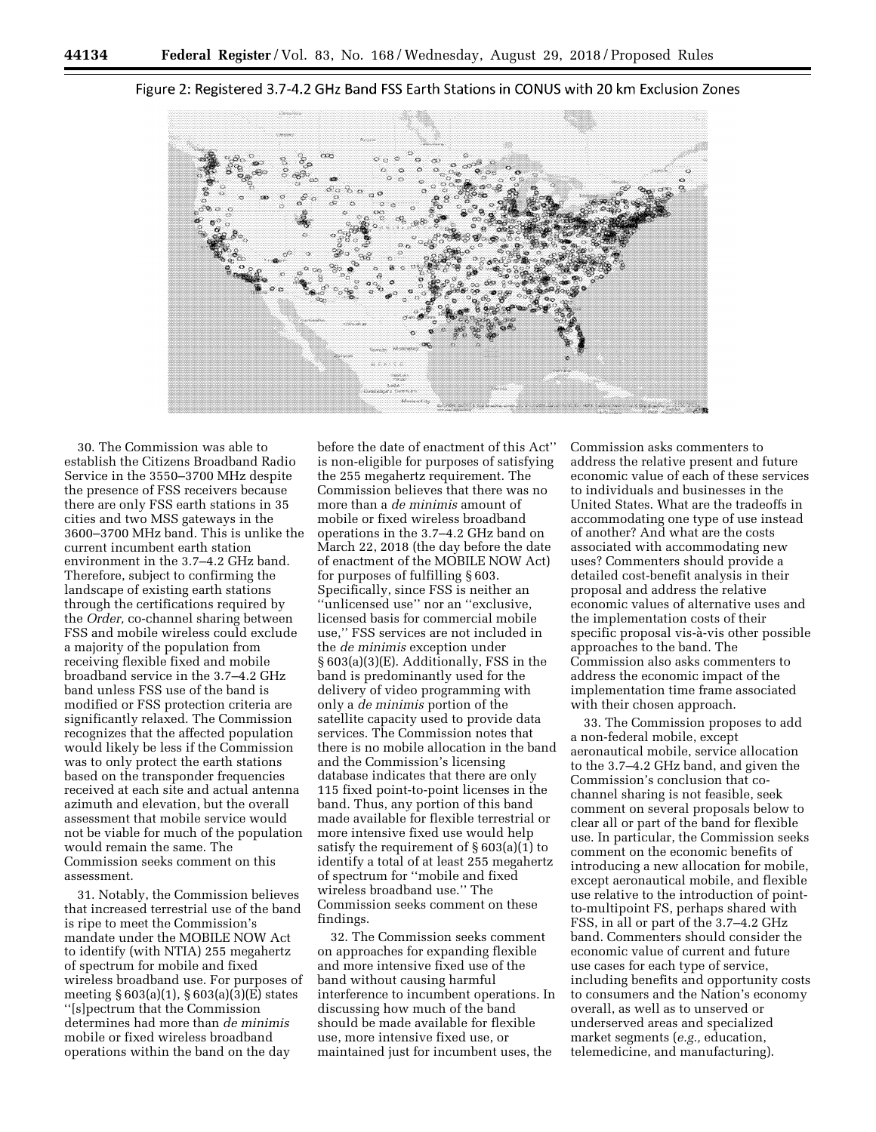

#### Figure 2: Registered 3.7-4.2 GHz Band FSS Earth Stations in CONUS with 20 km Exclusion Zones

30. The Commission was able to establish the Citizens Broadband Radio Service in the 3550–3700 MHz despite the presence of FSS receivers because there are only FSS earth stations in 35 cities and two MSS gateways in the 3600–3700 MHz band. This is unlike the current incumbent earth station environment in the 3.7–4.2 GHz band. Therefore, subject to confirming the landscape of existing earth stations through the certifications required by the *Order,* co-channel sharing between FSS and mobile wireless could exclude a majority of the population from receiving flexible fixed and mobile broadband service in the 3.7–4.2 GHz band unless FSS use of the band is modified or FSS protection criteria are significantly relaxed. The Commission recognizes that the affected population would likely be less if the Commission was to only protect the earth stations based on the transponder frequencies received at each site and actual antenna azimuth and elevation, but the overall assessment that mobile service would not be viable for much of the population would remain the same. The Commission seeks comment on this assessment.

31. Notably, the Commission believes that increased terrestrial use of the band is ripe to meet the Commission's mandate under the MOBILE NOW Act to identify (with NTIA) 255 megahertz of spectrum for mobile and fixed wireless broadband use. For purposes of meeting § 603(a)(1), § 603(a)(3)(E) states ''[s]pectrum that the Commission determines had more than *de minimis*  mobile or fixed wireless broadband operations within the band on the day

before the date of enactment of this Act'' is non-eligible for purposes of satisfying the 255 megahertz requirement. The Commission believes that there was no more than a *de minimis* amount of mobile or fixed wireless broadband operations in the 3.7–4.2 GHz band on March 22, 2018 (the day before the date of enactment of the MOBILE NOW Act) for purposes of fulfilling § 603. Specifically, since FSS is neither an ''unlicensed use'' nor an ''exclusive, licensed basis for commercial mobile use,'' FSS services are not included in the *de minimis* exception under § 603(a)(3)(E). Additionally, FSS in the band is predominantly used for the delivery of video programming with only a *de minimis* portion of the satellite capacity used to provide data services. The Commission notes that there is no mobile allocation in the band and the Commission's licensing database indicates that there are only 115 fixed point-to-point licenses in the band. Thus, any portion of this band made available for flexible terrestrial or more intensive fixed use would help satisfy the requirement of § 603(a)(1) to identify a total of at least 255 megahertz of spectrum for ''mobile and fixed wireless broadband use.'' The Commission seeks comment on these findings.

32. The Commission seeks comment on approaches for expanding flexible and more intensive fixed use of the band without causing harmful interference to incumbent operations. In discussing how much of the band should be made available for flexible use, more intensive fixed use, or maintained just for incumbent uses, the

Commission asks commenters to address the relative present and future economic value of each of these services to individuals and businesses in the United States. What are the tradeoffs in accommodating one type of use instead of another? And what are the costs associated with accommodating new uses? Commenters should provide a detailed cost-benefit analysis in their proposal and address the relative economic values of alternative uses and the implementation costs of their specific proposal vis-à-vis other possible approaches to the band. The Commission also asks commenters to address the economic impact of the implementation time frame associated with their chosen approach.

33. The Commission proposes to add a non-federal mobile, except aeronautical mobile, service allocation to the 3.7–4.2 GHz band, and given the Commission's conclusion that cochannel sharing is not feasible, seek comment on several proposals below to clear all or part of the band for flexible use. In particular, the Commission seeks comment on the economic benefits of introducing a new allocation for mobile, except aeronautical mobile, and flexible use relative to the introduction of pointto-multipoint FS, perhaps shared with FSS, in all or part of the 3.7–4.2 GHz band. Commenters should consider the economic value of current and future use cases for each type of service, including benefits and opportunity costs to consumers and the Nation's economy overall, as well as to unserved or underserved areas and specialized market segments (*e.g.,* education, telemedicine, and manufacturing).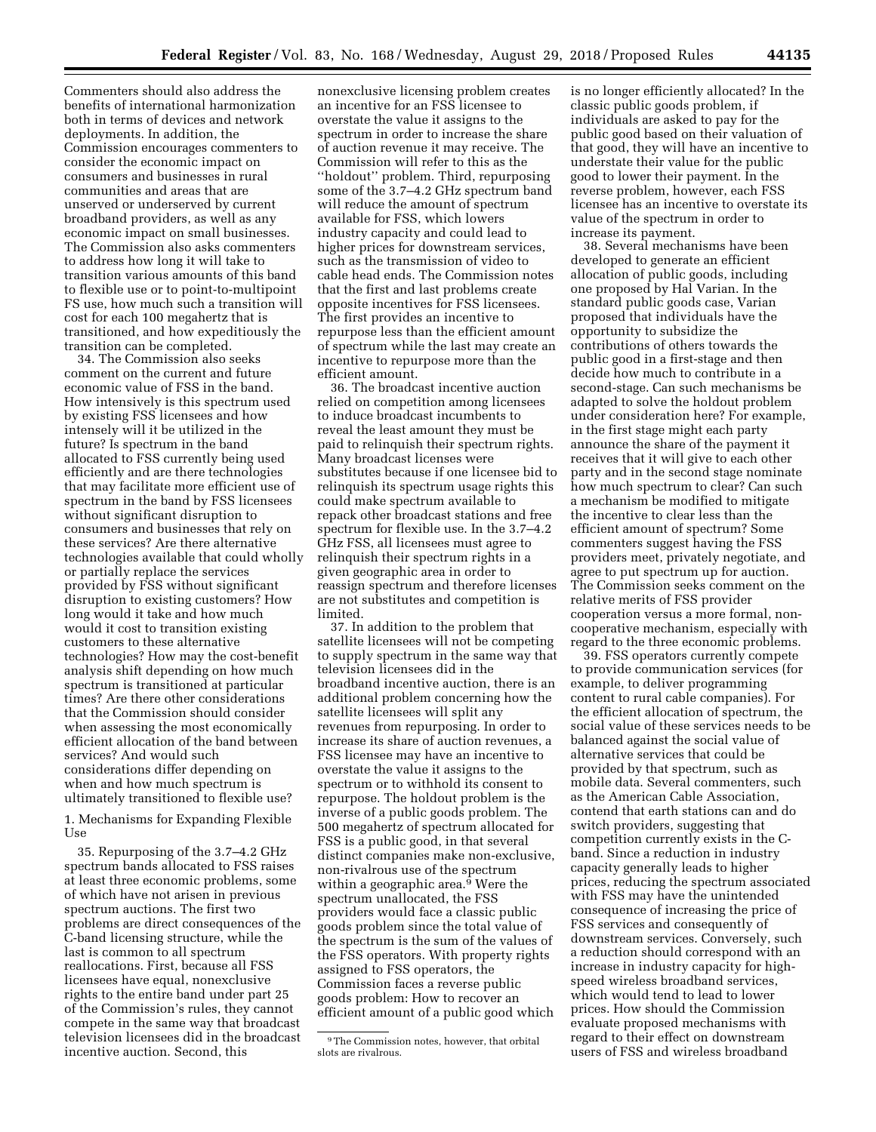Commenters should also address the benefits of international harmonization both in terms of devices and network deployments. In addition, the Commission encourages commenters to consider the economic impact on consumers and businesses in rural communities and areas that are unserved or underserved by current broadband providers, as well as any economic impact on small businesses. The Commission also asks commenters to address how long it will take to transition various amounts of this band to flexible use or to point-to-multipoint FS use, how much such a transition will cost for each 100 megahertz that is transitioned, and how expeditiously the transition can be completed.

34. The Commission also seeks comment on the current and future economic value of FSS in the band. How intensively is this spectrum used by existing FSS licensees and how intensely will it be utilized in the future? Is spectrum in the band allocated to FSS currently being used efficiently and are there technologies that may facilitate more efficient use of spectrum in the band by FSS licensees without significant disruption to consumers and businesses that rely on these services? Are there alternative technologies available that could wholly or partially replace the services provided by FSS without significant disruption to existing customers? How long would it take and how much would it cost to transition existing customers to these alternative technologies? How may the cost-benefit analysis shift depending on how much spectrum is transitioned at particular times? Are there other considerations that the Commission should consider when assessing the most economically efficient allocation of the band between services? And would such considerations differ depending on when and how much spectrum is ultimately transitioned to flexible use?

1. Mechanisms for Expanding Flexible Use

35. Repurposing of the 3.7–4.2 GHz spectrum bands allocated to FSS raises at least three economic problems, some of which have not arisen in previous spectrum auctions. The first two problems are direct consequences of the C-band licensing structure, while the last is common to all spectrum reallocations. First, because all FSS licensees have equal, nonexclusive rights to the entire band under part 25 of the Commission's rules, they cannot compete in the same way that broadcast television licensees did in the broadcast incentive auction. Second, this

nonexclusive licensing problem creates an incentive for an FSS licensee to overstate the value it assigns to the spectrum in order to increase the share of auction revenue it may receive. The Commission will refer to this as the ''holdout'' problem. Third, repurposing some of the 3.7–4.2 GHz spectrum band will reduce the amount of spectrum available for FSS, which lowers industry capacity and could lead to higher prices for downstream services, such as the transmission of video to cable head ends. The Commission notes that the first and last problems create opposite incentives for FSS licensees. The first provides an incentive to repurpose less than the efficient amount of spectrum while the last may create an incentive to repurpose more than the efficient amount.

36. The broadcast incentive auction relied on competition among licensees to induce broadcast incumbents to reveal the least amount they must be paid to relinquish their spectrum rights. Many broadcast licenses were substitutes because if one licensee bid to relinquish its spectrum usage rights this could make spectrum available to repack other broadcast stations and free spectrum for flexible use. In the 3.7–4.2 GHz FSS, all licensees must agree to relinquish their spectrum rights in a given geographic area in order to reassign spectrum and therefore licenses are not substitutes and competition is limited.

37. In addition to the problem that satellite licensees will not be competing to supply spectrum in the same way that television licensees did in the broadband incentive auction, there is an additional problem concerning how the satellite licensees will split any revenues from repurposing. In order to increase its share of auction revenues, a FSS licensee may have an incentive to overstate the value it assigns to the spectrum or to withhold its consent to repurpose. The holdout problem is the inverse of a public goods problem. The 500 megahertz of spectrum allocated for FSS is a public good, in that several distinct companies make non-exclusive, non-rivalrous use of the spectrum within a geographic area.<sup>9</sup> Were the spectrum unallocated, the FSS providers would face a classic public goods problem since the total value of the spectrum is the sum of the values of the FSS operators. With property rights assigned to FSS operators, the Commission faces a reverse public goods problem: How to recover an efficient amount of a public good which

is no longer efficiently allocated? In the classic public goods problem, if individuals are asked to pay for the public good based on their valuation of that good, they will have an incentive to understate their value for the public good to lower their payment. In the reverse problem, however, each FSS licensee has an incentive to overstate its value of the spectrum in order to increase its payment.

38. Several mechanisms have been developed to generate an efficient allocation of public goods, including one proposed by Hal Varian. In the standard public goods case, Varian proposed that individuals have the opportunity to subsidize the contributions of others towards the public good in a first-stage and then decide how much to contribute in a second-stage. Can such mechanisms be adapted to solve the holdout problem under consideration here? For example, in the first stage might each party announce the share of the payment it receives that it will give to each other party and in the second stage nominate how much spectrum to clear? Can such a mechanism be modified to mitigate the incentive to clear less than the efficient amount of spectrum? Some commenters suggest having the FSS providers meet, privately negotiate, and agree to put spectrum up for auction. The Commission seeks comment on the relative merits of FSS provider cooperation versus a more formal, noncooperative mechanism, especially with regard to the three economic problems.

39. FSS operators currently compete to provide communication services (for example, to deliver programming content to rural cable companies). For the efficient allocation of spectrum, the social value of these services needs to be balanced against the social value of alternative services that could be provided by that spectrum, such as mobile data. Several commenters, such as the American Cable Association, contend that earth stations can and do switch providers, suggesting that competition currently exists in the Cband. Since a reduction in industry capacity generally leads to higher prices, reducing the spectrum associated with FSS may have the unintended consequence of increasing the price of FSS services and consequently of downstream services. Conversely, such a reduction should correspond with an increase in industry capacity for highspeed wireless broadband services, which would tend to lead to lower prices. How should the Commission evaluate proposed mechanisms with regard to their effect on downstream users of FSS and wireless broadband

<sup>&</sup>lt;sup>9</sup>The Commission notes, however, that orbital slots are rivalrous.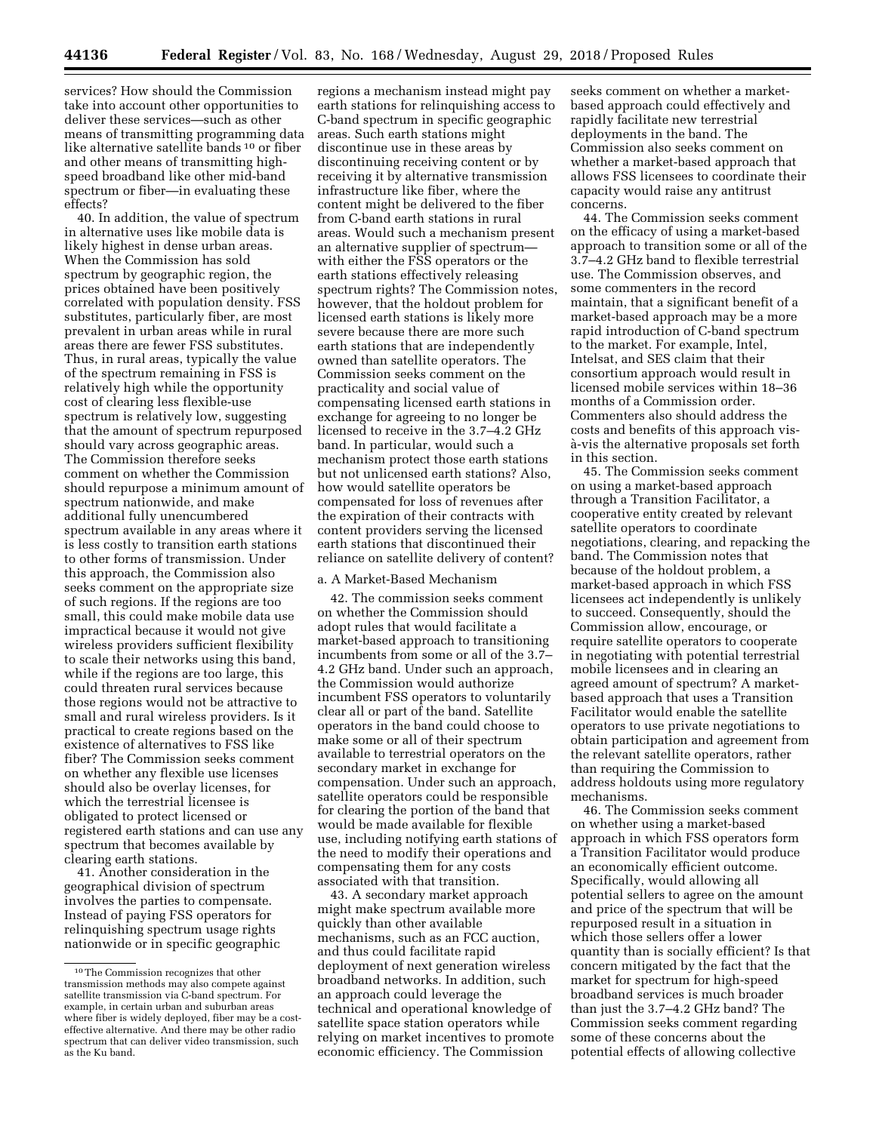services? How should the Commission take into account other opportunities to deliver these services—such as other means of transmitting programming data like alternative satellite bands 10 or fiber and other means of transmitting highspeed broadband like other mid-band spectrum or fiber—in evaluating these effects?

40. In addition, the value of spectrum in alternative uses like mobile data is likely highest in dense urban areas. When the Commission has sold spectrum by geographic region, the prices obtained have been positively correlated with population density. FSS substitutes, particularly fiber, are most prevalent in urban areas while in rural areas there are fewer FSS substitutes. Thus, in rural areas, typically the value of the spectrum remaining in FSS is relatively high while the opportunity cost of clearing less flexible-use spectrum is relatively low, suggesting that the amount of spectrum repurposed should vary across geographic areas. The Commission therefore seeks comment on whether the Commission should repurpose a minimum amount of spectrum nationwide, and make additional fully unencumbered spectrum available in any areas where it is less costly to transition earth stations to other forms of transmission. Under this approach, the Commission also seeks comment on the appropriate size of such regions. If the regions are too small, this could make mobile data use impractical because it would not give wireless providers sufficient flexibility to scale their networks using this band, while if the regions are too large, this could threaten rural services because those regions would not be attractive to small and rural wireless providers. Is it practical to create regions based on the existence of alternatives to FSS like fiber? The Commission seeks comment on whether any flexible use licenses should also be overlay licenses, for which the terrestrial licensee is obligated to protect licensed or registered earth stations and can use any spectrum that becomes available by clearing earth stations.

41. Another consideration in the geographical division of spectrum involves the parties to compensate. Instead of paying FSS operators for relinquishing spectrum usage rights nationwide or in specific geographic

regions a mechanism instead might pay earth stations for relinquishing access to C-band spectrum in specific geographic areas. Such earth stations might discontinue use in these areas by discontinuing receiving content or by receiving it by alternative transmission infrastructure like fiber, where the content might be delivered to the fiber from C-band earth stations in rural areas. Would such a mechanism present an alternative supplier of spectrum with either the FSS operators or the earth stations effectively releasing spectrum rights? The Commission notes, however, that the holdout problem for licensed earth stations is likely more severe because there are more such earth stations that are independently owned than satellite operators. The Commission seeks comment on the practicality and social value of compensating licensed earth stations in exchange for agreeing to no longer be licensed to receive in the 3.7–4.2 GHz band. In particular, would such a mechanism protect those earth stations but not unlicensed earth stations? Also, how would satellite operators be compensated for loss of revenues after the expiration of their contracts with content providers serving the licensed earth stations that discontinued their reliance on satellite delivery of content?

## a. A Market-Based Mechanism

42. The commission seeks comment on whether the Commission should adopt rules that would facilitate a market-based approach to transitioning incumbents from some or all of the 3.7– 4.2 GHz band. Under such an approach, the Commission would authorize incumbent FSS operators to voluntarily clear all or part of the band. Satellite operators in the band could choose to make some or all of their spectrum available to terrestrial operators on the secondary market in exchange for compensation. Under such an approach, satellite operators could be responsible for clearing the portion of the band that would be made available for flexible use, including notifying earth stations of the need to modify their operations and compensating them for any costs associated with that transition.

43. A secondary market approach might make spectrum available more quickly than other available mechanisms, such as an FCC auction, and thus could facilitate rapid deployment of next generation wireless broadband networks. In addition, such an approach could leverage the technical and operational knowledge of satellite space station operators while relying on market incentives to promote economic efficiency. The Commission

seeks comment on whether a marketbased approach could effectively and rapidly facilitate new terrestrial deployments in the band. The Commission also seeks comment on whether a market-based approach that allows FSS licensees to coordinate their capacity would raise any antitrust concerns.

44. The Commission seeks comment on the efficacy of using a market-based approach to transition some or all of the 3.7–4.2 GHz band to flexible terrestrial use. The Commission observes, and some commenters in the record maintain, that a significant benefit of a market-based approach may be a more rapid introduction of C-band spectrum to the market. For example, Intel, Intelsat, and SES claim that their consortium approach would result in licensed mobile services within 18–36 months of a Commission order. Commenters also should address the costs and benefits of this approach visa`-vis the alternative proposals set forth in this section.

45. The Commission seeks comment on using a market-based approach through a Transition Facilitator, a cooperative entity created by relevant satellite operators to coordinate negotiations, clearing, and repacking the band. The Commission notes that because of the holdout problem, a market-based approach in which FSS licensees act independently is unlikely to succeed. Consequently, should the Commission allow, encourage, or require satellite operators to cooperate in negotiating with potential terrestrial mobile licensees and in clearing an agreed amount of spectrum? A marketbased approach that uses a Transition Facilitator would enable the satellite operators to use private negotiations to obtain participation and agreement from the relevant satellite operators, rather than requiring the Commission to address holdouts using more regulatory mechanisms.

46. The Commission seeks comment on whether using a market-based approach in which FSS operators form a Transition Facilitator would produce an economically efficient outcome. Specifically, would allowing all potential sellers to agree on the amount and price of the spectrum that will be repurposed result in a situation in which those sellers offer a lower quantity than is socially efficient? Is that concern mitigated by the fact that the market for spectrum for high-speed broadband services is much broader than just the 3.7–4.2 GHz band? The Commission seeks comment regarding some of these concerns about the potential effects of allowing collective

<sup>10</sup>The Commission recognizes that other transmission methods may also compete against satellite transmission via C-band spectrum. For example, in certain urban and suburban areas where fiber is widely deployed, fiber may be a costeffective alternative. And there may be other radio spectrum that can deliver video transmission, such as the Ku band.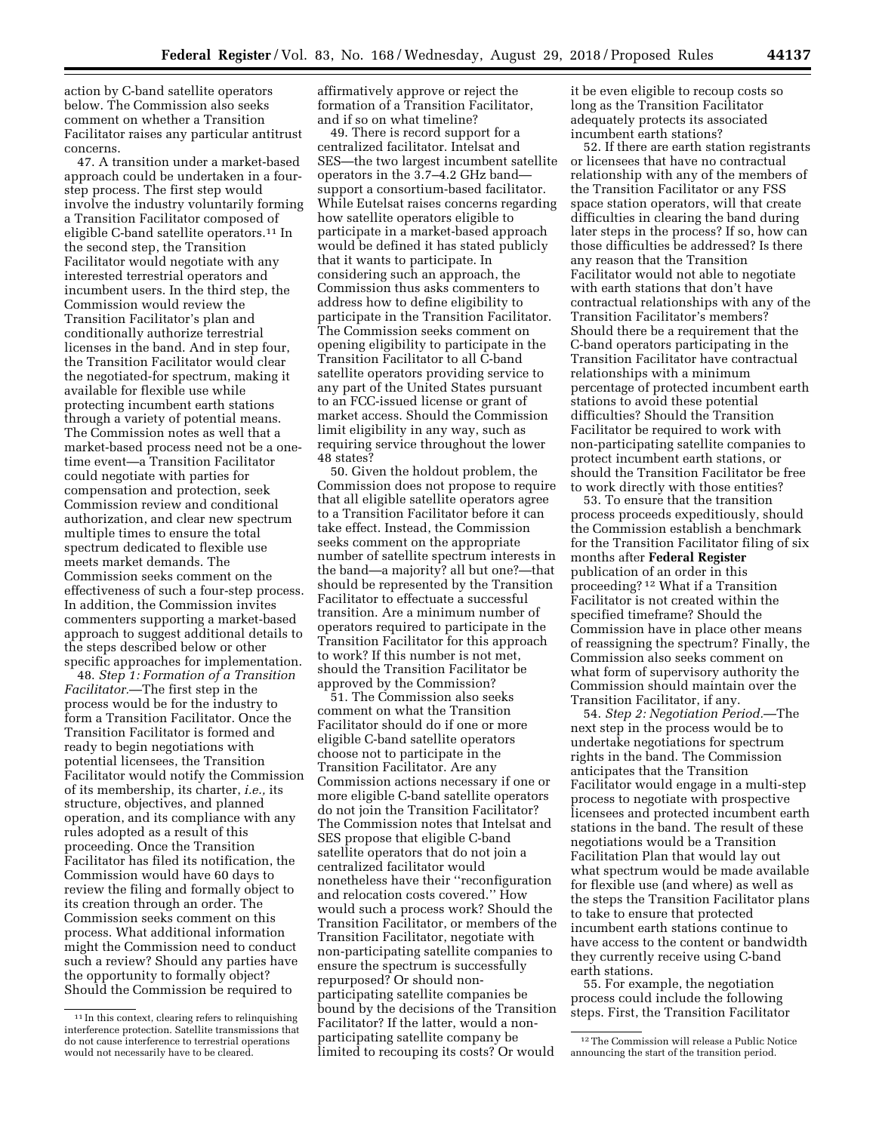action by C-band satellite operators below. The Commission also seeks comment on whether a Transition Facilitator raises any particular antitrust concerns.

47. A transition under a market-based approach could be undertaken in a fourstep process. The first step would involve the industry voluntarily forming a Transition Facilitator composed of eligible C-band satellite operators.11 In the second step, the Transition Facilitator would negotiate with any interested terrestrial operators and incumbent users. In the third step, the Commission would review the Transition Facilitator's plan and conditionally authorize terrestrial licenses in the band. And in step four, the Transition Facilitator would clear the negotiated-for spectrum, making it available for flexible use while protecting incumbent earth stations through a variety of potential means. The Commission notes as well that a market-based process need not be a onetime event—a Transition Facilitator could negotiate with parties for compensation and protection, seek Commission review and conditional authorization, and clear new spectrum multiple times to ensure the total spectrum dedicated to flexible use meets market demands. The Commission seeks comment on the effectiveness of such a four-step process. In addition, the Commission invites commenters supporting a market-based approach to suggest additional details to the steps described below or other specific approaches for implementation.

48. *Step 1: Formation of a Transition Facilitator.*—The first step in the process would be for the industry to form a Transition Facilitator. Once the Transition Facilitator is formed and ready to begin negotiations with potential licensees, the Transition Facilitator would notify the Commission of its membership, its charter, *i.e.,* its structure, objectives, and planned operation, and its compliance with any rules adopted as a result of this proceeding. Once the Transition Facilitator has filed its notification, the Commission would have 60 days to review the filing and formally object to its creation through an order. The Commission seeks comment on this process. What additional information might the Commission need to conduct such a review? Should any parties have the opportunity to formally object? Should the Commission be required to

affirmatively approve or reject the formation of a Transition Facilitator, and if so on what timeline?

49. There is record support for a centralized facilitator. Intelsat and SES—the two largest incumbent satellite operators in the 3.7–4.2 GHz band support a consortium-based facilitator. While Eutelsat raises concerns regarding how satellite operators eligible to participate in a market-based approach would be defined it has stated publicly that it wants to participate. In considering such an approach, the Commission thus asks commenters to address how to define eligibility to participate in the Transition Facilitator. The Commission seeks comment on opening eligibility to participate in the Transition Facilitator to all C-band satellite operators providing service to any part of the United States pursuant to an FCC-issued license or grant of market access. Should the Commission limit eligibility in any way, such as requiring service throughout the lower 48 states?

50. Given the holdout problem, the Commission does not propose to require that all eligible satellite operators agree to a Transition Facilitator before it can take effect. Instead, the Commission seeks comment on the appropriate number of satellite spectrum interests in the band—a majority? all but one?—that should be represented by the Transition Facilitator to effectuate a successful transition. Are a minimum number of operators required to participate in the Transition Facilitator for this approach to work? If this number is not met, should the Transition Facilitator be approved by the Commission?

51. The Commission also seeks comment on what the Transition Facilitator should do if one or more eligible C-band satellite operators choose not to participate in the Transition Facilitator. Are any Commission actions necessary if one or more eligible C-band satellite operators do not join the Transition Facilitator? The Commission notes that Intelsat and SES propose that eligible C-band satellite operators that do not join a centralized facilitator would nonetheless have their ''reconfiguration and relocation costs covered.'' How would such a process work? Should the Transition Facilitator, or members of the Transition Facilitator, negotiate with non-participating satellite companies to ensure the spectrum is successfully repurposed? Or should nonparticipating satellite companies be bound by the decisions of the Transition Facilitator? If the latter, would a nonparticipating satellite company be limited to recouping its costs? Or would

it be even eligible to recoup costs so long as the Transition Facilitator adequately protects its associated incumbent earth stations?

52. If there are earth station registrants or licensees that have no contractual relationship with any of the members of the Transition Facilitator or any FSS space station operators, will that create difficulties in clearing the band during later steps in the process? If so, how can those difficulties be addressed? Is there any reason that the Transition Facilitator would not able to negotiate with earth stations that don't have contractual relationships with any of the Transition Facilitator's members? Should there be a requirement that the C-band operators participating in the Transition Facilitator have contractual relationships with a minimum percentage of protected incumbent earth stations to avoid these potential difficulties? Should the Transition Facilitator be required to work with non-participating satellite companies to protect incumbent earth stations, or should the Transition Facilitator be free to work directly with those entities?

53. To ensure that the transition process proceeds expeditiously, should the Commission establish a benchmark for the Transition Facilitator filing of six months after **Federal Register**  publication of an order in this proceeding? 12 What if a Transition Facilitator is not created within the specified timeframe? Should the Commission have in place other means of reassigning the spectrum? Finally, the Commission also seeks comment on what form of supervisory authority the Commission should maintain over the Transition Facilitator, if any.

54. *Step 2: Negotiation Period.*—The next step in the process would be to undertake negotiations for spectrum rights in the band. The Commission anticipates that the Transition Facilitator would engage in a multi-step process to negotiate with prospective licensees and protected incumbent earth stations in the band. The result of these negotiations would be a Transition Facilitation Plan that would lay out what spectrum would be made available for flexible use (and where) as well as the steps the Transition Facilitator plans to take to ensure that protected incumbent earth stations continue to have access to the content or bandwidth they currently receive using C-band earth stations.

55. For example, the negotiation process could include the following steps. First, the Transition Facilitator

<sup>11</sup> In this context, clearing refers to relinquishing interference protection. Satellite transmissions that do not cause interference to terrestrial operations would not necessarily have to be cleared.

<sup>12</sup>The Commission will release a Public Notice announcing the start of the transition period.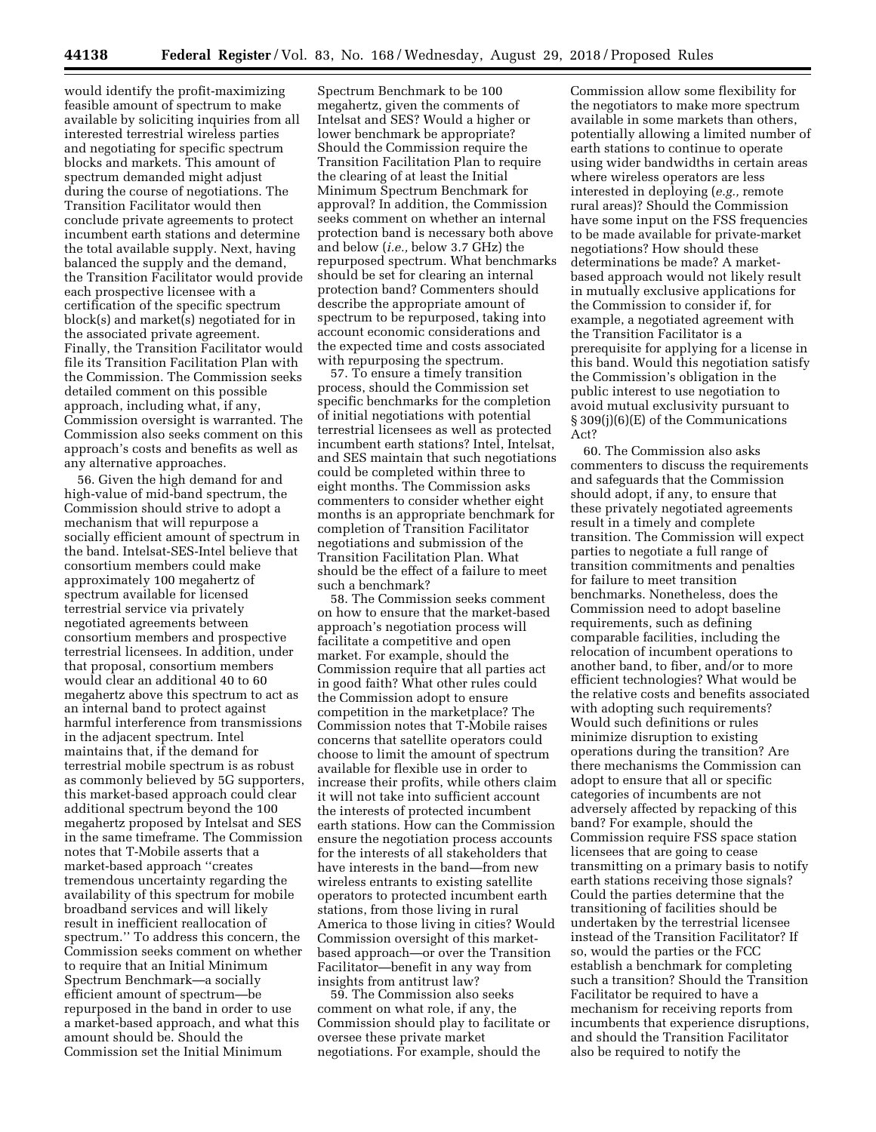would identify the profit-maximizing feasible amount of spectrum to make available by soliciting inquiries from all interested terrestrial wireless parties and negotiating for specific spectrum blocks and markets. This amount of spectrum demanded might adjust during the course of negotiations. The Transition Facilitator would then conclude private agreements to protect incumbent earth stations and determine the total available supply. Next, having balanced the supply and the demand, the Transition Facilitator would provide each prospective licensee with a certification of the specific spectrum  $block(s)$  and market(s) negotiated for in the associated private agreement. Finally, the Transition Facilitator would file its Transition Facilitation Plan with the Commission. The Commission seeks detailed comment on this possible approach, including what, if any, Commission oversight is warranted. The Commission also seeks comment on this approach's costs and benefits as well as any alternative approaches.

56. Given the high demand for and high-value of mid-band spectrum, the Commission should strive to adopt a mechanism that will repurpose a socially efficient amount of spectrum in the band. Intelsat-SES-Intel believe that consortium members could make approximately 100 megahertz of spectrum available for licensed terrestrial service via privately negotiated agreements between consortium members and prospective terrestrial licensees. In addition, under that proposal, consortium members would clear an additional 40 to 60 megahertz above this spectrum to act as an internal band to protect against harmful interference from transmissions in the adjacent spectrum. Intel maintains that, if the demand for terrestrial mobile spectrum is as robust as commonly believed by 5G supporters, this market-based approach could clear additional spectrum beyond the 100 megahertz proposed by Intelsat and SES in the same timeframe. The Commission notes that T-Mobile asserts that a market-based approach ''creates tremendous uncertainty regarding the availability of this spectrum for mobile broadband services and will likely result in inefficient reallocation of spectrum.'' To address this concern, the Commission seeks comment on whether to require that an Initial Minimum Spectrum Benchmark—a socially efficient amount of spectrum—be repurposed in the band in order to use a market-based approach, and what this amount should be. Should the Commission set the Initial Minimum

Spectrum Benchmark to be 100 megahertz, given the comments of Intelsat and SES? Would a higher or lower benchmark be appropriate? Should the Commission require the Transition Facilitation Plan to require the clearing of at least the Initial Minimum Spectrum Benchmark for approval? In addition, the Commission seeks comment on whether an internal protection band is necessary both above and below (*i.e.,* below 3.7 GHz) the repurposed spectrum. What benchmarks should be set for clearing an internal protection band? Commenters should describe the appropriate amount of spectrum to be repurposed, taking into account economic considerations and the expected time and costs associated with repurposing the spectrum.

57. To ensure a timely transition process, should the Commission set specific benchmarks for the completion of initial negotiations with potential terrestrial licensees as well as protected incumbent earth stations? Intel, Intelsat, and SES maintain that such negotiations could be completed within three to eight months. The Commission asks commenters to consider whether eight months is an appropriate benchmark for completion of Transition Facilitator negotiations and submission of the Transition Facilitation Plan. What should be the effect of a failure to meet such a benchmark?

58. The Commission seeks comment on how to ensure that the market-based approach's negotiation process will facilitate a competitive and open market. For example, should the Commission require that all parties act in good faith? What other rules could the Commission adopt to ensure competition in the marketplace? The Commission notes that T-Mobile raises concerns that satellite operators could choose to limit the amount of spectrum available for flexible use in order to increase their profits, while others claim it will not take into sufficient account the interests of protected incumbent earth stations. How can the Commission ensure the negotiation process accounts for the interests of all stakeholders that have interests in the band—from new wireless entrants to existing satellite operators to protected incumbent earth stations, from those living in rural America to those living in cities? Would Commission oversight of this marketbased approach—or over the Transition Facilitator—benefit in any way from insights from antitrust law?

59. The Commission also seeks comment on what role, if any, the Commission should play to facilitate or oversee these private market negotiations. For example, should the

Commission allow some flexibility for the negotiators to make more spectrum available in some markets than others, potentially allowing a limited number of earth stations to continue to operate using wider bandwidths in certain areas where wireless operators are less interested in deploying (*e.g.,* remote rural areas)? Should the Commission have some input on the FSS frequencies to be made available for private-market negotiations? How should these determinations be made? A marketbased approach would not likely result in mutually exclusive applications for the Commission to consider if, for example, a negotiated agreement with the Transition Facilitator is a prerequisite for applying for a license in this band. Would this negotiation satisfy the Commission's obligation in the public interest to use negotiation to avoid mutual exclusivity pursuant to § 309(j)(6)(E) of the Communications Act?

60. The Commission also asks commenters to discuss the requirements and safeguards that the Commission should adopt, if any, to ensure that these privately negotiated agreements result in a timely and complete transition. The Commission will expect parties to negotiate a full range of transition commitments and penalties for failure to meet transition benchmarks. Nonetheless, does the Commission need to adopt baseline requirements, such as defining comparable facilities, including the relocation of incumbent operations to another band, to fiber, and/or to more efficient technologies? What would be the relative costs and benefits associated with adopting such requirements? Would such definitions or rules minimize disruption to existing operations during the transition? Are there mechanisms the Commission can adopt to ensure that all or specific categories of incumbents are not adversely affected by repacking of this band? For example, should the Commission require FSS space station licensees that are going to cease transmitting on a primary basis to notify earth stations receiving those signals? Could the parties determine that the transitioning of facilities should be undertaken by the terrestrial licensee instead of the Transition Facilitator? If so, would the parties or the FCC establish a benchmark for completing such a transition? Should the Transition Facilitator be required to have a mechanism for receiving reports from incumbents that experience disruptions, and should the Transition Facilitator also be required to notify the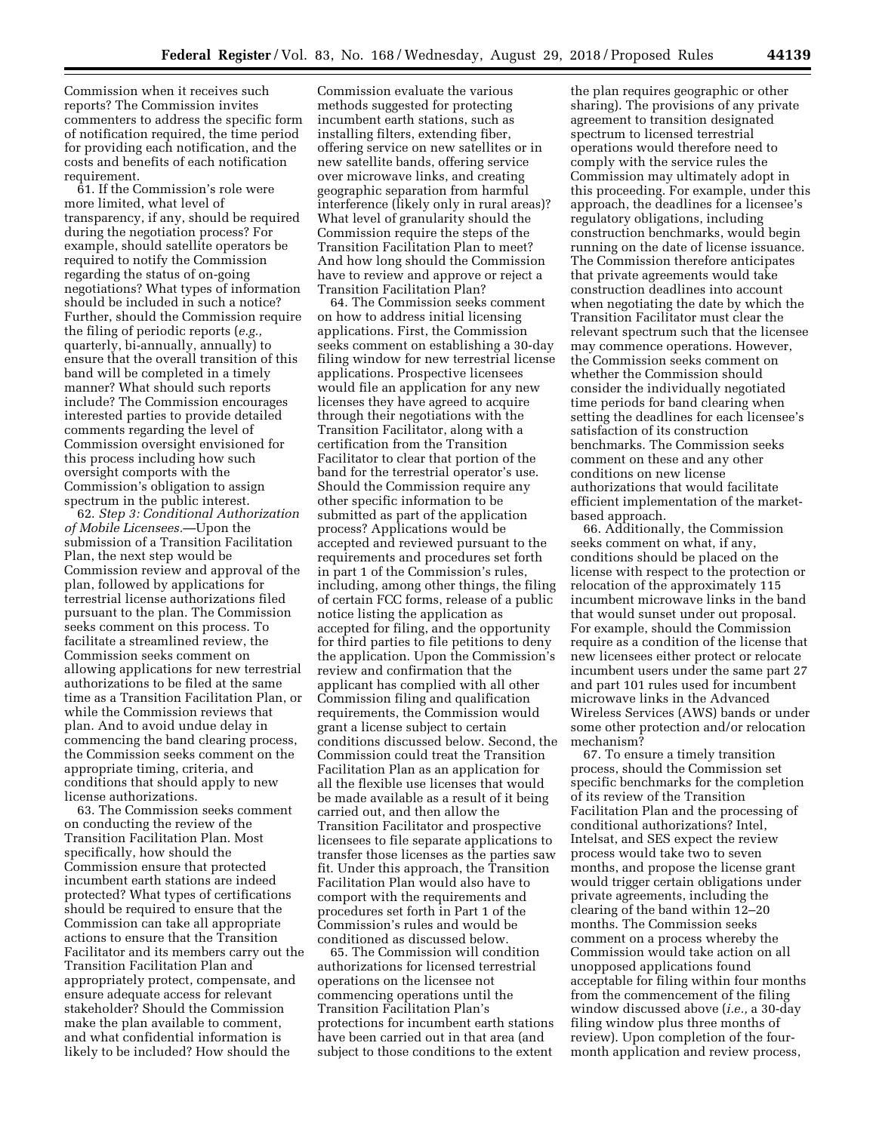Commission when it receives such reports? The Commission invites commenters to address the specific form of notification required, the time period for providing each notification, and the costs and benefits of each notification requirement.

61. If the Commission's role were more limited, what level of transparency, if any, should be required during the negotiation process? For example, should satellite operators be required to notify the Commission regarding the status of on-going negotiations? What types of information should be included in such a notice? Further, should the Commission require the filing of periodic reports (*e.g.,*  quarterly, bi-annually, annually) to ensure that the overall transition of this band will be completed in a timely manner? What should such reports include? The Commission encourages interested parties to provide detailed comments regarding the level of Commission oversight envisioned for this process including how such oversight comports with the Commission's obligation to assign spectrum in the public interest.

62. *Step 3: Conditional Authorization of Mobile Licensees.*—Upon the submission of a Transition Facilitation Plan, the next step would be Commission review and approval of the plan, followed by applications for terrestrial license authorizations filed pursuant to the plan. The Commission seeks comment on this process. To facilitate a streamlined review, the Commission seeks comment on allowing applications for new terrestrial authorizations to be filed at the same time as a Transition Facilitation Plan, or while the Commission reviews that plan. And to avoid undue delay in commencing the band clearing process, the Commission seeks comment on the appropriate timing, criteria, and conditions that should apply to new license authorizations.

63. The Commission seeks comment on conducting the review of the Transition Facilitation Plan. Most specifically, how should the Commission ensure that protected incumbent earth stations are indeed protected? What types of certifications should be required to ensure that the Commission can take all appropriate actions to ensure that the Transition Facilitator and its members carry out the Transition Facilitation Plan and appropriately protect, compensate, and ensure adequate access for relevant stakeholder? Should the Commission make the plan available to comment, and what confidential information is likely to be included? How should the

Commission evaluate the various methods suggested for protecting incumbent earth stations, such as installing filters, extending fiber, offering service on new satellites or in new satellite bands, offering service over microwave links, and creating geographic separation from harmful interference (likely only in rural areas)? What level of granularity should the Commission require the steps of the Transition Facilitation Plan to meet? And how long should the Commission have to review and approve or reject a Transition Facilitation Plan?

64. The Commission seeks comment on how to address initial licensing applications. First, the Commission seeks comment on establishing a 30-day filing window for new terrestrial license applications. Prospective licensees would file an application for any new licenses they have agreed to acquire through their negotiations with the Transition Facilitator, along with a certification from the Transition Facilitator to clear that portion of the band for the terrestrial operator's use. Should the Commission require any other specific information to be submitted as part of the application process? Applications would be accepted and reviewed pursuant to the requirements and procedures set forth in part 1 of the Commission's rules, including, among other things, the filing of certain FCC forms, release of a public notice listing the application as accepted for filing, and the opportunity for third parties to file petitions to deny the application. Upon the Commission's review and confirmation that the applicant has complied with all other Commission filing and qualification requirements, the Commission would grant a license subject to certain conditions discussed below. Second, the Commission could treat the Transition Facilitation Plan as an application for all the flexible use licenses that would be made available as a result of it being carried out, and then allow the Transition Facilitator and prospective licensees to file separate applications to transfer those licenses as the parties saw fit. Under this approach, the Transition Facilitation Plan would also have to comport with the requirements and procedures set forth in Part 1 of the Commission's rules and would be conditioned as discussed below.

65. The Commission will condition authorizations for licensed terrestrial operations on the licensee not commencing operations until the Transition Facilitation Plan's protections for incumbent earth stations have been carried out in that area (and subject to those conditions to the extent

the plan requires geographic or other sharing). The provisions of any private agreement to transition designated spectrum to licensed terrestrial operations would therefore need to comply with the service rules the Commission may ultimately adopt in this proceeding. For example, under this approach, the deadlines for a licensee's regulatory obligations, including construction benchmarks, would begin running on the date of license issuance. The Commission therefore anticipates that private agreements would take construction deadlines into account when negotiating the date by which the Transition Facilitator must clear the relevant spectrum such that the licensee may commence operations. However, the Commission seeks comment on whether the Commission should consider the individually negotiated time periods for band clearing when setting the deadlines for each licensee's satisfaction of its construction benchmarks. The Commission seeks comment on these and any other conditions on new license authorizations that would facilitate efficient implementation of the marketbased approach.

66. Additionally, the Commission seeks comment on what, if any, conditions should be placed on the license with respect to the protection or relocation of the approximately 115 incumbent microwave links in the band that would sunset under out proposal. For example, should the Commission require as a condition of the license that new licensees either protect or relocate incumbent users under the same part 27 and part 101 rules used for incumbent microwave links in the Advanced Wireless Services (AWS) bands or under some other protection and/or relocation mechanism?

67. To ensure a timely transition process, should the Commission set specific benchmarks for the completion of its review of the Transition Facilitation Plan and the processing of conditional authorizations? Intel, Intelsat, and SES expect the review process would take two to seven months, and propose the license grant would trigger certain obligations under private agreements, including the clearing of the band within 12–20 months. The Commission seeks comment on a process whereby the Commission would take action on all unopposed applications found acceptable for filing within four months from the commencement of the filing window discussed above (*i.e.,* a 30-day filing window plus three months of review). Upon completion of the fourmonth application and review process,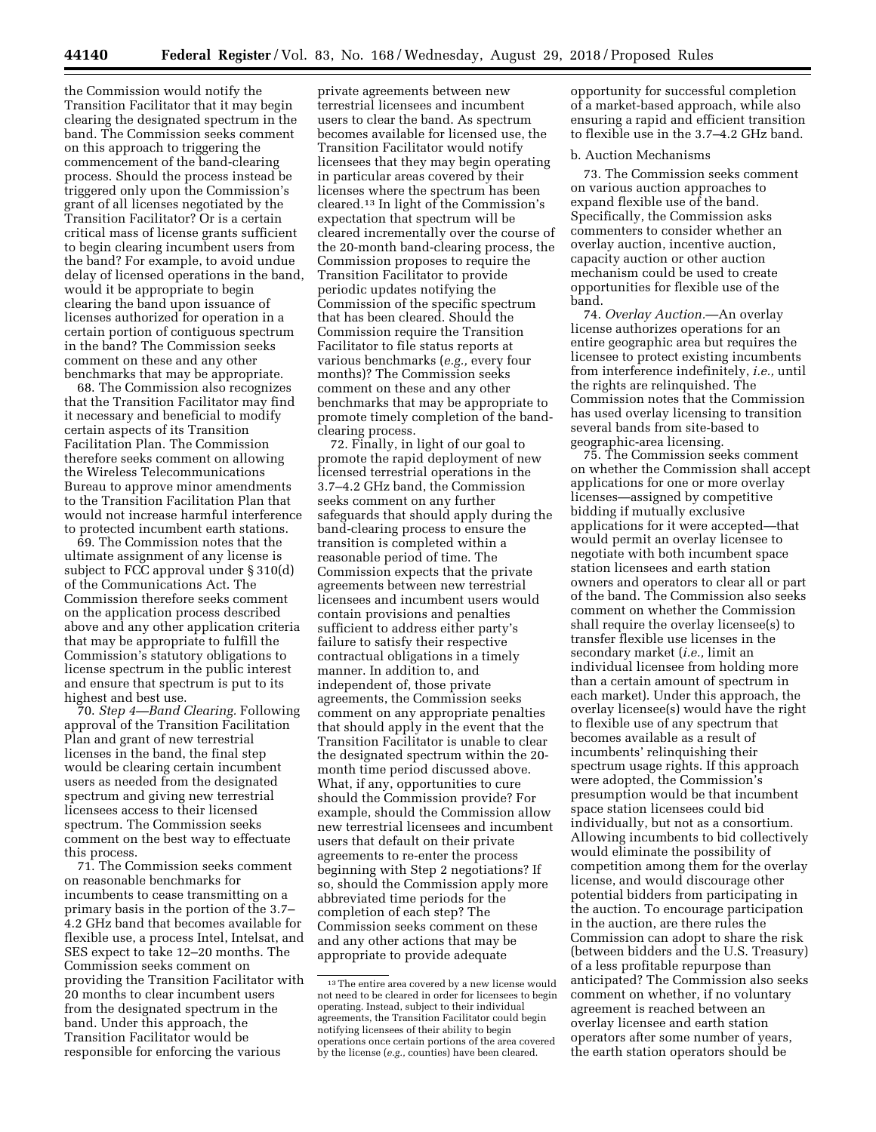the Commission would notify the Transition Facilitator that it may begin clearing the designated spectrum in the band. The Commission seeks comment on this approach to triggering the commencement of the band-clearing process. Should the process instead be triggered only upon the Commission's grant of all licenses negotiated by the Transition Facilitator? Or is a certain critical mass of license grants sufficient to begin clearing incumbent users from the band? For example, to avoid undue delay of licensed operations in the band, would it be appropriate to begin clearing the band upon issuance of licenses authorized for operation in a certain portion of contiguous spectrum in the band? The Commission seeks comment on these and any other benchmarks that may be appropriate.

68. The Commission also recognizes that the Transition Facilitator may find it necessary and beneficial to modify certain aspects of its Transition Facilitation Plan. The Commission therefore seeks comment on allowing the Wireless Telecommunications Bureau to approve minor amendments to the Transition Facilitation Plan that would not increase harmful interference to protected incumbent earth stations.

69. The Commission notes that the ultimate assignment of any license is subject to FCC approval under § 310(d) of the Communications Act. The Commission therefore seeks comment on the application process described above and any other application criteria that may be appropriate to fulfill the Commission's statutory obligations to license spectrum in the public interest and ensure that spectrum is put to its highest and best use.

70. *Step 4—Band Clearing.* Following approval of the Transition Facilitation Plan and grant of new terrestrial licenses in the band, the final step would be clearing certain incumbent users as needed from the designated spectrum and giving new terrestrial licensees access to their licensed spectrum. The Commission seeks comment on the best way to effectuate this process.

71. The Commission seeks comment on reasonable benchmarks for incumbents to cease transmitting on a primary basis in the portion of the 3.7– 4.2 GHz band that becomes available for flexible use, a process Intel, Intelsat, and SES expect to take 12–20 months. The Commission seeks comment on providing the Transition Facilitator with 20 months to clear incumbent users from the designated spectrum in the band. Under this approach, the Transition Facilitator would be responsible for enforcing the various

private agreements between new terrestrial licensees and incumbent users to clear the band. As spectrum becomes available for licensed use, the Transition Facilitator would notify licensees that they may begin operating in particular areas covered by their licenses where the spectrum has been cleared.13 In light of the Commission's expectation that spectrum will be cleared incrementally over the course of the 20-month band-clearing process, the Commission proposes to require the Transition Facilitator to provide periodic updates notifying the Commission of the specific spectrum that has been cleared. Should the Commission require the Transition Facilitator to file status reports at various benchmarks (*e.g.,* every four months)? The Commission seeks comment on these and any other benchmarks that may be appropriate to promote timely completion of the bandclearing process.

72. Finally, in light of our goal to promote the rapid deployment of new licensed terrestrial operations in the 3.7–4.2 GHz band, the Commission seeks comment on any further safeguards that should apply during the band-clearing process to ensure the transition is completed within a reasonable period of time. The Commission expects that the private agreements between new terrestrial licensees and incumbent users would contain provisions and penalties sufficient to address either party's failure to satisfy their respective contractual obligations in a timely manner. In addition to, and independent of, those private agreements, the Commission seeks comment on any appropriate penalties that should apply in the event that the Transition Facilitator is unable to clear the designated spectrum within the 20 month time period discussed above. What, if any, opportunities to cure should the Commission provide? For example, should the Commission allow new terrestrial licensees and incumbent users that default on their private agreements to re-enter the process beginning with Step 2 negotiations? If so, should the Commission apply more abbreviated time periods for the completion of each step? The Commission seeks comment on these and any other actions that may be appropriate to provide adequate

opportunity for successful completion of a market-based approach, while also ensuring a rapid and efficient transition to flexible use in the 3.7–4.2 GHz band.

#### b. Auction Mechanisms

73. The Commission seeks comment on various auction approaches to expand flexible use of the band. Specifically, the Commission asks commenters to consider whether an overlay auction, incentive auction, capacity auction or other auction mechanism could be used to create opportunities for flexible use of the band.

74. *Overlay Auction.*—An overlay license authorizes operations for an entire geographic area but requires the licensee to protect existing incumbents from interference indefinitely, *i.e.,* until the rights are relinquished. The Commission notes that the Commission has used overlay licensing to transition several bands from site-based to geographic-area licensing.

75. The Commission seeks comment on whether the Commission shall accept applications for one or more overlay licenses—assigned by competitive bidding if mutually exclusive applications for it were accepted—that would permit an overlay licensee to negotiate with both incumbent space station licensees and earth station owners and operators to clear all or part of the band. The Commission also seeks comment on whether the Commission shall require the overlay licensee(s) to transfer flexible use licenses in the secondary market (*i.e.,* limit an individual licensee from holding more than a certain amount of spectrum in each market). Under this approach, the overlay licensee(s) would have the right to flexible use of any spectrum that becomes available as a result of incumbents' relinquishing their spectrum usage rights. If this approach were adopted, the Commission's presumption would be that incumbent space station licensees could bid individually, but not as a consortium. Allowing incumbents to bid collectively would eliminate the possibility of competition among them for the overlay license, and would discourage other potential bidders from participating in the auction. To encourage participation in the auction, are there rules the Commission can adopt to share the risk (between bidders and the U.S. Treasury) of a less profitable repurpose than anticipated? The Commission also seeks comment on whether, if no voluntary agreement is reached between an overlay licensee and earth station operators after some number of years, the earth station operators should be

<sup>13</sup>The entire area covered by a new license would not need to be cleared in order for licensees to begin operating. Instead, subject to their individual agreements, the Transition Facilitator could begin notifying licensees of their ability to begin operations once certain portions of the area covered by the license (*e.g.,* counties) have been cleared.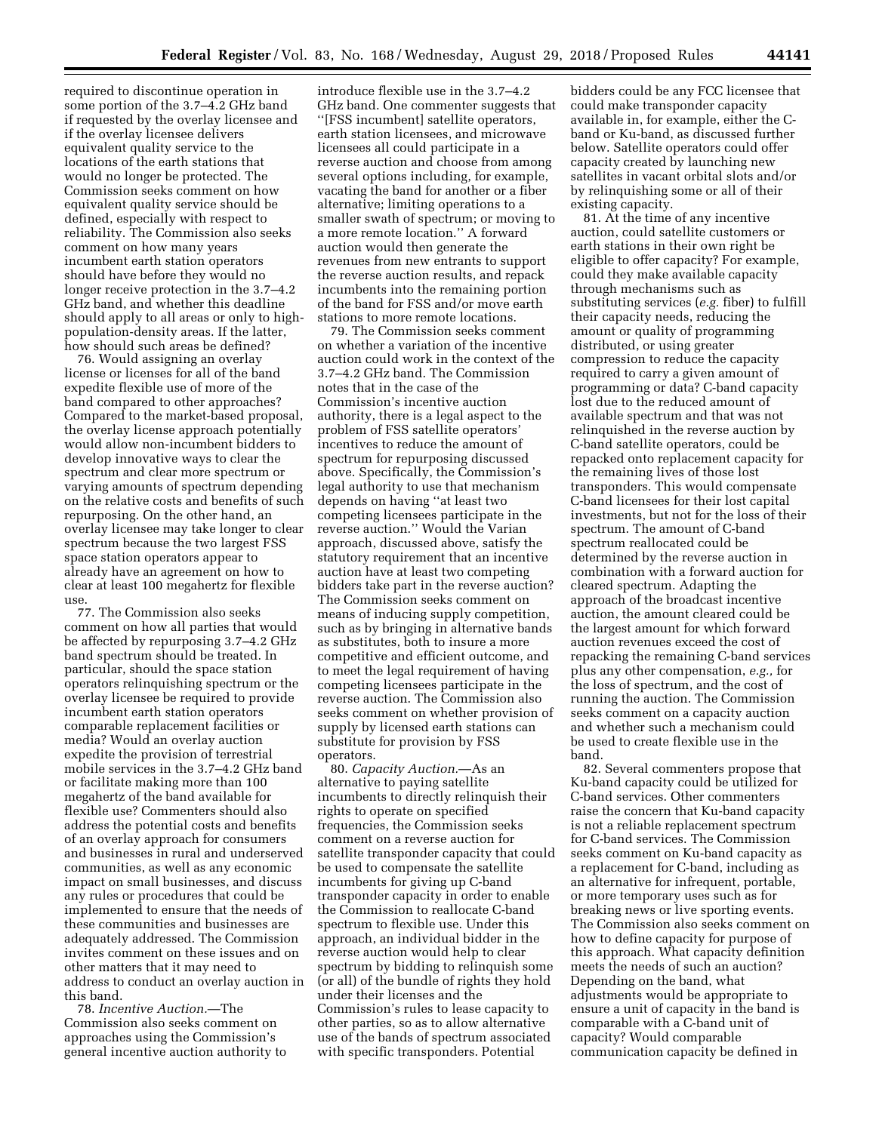required to discontinue operation in some portion of the 3.7–4.2 GHz band if requested by the overlay licensee and if the overlay licensee delivers equivalent quality service to the locations of the earth stations that would no longer be protected. The Commission seeks comment on how equivalent quality service should be defined, especially with respect to reliability. The Commission also seeks comment on how many years incumbent earth station operators should have before they would no longer receive protection in the 3.7–4.2 GHz band, and whether this deadline should apply to all areas or only to highpopulation-density areas. If the latter, how should such areas be defined?

76. Would assigning an overlay license or licenses for all of the band expedite flexible use of more of the band compared to other approaches? Compared to the market-based proposal, the overlay license approach potentially would allow non-incumbent bidders to develop innovative ways to clear the spectrum and clear more spectrum or varying amounts of spectrum depending on the relative costs and benefits of such repurposing. On the other hand, an overlay licensee may take longer to clear spectrum because the two largest FSS space station operators appear to already have an agreement on how to clear at least 100 megahertz for flexible use.

77. The Commission also seeks comment on how all parties that would be affected by repurposing 3.7–4.2 GHz band spectrum should be treated. In particular, should the space station operators relinquishing spectrum or the overlay licensee be required to provide incumbent earth station operators comparable replacement facilities or media? Would an overlay auction expedite the provision of terrestrial mobile services in the 3.7–4.2 GHz band or facilitate making more than 100 megahertz of the band available for flexible use? Commenters should also address the potential costs and benefits of an overlay approach for consumers and businesses in rural and underserved communities, as well as any economic impact on small businesses, and discuss any rules or procedures that could be implemented to ensure that the needs of these communities and businesses are adequately addressed. The Commission invites comment on these issues and on other matters that it may need to address to conduct an overlay auction in this band.

78. *Incentive Auction.*—The Commission also seeks comment on approaches using the Commission's general incentive auction authority to

introduce flexible use in the 3.7–4.2 GHz band. One commenter suggests that ''[FSS incumbent] satellite operators, earth station licensees, and microwave licensees all could participate in a reverse auction and choose from among several options including, for example, vacating the band for another or a fiber alternative; limiting operations to a smaller swath of spectrum; or moving to a more remote location.'' A forward auction would then generate the revenues from new entrants to support the reverse auction results, and repack incumbents into the remaining portion of the band for FSS and/or move earth stations to more remote locations.

79. The Commission seeks comment on whether a variation of the incentive auction could work in the context of the 3.7–4.2 GHz band. The Commission notes that in the case of the Commission's incentive auction authority, there is a legal aspect to the problem of FSS satellite operators' incentives to reduce the amount of spectrum for repurposing discussed above. Specifically, the Commission's legal authority to use that mechanism depends on having ''at least two competing licensees participate in the reverse auction.'' Would the Varian approach, discussed above, satisfy the statutory requirement that an incentive auction have at least two competing bidders take part in the reverse auction? The Commission seeks comment on means of inducing supply competition, such as by bringing in alternative bands as substitutes, both to insure a more competitive and efficient outcome, and to meet the legal requirement of having competing licensees participate in the reverse auction. The Commission also seeks comment on whether provision of supply by licensed earth stations can substitute for provision by FSS operators.

80. *Capacity Auction.*—As an alternative to paying satellite incumbents to directly relinquish their rights to operate on specified frequencies, the Commission seeks comment on a reverse auction for satellite transponder capacity that could be used to compensate the satellite incumbents for giving up C-band transponder capacity in order to enable the Commission to reallocate C-band spectrum to flexible use. Under this approach, an individual bidder in the reverse auction would help to clear spectrum by bidding to relinquish some (or all) of the bundle of rights they hold under their licenses and the Commission's rules to lease capacity to other parties, so as to allow alternative use of the bands of spectrum associated with specific transponders. Potential

bidders could be any FCC licensee that could make transponder capacity available in, for example, either the Cband or Ku-band, as discussed further below. Satellite operators could offer capacity created by launching new satellites in vacant orbital slots and/or by relinquishing some or all of their existing capacity.

81. At the time of any incentive auction, could satellite customers or earth stations in their own right be eligible to offer capacity? For example, could they make available capacity through mechanisms such as substituting services (*e.g.* fiber) to fulfill their capacity needs, reducing the amount or quality of programming distributed, or using greater compression to reduce the capacity required to carry a given amount of programming or data? C-band capacity lost due to the reduced amount of available spectrum and that was not relinquished in the reverse auction by C-band satellite operators, could be repacked onto replacement capacity for the remaining lives of those lost transponders. This would compensate C-band licensees for their lost capital investments, but not for the loss of their spectrum. The amount of C-band spectrum reallocated could be determined by the reverse auction in combination with a forward auction for cleared spectrum. Adapting the approach of the broadcast incentive auction, the amount cleared could be the largest amount for which forward auction revenues exceed the cost of repacking the remaining C-band services plus any other compensation, *e.g.,* for the loss of spectrum, and the cost of running the auction. The Commission seeks comment on a capacity auction and whether such a mechanism could be used to create flexible use in the band.

82. Several commenters propose that Ku-band capacity could be utilized for C-band services. Other commenters raise the concern that Ku-band capacity is not a reliable replacement spectrum for C-band services. The Commission seeks comment on Ku-band capacity as a replacement for C-band, including as an alternative for infrequent, portable, or more temporary uses such as for breaking news or live sporting events. The Commission also seeks comment on how to define capacity for purpose of this approach. What capacity definition meets the needs of such an auction? Depending on the band, what adjustments would be appropriate to ensure a unit of capacity in the band is comparable with a C-band unit of capacity? Would comparable communication capacity be defined in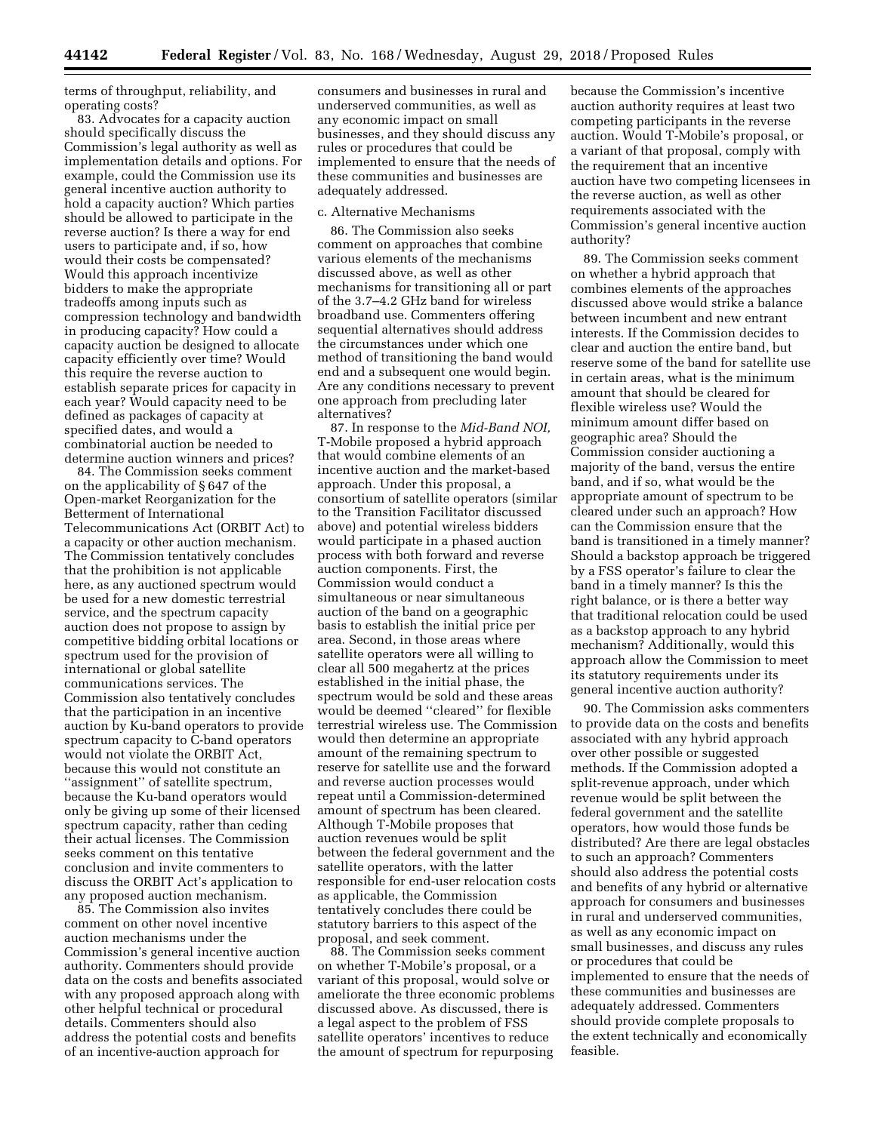terms of throughput, reliability, and operating costs?

83. Advocates for a capacity auction should specifically discuss the Commission's legal authority as well as implementation details and options. For example, could the Commission use its general incentive auction authority to hold a capacity auction? Which parties should be allowed to participate in the reverse auction? Is there a way for end users to participate and, if so, how would their costs be compensated? Would this approach incentivize bidders to make the appropriate tradeoffs among inputs such as compression technology and bandwidth in producing capacity? How could a capacity auction be designed to allocate capacity efficiently over time? Would this require the reverse auction to establish separate prices for capacity in each year? Would capacity need to be defined as packages of capacity at specified dates, and would a combinatorial auction be needed to determine auction winners and prices?

84. The Commission seeks comment on the applicability of § 647 of the Open-market Reorganization for the Betterment of International Telecommunications Act (ORBIT Act) to a capacity or other auction mechanism. The Commission tentatively concludes that the prohibition is not applicable here, as any auctioned spectrum would be used for a new domestic terrestrial service, and the spectrum capacity auction does not propose to assign by competitive bidding orbital locations or spectrum used for the provision of international or global satellite communications services. The Commission also tentatively concludes that the participation in an incentive auction by Ku-band operators to provide spectrum capacity to C-band operators would not violate the ORBIT Act, because this would not constitute an ''assignment'' of satellite spectrum, because the Ku-band operators would only be giving up some of their licensed spectrum capacity, rather than ceding their actual licenses. The Commission seeks comment on this tentative conclusion and invite commenters to discuss the ORBIT Act's application to any proposed auction mechanism.

85. The Commission also invites comment on other novel incentive auction mechanisms under the Commission's general incentive auction authority. Commenters should provide data on the costs and benefits associated with any proposed approach along with other helpful technical or procedural details. Commenters should also address the potential costs and benefits of an incentive-auction approach for

consumers and businesses in rural and underserved communities, as well as any economic impact on small businesses, and they should discuss any rules or procedures that could be implemented to ensure that the needs of these communities and businesses are adequately addressed.

#### c. Alternative Mechanisms

86. The Commission also seeks comment on approaches that combine various elements of the mechanisms discussed above, as well as other mechanisms for transitioning all or part of the 3.7–4.2 GHz band for wireless broadband use. Commenters offering sequential alternatives should address the circumstances under which one method of transitioning the band would end and a subsequent one would begin. Are any conditions necessary to prevent one approach from precluding later alternatives?

87. In response to the *Mid-Band NOI,*  T-Mobile proposed a hybrid approach that would combine elements of an incentive auction and the market-based approach. Under this proposal, a consortium of satellite operators (similar to the Transition Facilitator discussed above) and potential wireless bidders would participate in a phased auction process with both forward and reverse auction components. First, the Commission would conduct a simultaneous or near simultaneous auction of the band on a geographic basis to establish the initial price per area. Second, in those areas where satellite operators were all willing to clear all 500 megahertz at the prices established in the initial phase, the spectrum would be sold and these areas would be deemed ''cleared'' for flexible terrestrial wireless use. The Commission would then determine an appropriate amount of the remaining spectrum to reserve for satellite use and the forward and reverse auction processes would repeat until a Commission-determined amount of spectrum has been cleared. Although T-Mobile proposes that auction revenues would be split between the federal government and the satellite operators, with the latter responsible for end-user relocation costs as applicable, the Commission tentatively concludes there could be statutory barriers to this aspect of the proposal, and seek comment.

88. The Commission seeks comment on whether T-Mobile's proposal, or a variant of this proposal, would solve or ameliorate the three economic problems discussed above. As discussed, there is a legal aspect to the problem of FSS satellite operators' incentives to reduce the amount of spectrum for repurposing

because the Commission's incentive auction authority requires at least two competing participants in the reverse auction. Would T-Mobile's proposal, or a variant of that proposal, comply with the requirement that an incentive auction have two competing licensees in the reverse auction, as well as other requirements associated with the Commission's general incentive auction authority?

89. The Commission seeks comment on whether a hybrid approach that combines elements of the approaches discussed above would strike a balance between incumbent and new entrant interests. If the Commission decides to clear and auction the entire band, but reserve some of the band for satellite use in certain areas, what is the minimum amount that should be cleared for flexible wireless use? Would the minimum amount differ based on geographic area? Should the Commission consider auctioning a majority of the band, versus the entire band, and if so, what would be the appropriate amount of spectrum to be cleared under such an approach? How can the Commission ensure that the band is transitioned in a timely manner? Should a backstop approach be triggered by a FSS operator's failure to clear the band in a timely manner? Is this the right balance, or is there a better way that traditional relocation could be used as a backstop approach to any hybrid mechanism? Additionally, would this approach allow the Commission to meet its statutory requirements under its general incentive auction authority?

90. The Commission asks commenters to provide data on the costs and benefits associated with any hybrid approach over other possible or suggested methods. If the Commission adopted a split-revenue approach, under which revenue would be split between the federal government and the satellite operators, how would those funds be distributed? Are there are legal obstacles to such an approach? Commenters should also address the potential costs and benefits of any hybrid or alternative approach for consumers and businesses in rural and underserved communities, as well as any economic impact on small businesses, and discuss any rules or procedures that could be implemented to ensure that the needs of these communities and businesses are adequately addressed. Commenters should provide complete proposals to the extent technically and economically feasible.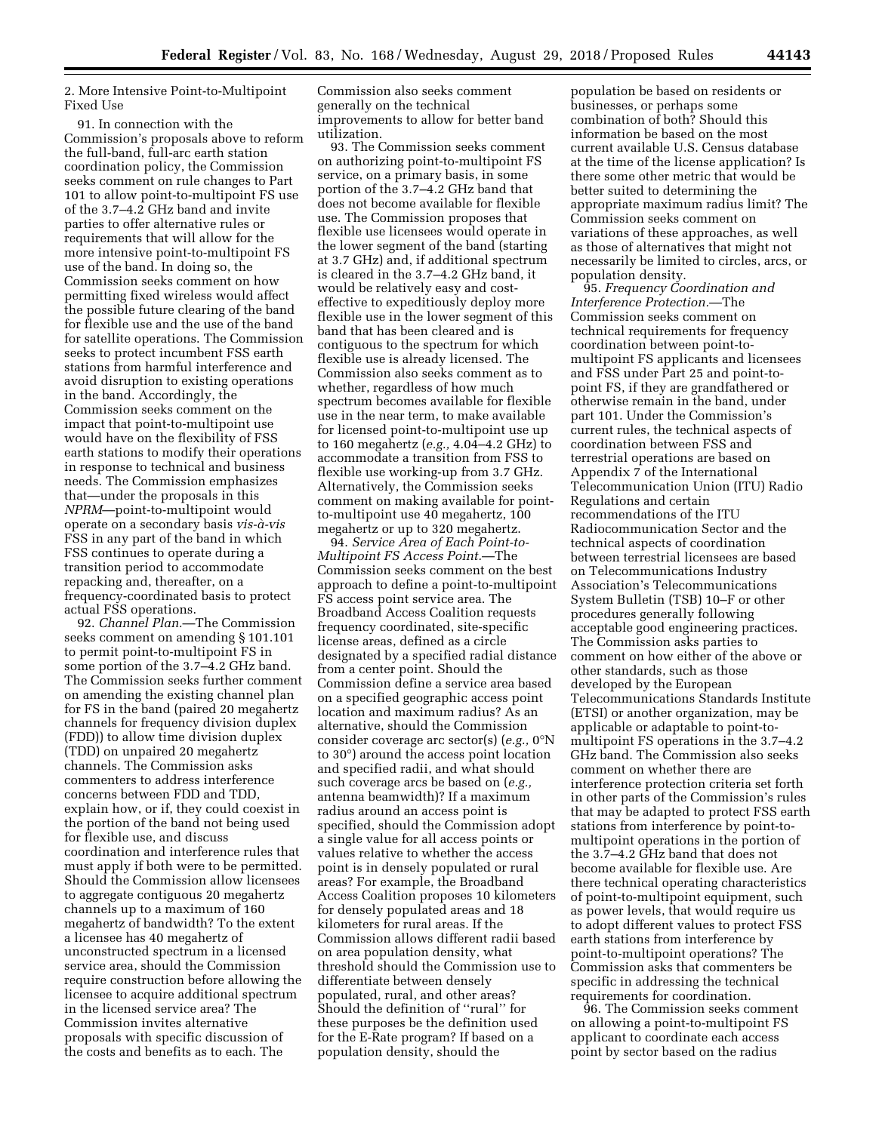2. More Intensive Point-to-Multipoint Fixed Use

91. In connection with the Commission's proposals above to reform the full-band, full-arc earth station coordination policy, the Commission seeks comment on rule changes to Part 101 to allow point-to-multipoint FS use of the 3.7–4.2 GHz band and invite parties to offer alternative rules or requirements that will allow for the more intensive point-to-multipoint FS use of the band. In doing so, the Commission seeks comment on how permitting fixed wireless would affect the possible future clearing of the band for flexible use and the use of the band for satellite operations. The Commission seeks to protect incumbent FSS earth stations from harmful interference and avoid disruption to existing operations in the band. Accordingly, the Commission seeks comment on the impact that point-to-multipoint use would have on the flexibility of FSS earth stations to modify their operations in response to technical and business needs. The Commission emphasizes that—under the proposals in this *NPRM*—point-to-multipoint would operate on a secondary basis *vis-a`-vis*  FSS in any part of the band in which FSS continues to operate during a transition period to accommodate repacking and, thereafter, on a frequency-coordinated basis to protect actual FSS operations.

92. *Channel Plan.*—The Commission seeks comment on amending § 101.101 to permit point-to-multipoint FS in some portion of the 3.7–4.2 GHz band. The Commission seeks further comment on amending the existing channel plan for FS in the band (paired 20 megahertz channels for frequency division duplex (FDD)) to allow time division duplex (TDD) on unpaired 20 megahertz channels. The Commission asks commenters to address interference concerns between FDD and TDD, explain how, or if, they could coexist in the portion of the band not being used for flexible use, and discuss coordination and interference rules that must apply if both were to be permitted. Should the Commission allow licensees to aggregate contiguous 20 megahertz channels up to a maximum of 160 megahertz of bandwidth? To the extent a licensee has 40 megahertz of unconstructed spectrum in a licensed service area, should the Commission require construction before allowing the licensee to acquire additional spectrum in the licensed service area? The Commission invites alternative proposals with specific discussion of the costs and benefits as to each. The

Commission also seeks comment generally on the technical improvements to allow for better band utilization.

93. The Commission seeks comment on authorizing point-to-multipoint FS service, on a primary basis, in some portion of the 3.7–4.2 GHz band that does not become available for flexible use. The Commission proposes that flexible use licensees would operate in the lower segment of the band (starting at 3.7 GHz) and, if additional spectrum is cleared in the 3.7–4.2 GHz band, it would be relatively easy and costeffective to expeditiously deploy more flexible use in the lower segment of this band that has been cleared and is contiguous to the spectrum for which flexible use is already licensed. The Commission also seeks comment as to whether, regardless of how much spectrum becomes available for flexible use in the near term, to make available for licensed point-to-multipoint use up to 160 megahertz (*e.g.,* 4.04–4.2 GHz) to accommodate a transition from FSS to flexible use working-up from 3.7 GHz. Alternatively, the Commission seeks comment on making available for pointto-multipoint use 40 megahertz, 100 megahertz or up to 320 megahertz.

94. *Service Area of Each Point-to-Multipoint FS Access Point.*—The Commission seeks comment on the best approach to define a point-to-multipoint FS access point service area. The Broadband Access Coalition requests frequency coordinated, site-specific license areas, defined as a circle designated by a specified radial distance from a center point. Should the Commission define a service area based on a specified geographic access point location and maximum radius? As an alternative, should the Commission consider coverage arc sector(s) (*e.g.,* 0°N to 30°) around the access point location and specified radii, and what should such coverage arcs be based on (*e.g.,*  antenna beamwidth)? If a maximum radius around an access point is specified, should the Commission adopt a single value for all access points or values relative to whether the access point is in densely populated or rural areas? For example, the Broadband Access Coalition proposes 10 kilometers for densely populated areas and 18 kilometers for rural areas. If the Commission allows different radii based on area population density, what threshold should the Commission use to differentiate between densely populated, rural, and other areas? Should the definition of ''rural'' for these purposes be the definition used for the E-Rate program? If based on a population density, should the

population be based on residents or businesses, or perhaps some combination of both? Should this information be based on the most current available U.S. Census database at the time of the license application? Is there some other metric that would be better suited to determining the appropriate maximum radius limit? The Commission seeks comment on variations of these approaches, as well as those of alternatives that might not necessarily be limited to circles, arcs, or population density.

95. *Frequency Coordination and Interference Protection.*—The Commission seeks comment on technical requirements for frequency coordination between point-tomultipoint FS applicants and licensees and FSS under Part 25 and point-topoint FS, if they are grandfathered or otherwise remain in the band, under part 101. Under the Commission's current rules, the technical aspects of coordination between FSS and terrestrial operations are based on Appendix 7 of the International Telecommunication Union (ITU) Radio Regulations and certain recommendations of the ITU Radiocommunication Sector and the technical aspects of coordination between terrestrial licensees are based on Telecommunications Industry Association's Telecommunications System Bulletin (TSB) 10–F or other procedures generally following acceptable good engineering practices. The Commission asks parties to comment on how either of the above or other standards, such as those developed by the European Telecommunications Standards Institute (ETSI) or another organization, may be applicable or adaptable to point-tomultipoint FS operations in the 3.7–4.2 GHz band. The Commission also seeks comment on whether there are interference protection criteria set forth in other parts of the Commission's rules that may be adapted to protect FSS earth stations from interference by point-tomultipoint operations in the portion of the 3.7–4.2 GHz band that does not become available for flexible use. Are there technical operating characteristics of point-to-multipoint equipment, such as power levels, that would require us to adopt different values to protect FSS earth stations from interference by point-to-multipoint operations? The Commission asks that commenters be specific in addressing the technical requirements for coordination.

96. The Commission seeks comment on allowing a point-to-multipoint FS applicant to coordinate each access point by sector based on the radius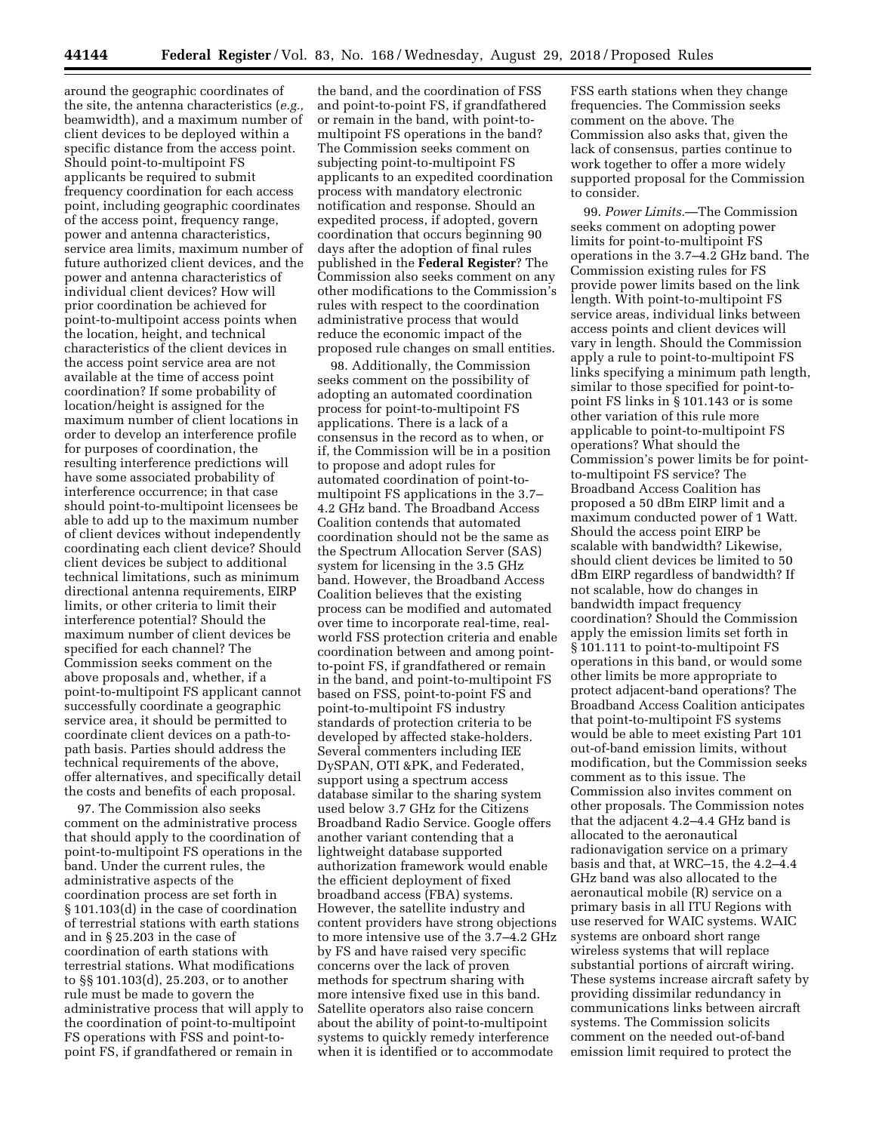around the geographic coordinates of the site, the antenna characteristics (*e.g.,*  beamwidth), and a maximum number of client devices to be deployed within a specific distance from the access point. Should point-to-multipoint FS applicants be required to submit frequency coordination for each access point, including geographic coordinates of the access point, frequency range, power and antenna characteristics, service area limits, maximum number of future authorized client devices, and the power and antenna characteristics of individual client devices? How will prior coordination be achieved for point-to-multipoint access points when the location, height, and technical characteristics of the client devices in the access point service area are not available at the time of access point coordination? If some probability of location/height is assigned for the maximum number of client locations in order to develop an interference profile for purposes of coordination, the resulting interference predictions will have some associated probability of interference occurrence; in that case should point-to-multipoint licensees be able to add up to the maximum number of client devices without independently coordinating each client device? Should client devices be subject to additional technical limitations, such as minimum directional antenna requirements, EIRP limits, or other criteria to limit their interference potential? Should the maximum number of client devices be specified for each channel? The Commission seeks comment on the above proposals and, whether, if a point-to-multipoint FS applicant cannot successfully coordinate a geographic service area, it should be permitted to coordinate client devices on a path-topath basis. Parties should address the technical requirements of the above, offer alternatives, and specifically detail the costs and benefits of each proposal.

97. The Commission also seeks comment on the administrative process that should apply to the coordination of point-to-multipoint FS operations in the band. Under the current rules, the administrative aspects of the coordination process are set forth in § 101.103(d) in the case of coordination of terrestrial stations with earth stations and in § 25.203 in the case of coordination of earth stations with terrestrial stations. What modifications to §§ 101.103(d), 25.203, or to another rule must be made to govern the administrative process that will apply to the coordination of point-to-multipoint FS operations with FSS and point-topoint FS, if grandfathered or remain in

the band, and the coordination of FSS and point-to-point FS, if grandfathered or remain in the band, with point-tomultipoint FS operations in the band? The Commission seeks comment on subjecting point-to-multipoint FS applicants to an expedited coordination process with mandatory electronic notification and response. Should an expedited process, if adopted, govern coordination that occurs beginning 90 days after the adoption of final rules published in the **Federal Register**? The Commission also seeks comment on any other modifications to the Commission's rules with respect to the coordination administrative process that would reduce the economic impact of the proposed rule changes on small entities.

98. Additionally, the Commission seeks comment on the possibility of adopting an automated coordination process for point-to-multipoint FS applications. There is a lack of a consensus in the record as to when, or if, the Commission will be in a position to propose and adopt rules for automated coordination of point-tomultipoint FS applications in the 3.7– 4.2 GHz band. The Broadband Access Coalition contends that automated coordination should not be the same as the Spectrum Allocation Server (SAS) system for licensing in the 3.5 GHz band. However, the Broadband Access Coalition believes that the existing process can be modified and automated over time to incorporate real-time, realworld FSS protection criteria and enable coordination between and among pointto-point FS, if grandfathered or remain in the band, and point-to-multipoint FS based on FSS, point-to-point FS and point-to-multipoint FS industry standards of protection criteria to be developed by affected stake-holders. Several commenters including IEE DySPAN, OTI &PK, and Federated, support using a spectrum access database similar to the sharing system used below 3.7 GHz for the Citizens Broadband Radio Service. Google offers another variant contending that a lightweight database supported authorization framework would enable the efficient deployment of fixed broadband access (FBA) systems. However, the satellite industry and content providers have strong objections to more intensive use of the 3.7–4.2 GHz by FS and have raised very specific concerns over the lack of proven methods for spectrum sharing with more intensive fixed use in this band. Satellite operators also raise concern about the ability of point-to-multipoint systems to quickly remedy interference when it is identified or to accommodate

FSS earth stations when they change frequencies. The Commission seeks comment on the above. The Commission also asks that, given the lack of consensus, parties continue to work together to offer a more widely supported proposal for the Commission to consider.

99. *Power Limits.*—The Commission seeks comment on adopting power limits for point-to-multipoint FS operations in the 3.7–4.2 GHz band. The Commission existing rules for FS provide power limits based on the link length. With point-to-multipoint FS service areas, individual links between access points and client devices will vary in length. Should the Commission apply a rule to point-to-multipoint FS links specifying a minimum path length, similar to those specified for point-topoint FS links in § 101.143 or is some other variation of this rule more applicable to point-to-multipoint FS operations? What should the Commission's power limits be for pointto-multipoint FS service? The Broadband Access Coalition has proposed a 50 dBm EIRP limit and a maximum conducted power of 1 Watt. Should the access point EIRP be scalable with bandwidth? Likewise, should client devices be limited to 50 dBm EIRP regardless of bandwidth? If not scalable, how do changes in bandwidth impact frequency coordination? Should the Commission apply the emission limits set forth in § 101.111 to point-to-multipoint FS operations in this band, or would some other limits be more appropriate to protect adjacent-band operations? The Broadband Access Coalition anticipates that point-to-multipoint FS systems would be able to meet existing Part 101 out-of-band emission limits, without modification, but the Commission seeks comment as to this issue. The Commission also invites comment on other proposals. The Commission notes that the adjacent 4.2–4.4 GHz band is allocated to the aeronautical radionavigation service on a primary basis and that, at WRC–15, the 4.2–4.4 GHz band was also allocated to the aeronautical mobile (R) service on a primary basis in all ITU Regions with use reserved for WAIC systems. WAIC systems are onboard short range wireless systems that will replace substantial portions of aircraft wiring. These systems increase aircraft safety by providing dissimilar redundancy in communications links between aircraft systems. The Commission solicits comment on the needed out-of-band emission limit required to protect the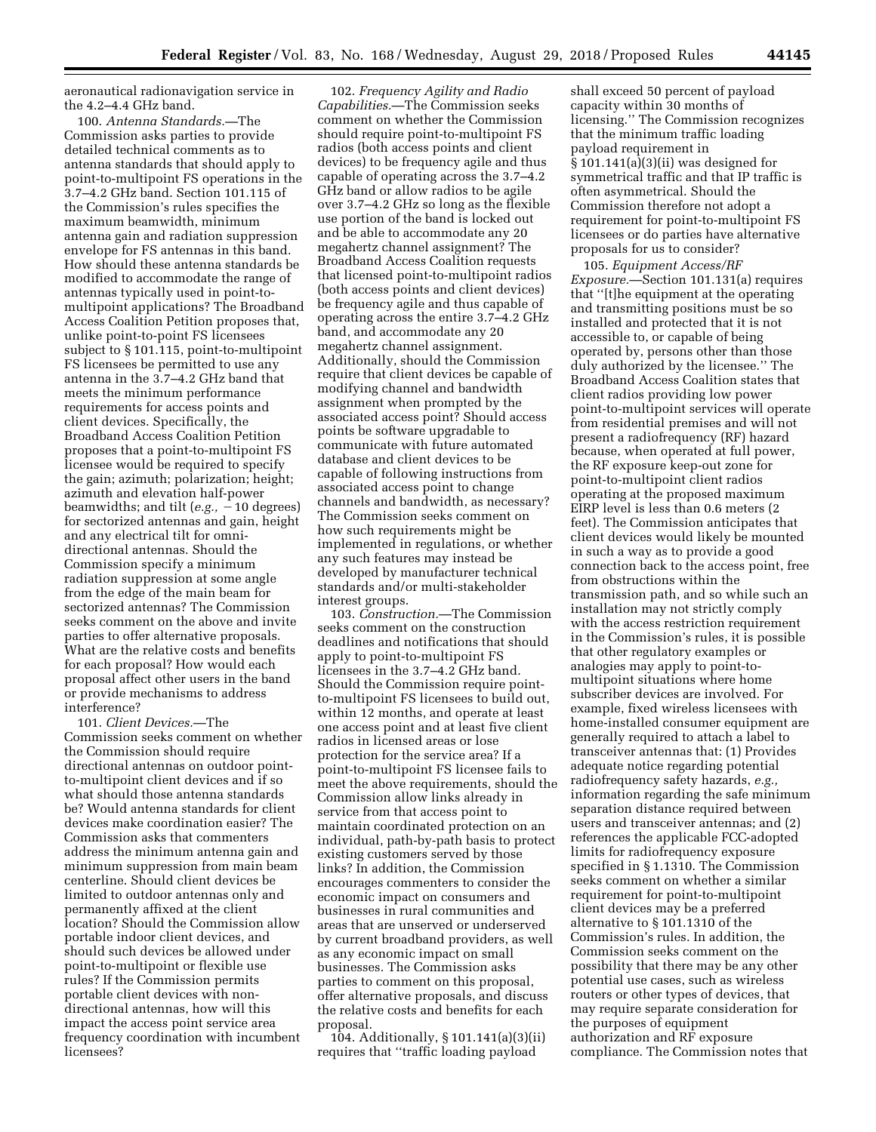aeronautical radionavigation service in the 4.2–4.4 GHz band.

100. *Antenna Standards.—*The Commission asks parties to provide detailed technical comments as to antenna standards that should apply to point-to-multipoint FS operations in the 3.7–4.2 GHz band. Section 101.115 of the Commission's rules specifies the maximum beamwidth, minimum antenna gain and radiation suppression envelope for FS antennas in this band. How should these antenna standards be modified to accommodate the range of antennas typically used in point-tomultipoint applications? The Broadband Access Coalition Petition proposes that, unlike point-to-point FS licensees subject to § 101.115, point-to-multipoint FS licensees be permitted to use any antenna in the 3.7–4.2 GHz band that meets the minimum performance requirements for access points and client devices. Specifically, the Broadband Access Coalition Petition proposes that a point-to-multipoint FS licensee would be required to specify the gain; azimuth; polarization; height; azimuth and elevation half-power beamwidths; and tilt  $(e.g., -10$  degrees) for sectorized antennas and gain, height and any electrical tilt for omnidirectional antennas. Should the Commission specify a minimum radiation suppression at some angle from the edge of the main beam for sectorized antennas? The Commission seeks comment on the above and invite parties to offer alternative proposals. What are the relative costs and benefits for each proposal? How would each proposal affect other users in the band or provide mechanisms to address interference?

101. *Client Devices.*—The Commission seeks comment on whether the Commission should require directional antennas on outdoor pointto-multipoint client devices and if so what should those antenna standards be? Would antenna standards for client devices make coordination easier? The Commission asks that commenters address the minimum antenna gain and minimum suppression from main beam centerline. Should client devices be limited to outdoor antennas only and permanently affixed at the client location? Should the Commission allow portable indoor client devices, and should such devices be allowed under point-to-multipoint or flexible use rules? If the Commission permits portable client devices with nondirectional antennas, how will this impact the access point service area frequency coordination with incumbent licensees?

102. *Frequency Agility and Radio Capabilities.*—The Commission seeks comment on whether the Commission should require point-to-multipoint FS radios (both access points and client devices) to be frequency agile and thus capable of operating across the 3.7–4.2 GHz band or allow radios to be agile over 3.7–4.2 GHz so long as the flexible use portion of the band is locked out and be able to accommodate any 20 megahertz channel assignment? The Broadband Access Coalition requests that licensed point-to-multipoint radios (both access points and client devices) be frequency agile and thus capable of operating across the entire 3.7–4.2 GHz band, and accommodate any 20 megahertz channel assignment. Additionally, should the Commission require that client devices be capable of modifying channel and bandwidth assignment when prompted by the associated access point? Should access points be software upgradable to communicate with future automated database and client devices to be capable of following instructions from associated access point to change channels and bandwidth, as necessary? The Commission seeks comment on how such requirements might be implemented in regulations, or whether any such features may instead be developed by manufacturer technical standards and/or multi-stakeholder interest groups.

103. *Construction.*—The Commission seeks comment on the construction deadlines and notifications that should apply to point-to-multipoint FS licensees in the 3.7–4.2 GHz band. Should the Commission require pointto-multipoint FS licensees to build out, within 12 months, and operate at least one access point and at least five client radios in licensed areas or lose protection for the service area? If a point-to-multipoint FS licensee fails to meet the above requirements, should the Commission allow links already in service from that access point to maintain coordinated protection on an individual, path-by-path basis to protect existing customers served by those links? In addition, the Commission encourages commenters to consider the economic impact on consumers and businesses in rural communities and areas that are unserved or underserved by current broadband providers, as well as any economic impact on small businesses. The Commission asks parties to comment on this proposal, offer alternative proposals, and discuss the relative costs and benefits for each proposal.

104. Additionally, § 101.141(a)(3)(ii) requires that ''traffic loading payload

shall exceed 50 percent of payload capacity within 30 months of licensing.'' The Commission recognizes that the minimum traffic loading payload requirement in  $§ 101.141(a)(3)(ii)$  was designed for symmetrical traffic and that IP traffic is often asymmetrical. Should the Commission therefore not adopt a requirement for point-to-multipoint FS licensees or do parties have alternative proposals for us to consider?

105. *Equipment Access/RF Exposure.*—Section 101.131(a) requires that ''[t]he equipment at the operating and transmitting positions must be so installed and protected that it is not accessible to, or capable of being operated by, persons other than those duly authorized by the licensee.'' The Broadband Access Coalition states that client radios providing low power point-to-multipoint services will operate from residential premises and will not present a radiofrequency (RF) hazard because, when operated at full power, the RF exposure keep-out zone for point-to-multipoint client radios operating at the proposed maximum EIRP level is less than 0.6 meters (2 feet). The Commission anticipates that client devices would likely be mounted in such a way as to provide a good connection back to the access point, free from obstructions within the transmission path, and so while such an installation may not strictly comply with the access restriction requirement in the Commission's rules, it is possible that other regulatory examples or analogies may apply to point-tomultipoint situations where home subscriber devices are involved. For example, fixed wireless licensees with home-installed consumer equipment are generally required to attach a label to transceiver antennas that: (1) Provides adequate notice regarding potential radiofrequency safety hazards, *e.g.,*  information regarding the safe minimum separation distance required between users and transceiver antennas; and (2) references the applicable FCC-adopted limits for radiofrequency exposure specified in § 1.1310. The Commission seeks comment on whether a similar requirement for point-to-multipoint client devices may be a preferred alternative to § 101.1310 of the Commission's rules. In addition, the Commission seeks comment on the possibility that there may be any other potential use cases, such as wireless routers or other types of devices, that may require separate consideration for the purposes of equipment authorization and RF exposure compliance. The Commission notes that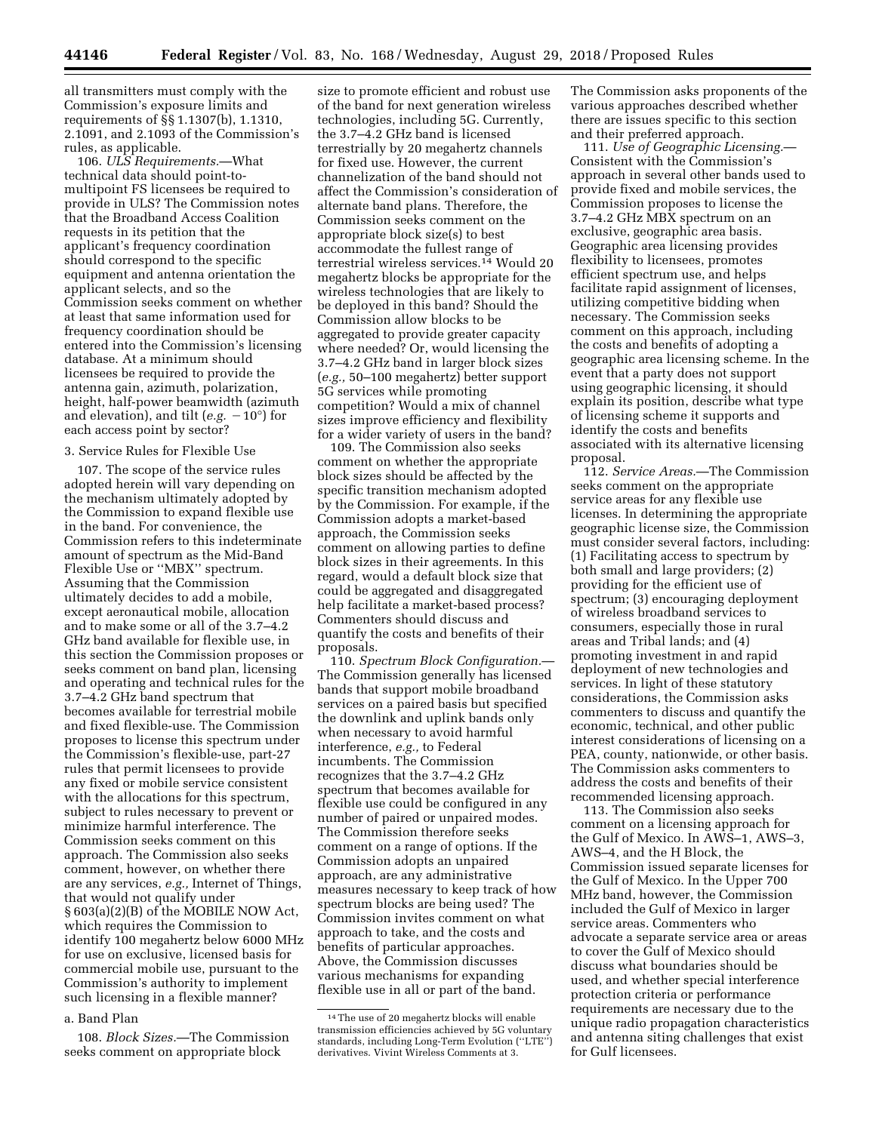all transmitters must comply with the Commission's exposure limits and requirements of §§ 1.1307(b), 1.1310, 2.1091, and 2.1093 of the Commission's rules, as applicable.

106. *ULS Requirements.*—What technical data should point-tomultipoint FS licensees be required to provide in ULS? The Commission notes that the Broadband Access Coalition requests in its petition that the applicant's frequency coordination should correspond to the specific equipment and antenna orientation the applicant selects, and so the Commission seeks comment on whether at least that same information used for frequency coordination should be entered into the Commission's licensing database. At a minimum should licensees be required to provide the antenna gain, azimuth, polarization, height, half-power beamwidth (azimuth and elevation), and tilt ( $e.g. -10^{\circ}$ ) for each access point by sector?

#### 3. Service Rules for Flexible Use

107. The scope of the service rules adopted herein will vary depending on the mechanism ultimately adopted by the Commission to expand flexible use in the band. For convenience, the Commission refers to this indeterminate amount of spectrum as the Mid-Band Flexible Use or ''MBX'' spectrum. Assuming that the Commission ultimately decides to add a mobile, except aeronautical mobile, allocation and to make some or all of the 3.7–4.2 GHz band available for flexible use, in this section the Commission proposes or seeks comment on band plan, licensing and operating and technical rules for the 3.7–4.2 GHz band spectrum that becomes available for terrestrial mobile and fixed flexible-use. The Commission proposes to license this spectrum under the Commission's flexible-use, part-27 rules that permit licensees to provide any fixed or mobile service consistent with the allocations for this spectrum, subject to rules necessary to prevent or minimize harmful interference. The Commission seeks comment on this approach. The Commission also seeks comment, however, on whether there are any services, *e.g.,* Internet of Things, that would not qualify under § 603(a)(2)(B) of the MOBILE NOW Act, which requires the Commission to identify 100 megahertz below 6000 MHz for use on exclusive, licensed basis for commercial mobile use, pursuant to the Commission's authority to implement such licensing in a flexible manner?

# a. Band Plan

108. *Block Sizes.*—The Commission seeks comment on appropriate block

size to promote efficient and robust use of the band for next generation wireless technologies, including 5G. Currently, the 3.7–4.2 GHz band is licensed terrestrially by 20 megahertz channels for fixed use. However, the current channelization of the band should not affect the Commission's consideration of alternate band plans. Therefore, the Commission seeks comment on the appropriate block size(s) to best accommodate the fullest range of terrestrial wireless services.14 Would 20 megahertz blocks be appropriate for the wireless technologies that are likely to be deployed in this band? Should the Commission allow blocks to be aggregated to provide greater capacity where needed? Or, would licensing the 3.7–4.2 GHz band in larger block sizes (*e.g.,* 50–100 megahertz) better support 5G services while promoting competition? Would a mix of channel sizes improve efficiency and flexibility for a wider variety of users in the band?

109. The Commission also seeks comment on whether the appropriate block sizes should be affected by the specific transition mechanism adopted by the Commission. For example, if the Commission adopts a market-based approach, the Commission seeks comment on allowing parties to define block sizes in their agreements. In this regard, would a default block size that could be aggregated and disaggregated help facilitate a market-based process? Commenters should discuss and quantify the costs and benefits of their proposals.

110. *Spectrum Block Configuration.*— The Commission generally has licensed bands that support mobile broadband services on a paired basis but specified the downlink and uplink bands only when necessary to avoid harmful interference, *e.g.,* to Federal incumbents. The Commission recognizes that the 3.7–4.2 GHz spectrum that becomes available for flexible use could be configured in any number of paired or unpaired modes. The Commission therefore seeks comment on a range of options. If the Commission adopts an unpaired approach, are any administrative measures necessary to keep track of how spectrum blocks are being used? The Commission invites comment on what approach to take, and the costs and benefits of particular approaches. Above, the Commission discusses various mechanisms for expanding flexible use in all or part of the band.

The Commission asks proponents of the various approaches described whether there are issues specific to this section and their preferred approach.

111. *Use of Geographic Licensing.*— Consistent with the Commission's approach in several other bands used to provide fixed and mobile services, the Commission proposes to license the 3.7–4.2 GHz MBX spectrum on an exclusive, geographic area basis. Geographic area licensing provides flexibility to licensees, promotes efficient spectrum use, and helps facilitate rapid assignment of licenses, utilizing competitive bidding when necessary. The Commission seeks comment on this approach, including the costs and benefits of adopting a geographic area licensing scheme. In the event that a party does not support using geographic licensing, it should explain its position, describe what type of licensing scheme it supports and identify the costs and benefits associated with its alternative licensing proposal.

112. *Service Areas.*—The Commission seeks comment on the appropriate service areas for any flexible use licenses. In determining the appropriate geographic license size, the Commission must consider several factors, including: (1) Facilitating access to spectrum by both small and large providers; (2) providing for the efficient use of spectrum; (3) encouraging deployment of wireless broadband services to consumers, especially those in rural areas and Tribal lands; and (4) promoting investment in and rapid deployment of new technologies and services. In light of these statutory considerations, the Commission asks commenters to discuss and quantify the economic, technical, and other public interest considerations of licensing on a PEA, county, nationwide, or other basis. The Commission asks commenters to address the costs and benefits of their recommended licensing approach.

113. The Commission also seeks comment on a licensing approach for the Gulf of Mexico. In AWS–1, AWS–3, AWS–4, and the H Block, the Commission issued separate licenses for the Gulf of Mexico. In the Upper 700 MHz band, however, the Commission included the Gulf of Mexico in larger service areas. Commenters who advocate a separate service area or areas to cover the Gulf of Mexico should discuss what boundaries should be used, and whether special interference protection criteria or performance requirements are necessary due to the unique radio propagation characteristics and antenna siting challenges that exist for Gulf licensees.

<sup>14</sup>The use of 20 megahertz blocks will enable transmission efficiencies achieved by 5G voluntary standards, including Long-Term Evolution (''LTE'') derivatives. Vivint Wireless Comments at 3.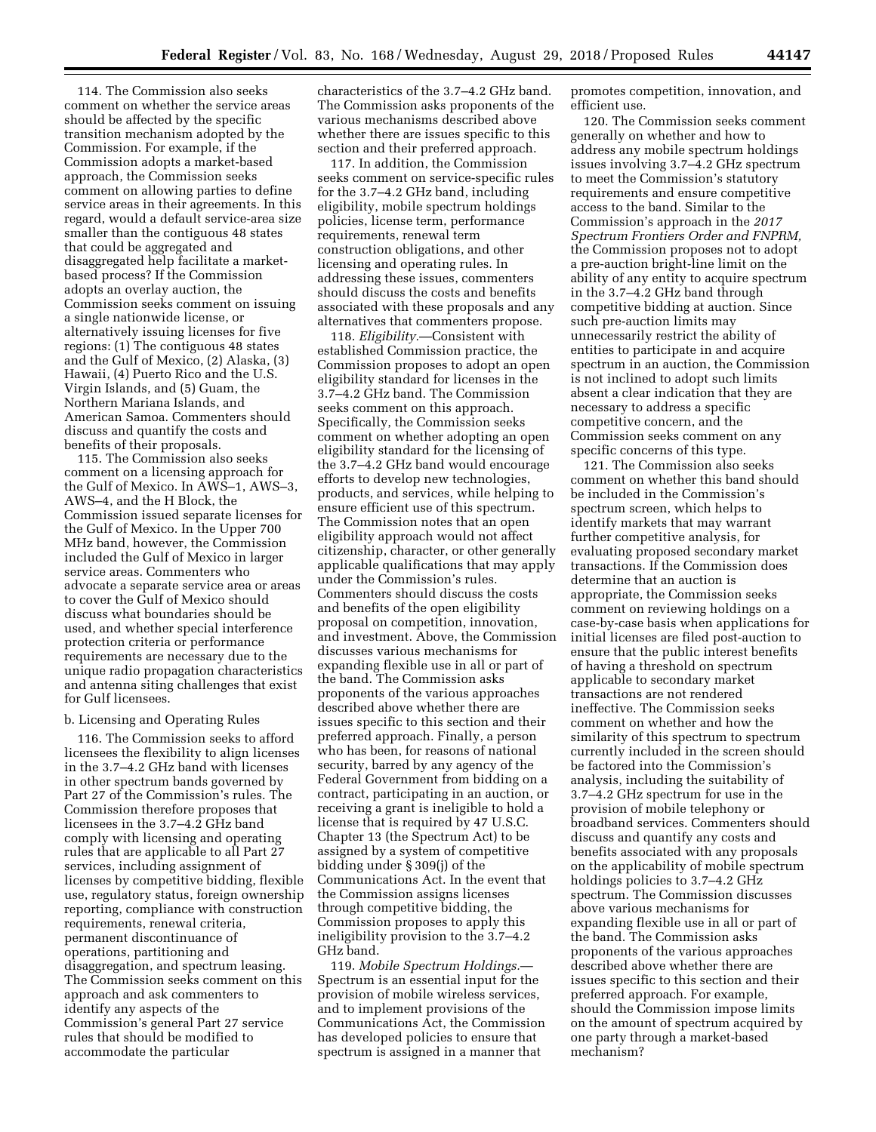114. The Commission also seeks comment on whether the service areas should be affected by the specific transition mechanism adopted by the Commission. For example, if the Commission adopts a market-based approach, the Commission seeks comment on allowing parties to define service areas in their agreements. In this regard, would a default service-area size smaller than the contiguous 48 states that could be aggregated and disaggregated help facilitate a marketbased process? If the Commission adopts an overlay auction, the Commission seeks comment on issuing a single nationwide license, or alternatively issuing licenses for five regions: (1) The contiguous 48 states and the Gulf of Mexico, (2) Alaska, (3) Hawaii, (4) Puerto Rico and the U.S. Virgin Islands, and (5) Guam, the Northern Mariana Islands, and American Samoa. Commenters should discuss and quantify the costs and benefits of their proposals.

115. The Commission also seeks comment on a licensing approach for the Gulf of Mexico. In AWS–1, AWS–3, AWS–4, and the H Block, the Commission issued separate licenses for the Gulf of Mexico. In the Upper 700 MHz band, however, the Commission included the Gulf of Mexico in larger service areas. Commenters who advocate a separate service area or areas to cover the Gulf of Mexico should discuss what boundaries should be used, and whether special interference protection criteria or performance requirements are necessary due to the unique radio propagation characteristics and antenna siting challenges that exist for Gulf licensees.

#### b. Licensing and Operating Rules

116. The Commission seeks to afford licensees the flexibility to align licenses in the 3.7–4.2 GHz band with licenses in other spectrum bands governed by Part 27 of the Commission's rules. The Commission therefore proposes that licensees in the 3.7–4.2 GHz band comply with licensing and operating rules that are applicable to all Part 27 services, including assignment of licenses by competitive bidding, flexible use, regulatory status, foreign ownership reporting, compliance with construction requirements, renewal criteria, permanent discontinuance of operations, partitioning and disaggregation, and spectrum leasing. The Commission seeks comment on this approach and ask commenters to identify any aspects of the Commission's general Part 27 service rules that should be modified to accommodate the particular

characteristics of the 3.7–4.2 GHz band. The Commission asks proponents of the various mechanisms described above whether there are issues specific to this section and their preferred approach.

117. In addition, the Commission seeks comment on service-specific rules for the 3.7–4.2 GHz band, including eligibility, mobile spectrum holdings policies, license term, performance requirements, renewal term construction obligations, and other licensing and operating rules. In addressing these issues, commenters should discuss the costs and benefits associated with these proposals and any alternatives that commenters propose.

118. *Eligibility.*—Consistent with established Commission practice, the Commission proposes to adopt an open eligibility standard for licenses in the 3.7–4.2 GHz band. The Commission seeks comment on this approach. Specifically, the Commission seeks comment on whether adopting an open eligibility standard for the licensing of the 3.7–4.2 GHz band would encourage efforts to develop new technologies, products, and services, while helping to ensure efficient use of this spectrum. The Commission notes that an open eligibility approach would not affect citizenship, character, or other generally applicable qualifications that may apply under the Commission's rules. Commenters should discuss the costs and benefits of the open eligibility proposal on competition, innovation, and investment. Above, the Commission discusses various mechanisms for expanding flexible use in all or part of the band. The Commission asks proponents of the various approaches described above whether there are issues specific to this section and their preferred approach. Finally, a person who has been, for reasons of national security, barred by any agency of the Federal Government from bidding on a contract, participating in an auction, or receiving a grant is ineligible to hold a license that is required by 47 U.S.C. Chapter 13 (the Spectrum Act) to be assigned by a system of competitive bidding under § 309(j) of the Communications Act. In the event that the Commission assigns licenses through competitive bidding, the Commission proposes to apply this ineligibility provision to the 3.7–4.2 GHz band.

119. *Mobile Spectrum Holdings.*— Spectrum is an essential input for the provision of mobile wireless services, and to implement provisions of the Communications Act, the Commission has developed policies to ensure that spectrum is assigned in a manner that

promotes competition, innovation, and efficient use.

120. The Commission seeks comment generally on whether and how to address any mobile spectrum holdings issues involving 3.7–4.2 GHz spectrum to meet the Commission's statutory requirements and ensure competitive access to the band. Similar to the Commission's approach in the *2017 Spectrum Frontiers Order and FNPRM,*  the Commission proposes not to adopt a pre-auction bright-line limit on the ability of any entity to acquire spectrum in the 3.7–4.2 GHz band through competitive bidding at auction. Since such pre-auction limits may unnecessarily restrict the ability of entities to participate in and acquire spectrum in an auction, the Commission is not inclined to adopt such limits absent a clear indication that they are necessary to address a specific competitive concern, and the Commission seeks comment on any specific concerns of this type.

121. The Commission also seeks comment on whether this band should be included in the Commission's spectrum screen, which helps to identify markets that may warrant further competitive analysis, for evaluating proposed secondary market transactions. If the Commission does determine that an auction is appropriate, the Commission seeks comment on reviewing holdings on a case-by-case basis when applications for initial licenses are filed post-auction to ensure that the public interest benefits of having a threshold on spectrum applicable to secondary market transactions are not rendered ineffective. The Commission seeks comment on whether and how the similarity of this spectrum to spectrum currently included in the screen should be factored into the Commission's analysis, including the suitability of 3.7–4.2 GHz spectrum for use in the provision of mobile telephony or broadband services. Commenters should discuss and quantify any costs and benefits associated with any proposals on the applicability of mobile spectrum holdings policies to 3.7–4.2 GHz spectrum. The Commission discusses above various mechanisms for expanding flexible use in all or part of the band. The Commission asks proponents of the various approaches described above whether there are issues specific to this section and their preferred approach. For example, should the Commission impose limits on the amount of spectrum acquired by one party through a market-based mechanism?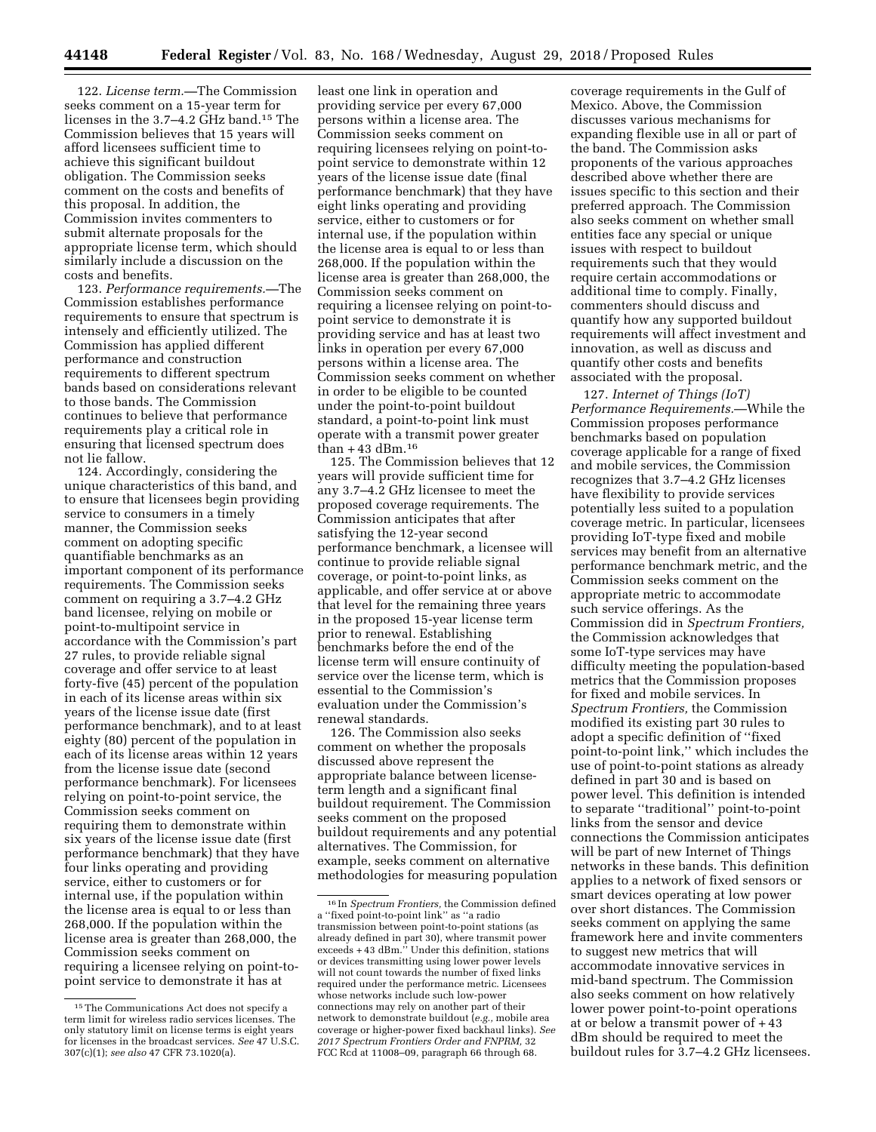122. *License term.—*The Commission seeks comment on a 15-year term for licenses in the 3.7–4.2 GHz band.15 The Commission believes that 15 years will afford licensees sufficient time to achieve this significant buildout obligation. The Commission seeks comment on the costs and benefits of this proposal. In addition, the Commission invites commenters to submit alternate proposals for the appropriate license term, which should similarly include a discussion on the costs and benefits.

123. *Performance requirements.—*The Commission establishes performance requirements to ensure that spectrum is intensely and efficiently utilized. The Commission has applied different performance and construction requirements to different spectrum bands based on considerations relevant to those bands. The Commission continues to believe that performance requirements play a critical role in ensuring that licensed spectrum does not lie fallow.

124. Accordingly, considering the unique characteristics of this band, and to ensure that licensees begin providing service to consumers in a timely manner, the Commission seeks comment on adopting specific quantifiable benchmarks as an important component of its performance requirements. The Commission seeks comment on requiring a 3.7–4.2 GHz band licensee, relying on mobile or point-to-multipoint service in accordance with the Commission's part 27 rules, to provide reliable signal coverage and offer service to at least forty-five (45) percent of the population in each of its license areas within six years of the license issue date (first performance benchmark), and to at least eighty (80) percent of the population in each of its license areas within 12 years from the license issue date (second performance benchmark). For licensees relying on point-to-point service, the Commission seeks comment on requiring them to demonstrate within six years of the license issue date (first performance benchmark) that they have four links operating and providing service, either to customers or for internal use, if the population within the license area is equal to or less than 268,000. If the population within the license area is greater than 268,000, the Commission seeks comment on requiring a licensee relying on point-topoint service to demonstrate it has at

least one link in operation and providing service per every 67,000 persons within a license area. The Commission seeks comment on requiring licensees relying on point-topoint service to demonstrate within 12 years of the license issue date (final performance benchmark) that they have eight links operating and providing service, either to customers or for internal use, if the population within the license area is equal to or less than 268,000. If the population within the license area is greater than 268,000, the Commission seeks comment on requiring a licensee relying on point-topoint service to demonstrate it is providing service and has at least two links in operation per every 67,000 persons within a license area. The Commission seeks comment on whether in order to be eligible to be counted under the point-to-point buildout standard, a point-to-point link must operate with a transmit power greater than  $+43$  dBm.<sup>16</sup>

125. The Commission believes that 12 years will provide sufficient time for any 3.7–4.2 GHz licensee to meet the proposed coverage requirements. The Commission anticipates that after satisfying the 12-year second performance benchmark, a licensee will continue to provide reliable signal coverage, or point-to-point links, as applicable, and offer service at or above that level for the remaining three years in the proposed 15-year license term prior to renewal. Establishing benchmarks before the end of the license term will ensure continuity of service over the license term, which is essential to the Commission's evaluation under the Commission's renewal standards.

126. The Commission also seeks comment on whether the proposals discussed above represent the appropriate balance between licenseterm length and a significant final buildout requirement. The Commission seeks comment on the proposed buildout requirements and any potential alternatives. The Commission, for example, seeks comment on alternative methodologies for measuring population

coverage requirements in the Gulf of Mexico. Above, the Commission discusses various mechanisms for expanding flexible use in all or part of the band. The Commission asks proponents of the various approaches described above whether there are issues specific to this section and their preferred approach. The Commission also seeks comment on whether small entities face any special or unique issues with respect to buildout requirements such that they would require certain accommodations or additional time to comply. Finally, commenters should discuss and quantify how any supported buildout requirements will affect investment and innovation, as well as discuss and quantify other costs and benefits associated with the proposal.

127. *Internet of Things (IoT) Performance Requirements.*—While the Commission proposes performance benchmarks based on population coverage applicable for a range of fixed and mobile services, the Commission recognizes that 3.7–4.2 GHz licenses have flexibility to provide services potentially less suited to a population coverage metric. In particular, licensees providing IoT-type fixed and mobile services may benefit from an alternative performance benchmark metric, and the Commission seeks comment on the appropriate metric to accommodate such service offerings. As the Commission did in *Spectrum Frontiers,*  the Commission acknowledges that some IoT-type services may have difficulty meeting the population-based metrics that the Commission proposes for fixed and mobile services. In *Spectrum Frontiers,* the Commission modified its existing part 30 rules to adopt a specific definition of ''fixed point-to-point link,'' which includes the use of point-to-point stations as already defined in part 30 and is based on power level. This definition is intended to separate ''traditional'' point-to-point links from the sensor and device connections the Commission anticipates will be part of new Internet of Things networks in these bands. This definition applies to a network of fixed sensors or smart devices operating at low power over short distances. The Commission seeks comment on applying the same framework here and invite commenters to suggest new metrics that will accommodate innovative services in mid-band spectrum. The Commission also seeks comment on how relatively lower power point-to-point operations at or below a transmit power of + 43 dBm should be required to meet the buildout rules for 3.7–4.2 GHz licensees.

<sup>15</sup>The Communications Act does not specify a term limit for wireless radio services licenses. The only statutory limit on license terms is eight years for licenses in the broadcast services. *See* 47 U.S.C. 307(c)(1); *see also* 47 CFR 73.1020(a).

<sup>16</sup> In *Spectrum Frontiers,* the Commission defined a ''fixed point-to-point link'' as ''a radio transmission between point-to-point stations (as already defined in part 30), where transmit power exceeds + 43 dBm.'' Under this definition, stations or devices transmitting using lower power levels will not count towards the number of fixed links required under the performance metric. Licensees whose networks include such low-power connections may rely on another part of their network to demonstrate buildout (*e.g.,* mobile area coverage or higher-power fixed backhaul links). *See 2017 Spectrum Frontiers Order and FNPRM,* 32 FCC Rcd at 11008-09, paragraph 66 through 68.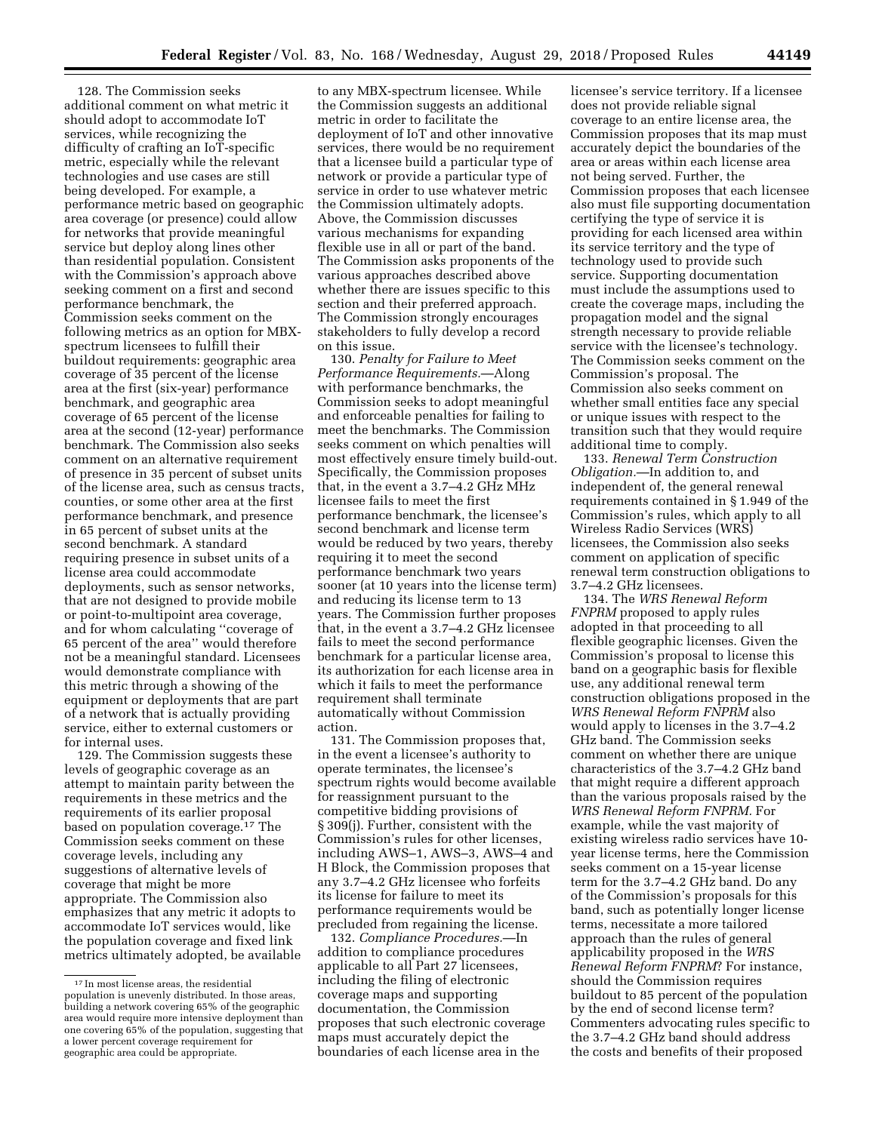128. The Commission seeks additional comment on what metric it should adopt to accommodate IoT services, while recognizing the difficulty of crafting an IoT-specific metric, especially while the relevant technologies and use cases are still being developed. For example, a performance metric based on geographic area coverage (or presence) could allow for networks that provide meaningful service but deploy along lines other than residential population. Consistent with the Commission's approach above seeking comment on a first and second performance benchmark, the Commission seeks comment on the following metrics as an option for MBXspectrum licensees to fulfill their buildout requirements: geographic area coverage of 35 percent of the license area at the first (six-year) performance benchmark, and geographic area coverage of 65 percent of the license area at the second (12-year) performance benchmark. The Commission also seeks comment on an alternative requirement of presence in 35 percent of subset units of the license area, such as census tracts, counties, or some other area at the first performance benchmark, and presence in 65 percent of subset units at the second benchmark. A standard requiring presence in subset units of a license area could accommodate deployments, such as sensor networks, that are not designed to provide mobile or point-to-multipoint area coverage, and for whom calculating ''coverage of 65 percent of the area'' would therefore not be a meaningful standard. Licensees would demonstrate compliance with this metric through a showing of the equipment or deployments that are part of a network that is actually providing service, either to external customers or for internal uses.

129. The Commission suggests these levels of geographic coverage as an attempt to maintain parity between the requirements in these metrics and the requirements of its earlier proposal based on population coverage.17 The Commission seeks comment on these coverage levels, including any suggestions of alternative levels of coverage that might be more appropriate. The Commission also emphasizes that any metric it adopts to accommodate IoT services would, like the population coverage and fixed link metrics ultimately adopted, be available

to any MBX-spectrum licensee. While the Commission suggests an additional metric in order to facilitate the deployment of IoT and other innovative services, there would be no requirement that a licensee build a particular type of network or provide a particular type of service in order to use whatever metric the Commission ultimately adopts. Above, the Commission discusses various mechanisms for expanding flexible use in all or part of the band. The Commission asks proponents of the various approaches described above whether there are issues specific to this section and their preferred approach. The Commission strongly encourages stakeholders to fully develop a record on this issue.

130. *Penalty for Failure to Meet Performance Requirements.*—Along with performance benchmarks, the Commission seeks to adopt meaningful and enforceable penalties for failing to meet the benchmarks. The Commission seeks comment on which penalties will most effectively ensure timely build-out. Specifically, the Commission proposes that, in the event a 3.7–4.2 GHz MHz licensee fails to meet the first performance benchmark, the licensee's second benchmark and license term would be reduced by two years, thereby requiring it to meet the second performance benchmark two years sooner (at 10 years into the license term) and reducing its license term to 13 years. The Commission further proposes that, in the event a 3.7–4.2 GHz licensee fails to meet the second performance benchmark for a particular license area, its authorization for each license area in which it fails to meet the performance requirement shall terminate automatically without Commission action.

131. The Commission proposes that, in the event a licensee's authority to operate terminates, the licensee's spectrum rights would become available for reassignment pursuant to the competitive bidding provisions of § 309(j). Further, consistent with the Commission's rules for other licenses, including AWS–1, AWS–3, AWS–4 and H Block, the Commission proposes that any 3.7–4.2 GHz licensee who forfeits its license for failure to meet its performance requirements would be precluded from regaining the license.

132. *Compliance Procedures.*—In addition to compliance procedures applicable to all Part 27 licensees, including the filing of electronic coverage maps and supporting documentation, the Commission proposes that such electronic coverage maps must accurately depict the boundaries of each license area in the

licensee's service territory. If a licensee does not provide reliable signal coverage to an entire license area, the Commission proposes that its map must accurately depict the boundaries of the area or areas within each license area not being served. Further, the Commission proposes that each licensee also must file supporting documentation certifying the type of service it is providing for each licensed area within its service territory and the type of technology used to provide such service. Supporting documentation must include the assumptions used to create the coverage maps, including the propagation model and the signal strength necessary to provide reliable service with the licensee's technology. The Commission seeks comment on the Commission's proposal. The Commission also seeks comment on whether small entities face any special or unique issues with respect to the transition such that they would require additional time to comply.

133. *Renewal Term Construction Obligation.*—In addition to, and independent of, the general renewal requirements contained in § 1.949 of the Commission's rules, which apply to all Wireless Radio Services (WRS) licensees, the Commission also seeks comment on application of specific renewal term construction obligations to 3.7–4.2 GHz licensees.

134. The *WRS Renewal Reform FNPRM* proposed to apply rules adopted in that proceeding to all flexible geographic licenses. Given the Commission's proposal to license this band on a geographic basis for flexible use, any additional renewal term construction obligations proposed in the *WRS Renewal Reform FNPRM* also would apply to licenses in the 3.7–4.2 GHz band. The Commission seeks comment on whether there are unique characteristics of the 3.7–4.2 GHz band that might require a different approach than the various proposals raised by the *WRS Renewal Reform FNPRM.* For example, while the vast majority of existing wireless radio services have 10 year license terms, here the Commission seeks comment on a 15-year license term for the 3.7–4.2 GHz band. Do any of the Commission's proposals for this band, such as potentially longer license terms, necessitate a more tailored approach than the rules of general applicability proposed in the *WRS Renewal Reform FNPRM*? For instance, should the Commission requires buildout to 85 percent of the population by the end of second license term? Commenters advocating rules specific to the 3.7–4.2 GHz band should address the costs and benefits of their proposed

<sup>17</sup> In most license areas, the residential population is unevenly distributed. In those areas, building a network covering 65% of the geographic area would require more intensive deployment than one covering 65% of the population, suggesting that a lower percent coverage requirement for geographic area could be appropriate.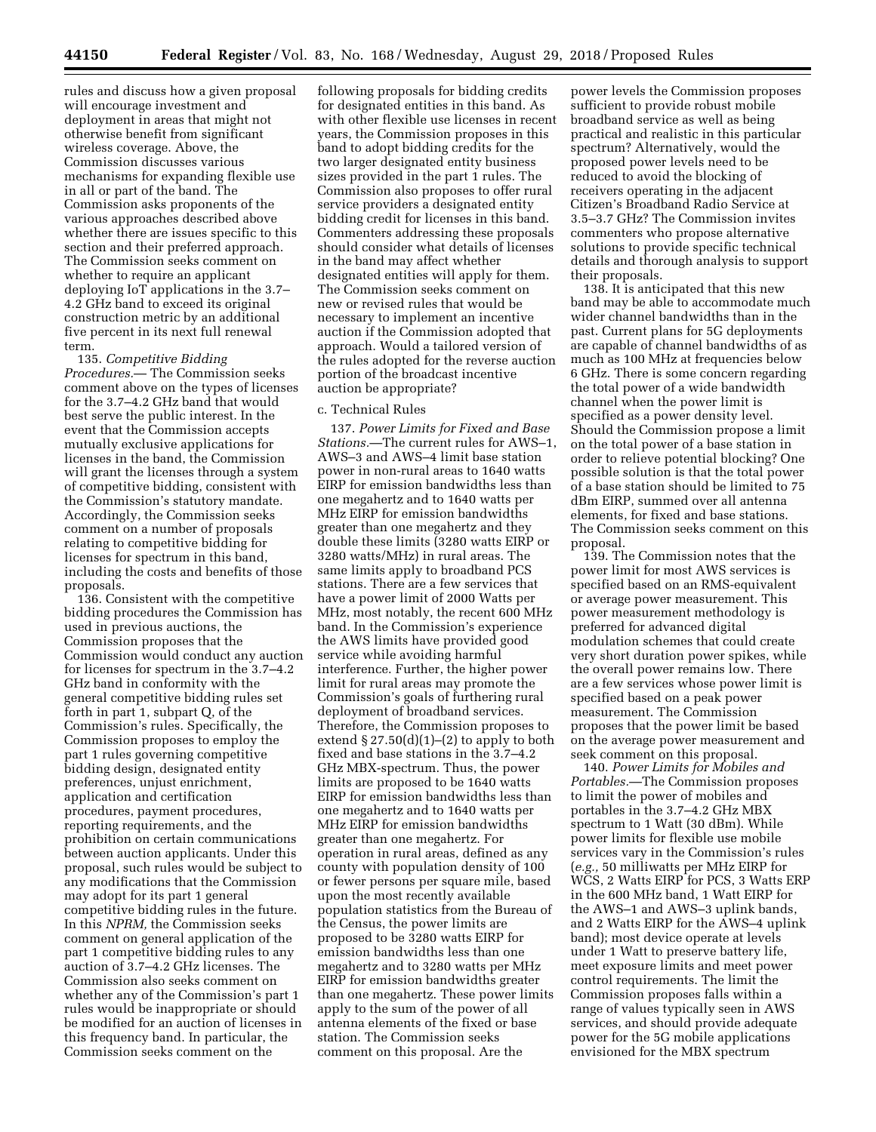rules and discuss how a given proposal will encourage investment and deployment in areas that might not otherwise benefit from significant wireless coverage. Above, the Commission discusses various mechanisms for expanding flexible use in all or part of the band. The Commission asks proponents of the various approaches described above whether there are issues specific to this section and their preferred approach. The Commission seeks comment on whether to require an applicant deploying IoT applications in the 3.7– 4.2 GHz band to exceed its original construction metric by an additional five percent in its next full renewal term.

135. *Competitive Bidding Procedures.*— The Commission seeks comment above on the types of licenses for the 3.7–4.2 GHz band that would best serve the public interest. In the event that the Commission accepts mutually exclusive applications for licenses in the band, the Commission will grant the licenses through a system of competitive bidding, consistent with the Commission's statutory mandate. Accordingly, the Commission seeks comment on a number of proposals relating to competitive bidding for licenses for spectrum in this band, including the costs and benefits of those proposals.

136. Consistent with the competitive bidding procedures the Commission has used in previous auctions, the Commission proposes that the Commission would conduct any auction for licenses for spectrum in the 3.7–4.2 GHz band in conformity with the general competitive bidding rules set forth in part 1, subpart Q, of the Commission's rules. Specifically, the Commission proposes to employ the part 1 rules governing competitive bidding design, designated entity preferences, unjust enrichment, application and certification procedures, payment procedures, reporting requirements, and the prohibition on certain communications between auction applicants. Under this proposal, such rules would be subject to any modifications that the Commission may adopt for its part 1 general competitive bidding rules in the future. In this *NPRM,* the Commission seeks comment on general application of the part 1 competitive bidding rules to any auction of 3.7–4.2 GHz licenses. The Commission also seeks comment on whether any of the Commission's part 1 rules would be inappropriate or should be modified for an auction of licenses in this frequency band. In particular, the Commission seeks comment on the

following proposals for bidding credits for designated entities in this band. As with other flexible use licenses in recent years, the Commission proposes in this band to adopt bidding credits for the two larger designated entity business sizes provided in the part 1 rules. The Commission also proposes to offer rural service providers a designated entity bidding credit for licenses in this band. Commenters addressing these proposals should consider what details of licenses in the band may affect whether designated entities will apply for them. The Commission seeks comment on new or revised rules that would be necessary to implement an incentive auction if the Commission adopted that approach. Would a tailored version of the rules adopted for the reverse auction portion of the broadcast incentive auction be appropriate?

## c. Technical Rules

137. *Power Limits for Fixed and Base Stations.*—The current rules for AWS–1, AWS–3 and AWS–4 limit base station power in non-rural areas to 1640 watts EIRP for emission bandwidths less than one megahertz and to 1640 watts per MHz EIRP for emission bandwidths greater than one megahertz and they double these limits (3280 watts EIRP or 3280 watts/MHz) in rural areas. The same limits apply to broadband PCS stations. There are a few services that have a power limit of 2000 Watts per MHz, most notably, the recent 600 MHz band. In the Commission's experience the AWS limits have provided good service while avoiding harmful interference. Further, the higher power limit for rural areas may promote the Commission's goals of furthering rural deployment of broadband services. Therefore, the Commission proposes to extend  $\S 27.50(d)(1)–(2)$  to apply to both fixed and base stations in the 3.7–4.2 GHz MBX-spectrum. Thus, the power limits are proposed to be 1640 watts EIRP for emission bandwidths less than one megahertz and to 1640 watts per MHz EIRP for emission bandwidths greater than one megahertz. For operation in rural areas, defined as any county with population density of 100 or fewer persons per square mile, based upon the most recently available population statistics from the Bureau of the Census, the power limits are proposed to be 3280 watts EIRP for emission bandwidths less than one megahertz and to 3280 watts per MHz EIRP for emission bandwidths greater than one megahertz. These power limits apply to the sum of the power of all antenna elements of the fixed or base station. The Commission seeks comment on this proposal. Are the

power levels the Commission proposes sufficient to provide robust mobile broadband service as well as being practical and realistic in this particular spectrum? Alternatively, would the proposed power levels need to be reduced to avoid the blocking of receivers operating in the adjacent Citizen's Broadband Radio Service at 3.5–3.7 GHz? The Commission invites commenters who propose alternative solutions to provide specific technical details and thorough analysis to support their proposals.

138. It is anticipated that this new band may be able to accommodate much wider channel bandwidths than in the past. Current plans for 5G deployments are capable of channel bandwidths of as much as 100 MHz at frequencies below 6 GHz. There is some concern regarding the total power of a wide bandwidth channel when the power limit is specified as a power density level. Should the Commission propose a limit on the total power of a base station in order to relieve potential blocking? One possible solution is that the total power of a base station should be limited to 75 dBm EIRP, summed over all antenna elements, for fixed and base stations. The Commission seeks comment on this proposal.

139. The Commission notes that the power limit for most AWS services is specified based on an RMS-equivalent or average power measurement. This power measurement methodology is preferred for advanced digital modulation schemes that could create very short duration power spikes, while the overall power remains low. There are a few services whose power limit is specified based on a peak power measurement. The Commission proposes that the power limit be based on the average power measurement and seek comment on this proposal.

140. *Power Limits for Mobiles and Portables.*—The Commission proposes to limit the power of mobiles and portables in the 3.7–4.2 GHz MBX spectrum to 1 Watt (30 dBm). While power limits for flexible use mobile services vary in the Commission's rules (*e.g.,* 50 milliwatts per MHz EIRP for WCS, 2 Watts EIRP for PCS, 3 Watts ERP in the 600 MHz band, 1 Watt EIRP for the AWS–1 and AWS–3 uplink bands, and 2 Watts EIRP for the AWS–4 uplink band); most device operate at levels under 1 Watt to preserve battery life, meet exposure limits and meet power control requirements. The limit the Commission proposes falls within a range of values typically seen in AWS services, and should provide adequate power for the 5G mobile applications envisioned for the MBX spectrum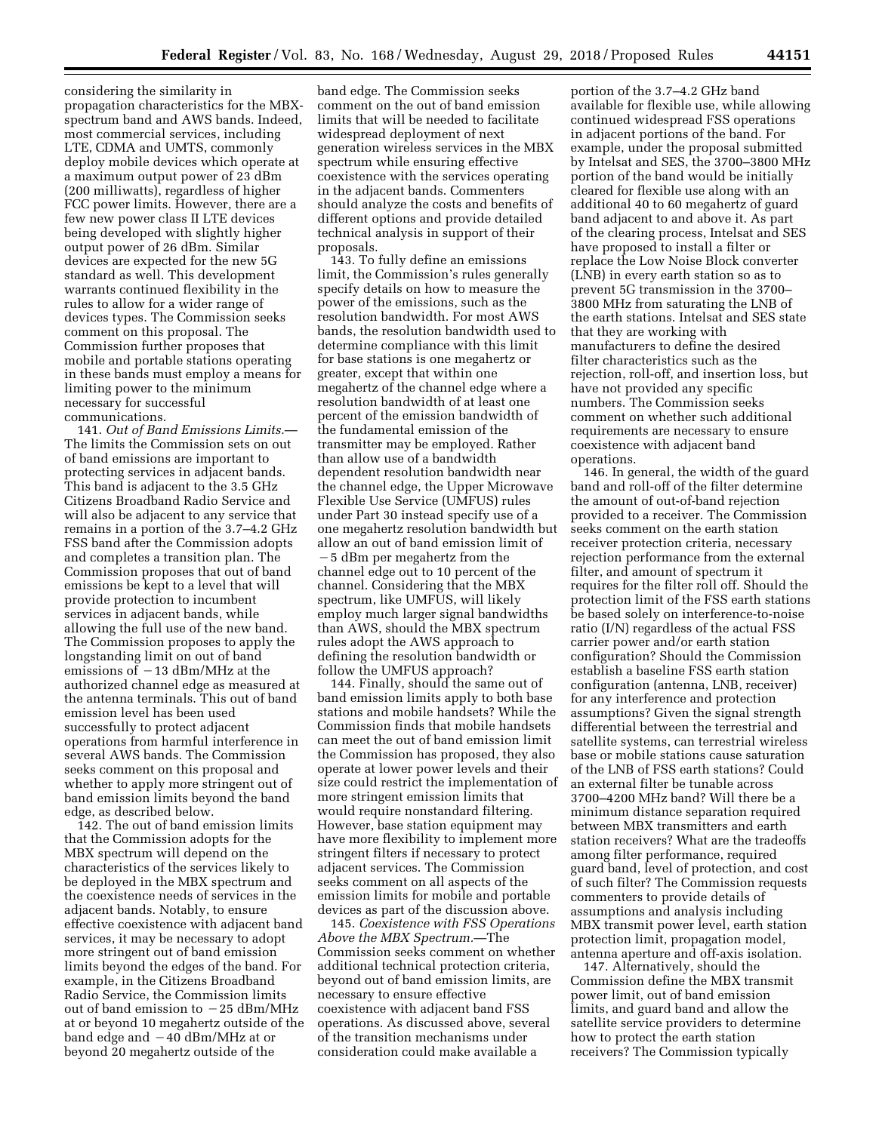considering the similarity in propagation characteristics for the MBXspectrum band and AWS bands. Indeed, most commercial services, including LTE, CDMA and UMTS, commonly deploy mobile devices which operate at a maximum output power of 23 dBm (200 milliwatts), regardless of higher FCC power limits. However, there are a few new power class II LTE devices being developed with slightly higher output power of 26 dBm. Similar devices are expected for the new 5G standard as well. This development warrants continued flexibility in the rules to allow for a wider range of devices types. The Commission seeks comment on this proposal. The Commission further proposes that mobile and portable stations operating in these bands must employ a means for limiting power to the minimum necessary for successful communications.

141. *Out of Band Emissions Limits.*— The limits the Commission sets on out of band emissions are important to protecting services in adjacent bands. This band is adjacent to the 3.5 GHz Citizens Broadband Radio Service and will also be adjacent to any service that remains in a portion of the 3.7–4.2 GHz FSS band after the Commission adopts and completes a transition plan. The Commission proposes that out of band emissions be kept to a level that will provide protection to incumbent services in adjacent bands, while allowing the full use of the new band. The Commission proposes to apply the longstanding limit on out of band emissions of  $-13$  dBm/MHz at the authorized channel edge as measured at the antenna terminals. This out of band emission level has been used successfully to protect adjacent operations from harmful interference in several AWS bands. The Commission seeks comment on this proposal and whether to apply more stringent out of band emission limits beyond the band edge, as described below.

142. The out of band emission limits that the Commission adopts for the MBX spectrum will depend on the characteristics of the services likely to be deployed in the MBX spectrum and the coexistence needs of services in the adjacent bands. Notably, to ensure effective coexistence with adjacent band services, it may be necessary to adopt more stringent out of band emission limits beyond the edges of the band. For example, in the Citizens Broadband Radio Service, the Commission limits out of band emission to  $-25$  dBm/MHz at or beyond 10 megahertz outside of the band edge and  $-40$  dBm/MHz at or beyond 20 megahertz outside of the

band edge. The Commission seeks comment on the out of band emission limits that will be needed to facilitate widespread deployment of next generation wireless services in the MBX spectrum while ensuring effective coexistence with the services operating in the adjacent bands. Commenters should analyze the costs and benefits of different options and provide detailed technical analysis in support of their proposals.

143. To fully define an emissions limit, the Commission's rules generally specify details on how to measure the power of the emissions, such as the resolution bandwidth. For most AWS bands, the resolution bandwidth used to determine compliance with this limit for base stations is one megahertz or greater, except that within one megahertz of the channel edge where a resolution bandwidth of at least one percent of the emission bandwidth of the fundamental emission of the transmitter may be employed. Rather than allow use of a bandwidth dependent resolution bandwidth near the channel edge, the Upper Microwave Flexible Use Service (UMFUS) rules under Part 30 instead specify use of a one megahertz resolution bandwidth but allow an out of band emission limit of ¥5 dBm per megahertz from the channel edge out to 10 percent of the channel. Considering that the MBX spectrum, like UMFUS, will likely employ much larger signal bandwidths than AWS, should the MBX spectrum rules adopt the AWS approach to defining the resolution bandwidth or follow the UMFUS approach?

144. Finally, should the same out of band emission limits apply to both base stations and mobile handsets? While the Commission finds that mobile handsets can meet the out of band emission limit the Commission has proposed, they also operate at lower power levels and their size could restrict the implementation of more stringent emission limits that would require nonstandard filtering. However, base station equipment may have more flexibility to implement more stringent filters if necessary to protect adjacent services. The Commission seeks comment on all aspects of the emission limits for mobile and portable devices as part of the discussion above.

145. *Coexistence with FSS Operations Above the MBX Spectrum.*—The Commission seeks comment on whether additional technical protection criteria, beyond out of band emission limits, are necessary to ensure effective coexistence with adjacent band FSS operations. As discussed above, several of the transition mechanisms under consideration could make available a

portion of the 3.7–4.2 GHz band available for flexible use, while allowing continued widespread FSS operations in adjacent portions of the band. For example, under the proposal submitted by Intelsat and SES, the 3700–3800 MHz portion of the band would be initially cleared for flexible use along with an additional 40 to 60 megahertz of guard band adjacent to and above it. As part of the clearing process, Intelsat and SES have proposed to install a filter or replace the Low Noise Block converter (LNB) in every earth station so as to prevent 5G transmission in the 3700– 3800 MHz from saturating the LNB of the earth stations. Intelsat and SES state that they are working with manufacturers to define the desired filter characteristics such as the rejection, roll-off, and insertion loss, but have not provided any specific numbers. The Commission seeks comment on whether such additional requirements are necessary to ensure coexistence with adjacent band operations.

146. In general, the width of the guard band and roll-off of the filter determine the amount of out-of-band rejection provided to a receiver. The Commission seeks comment on the earth station receiver protection criteria, necessary rejection performance from the external filter, and amount of spectrum it requires for the filter roll off. Should the protection limit of the FSS earth stations be based solely on interference-to-noise ratio (I/N) regardless of the actual FSS carrier power and/or earth station configuration? Should the Commission establish a baseline FSS earth station configuration (antenna, LNB, receiver) for any interference and protection assumptions? Given the signal strength differential between the terrestrial and satellite systems, can terrestrial wireless base or mobile stations cause saturation of the LNB of FSS earth stations? Could an external filter be tunable across 3700–4200 MHz band? Will there be a minimum distance separation required between MBX transmitters and earth station receivers? What are the tradeoffs among filter performance, required guard band, level of protection, and cost of such filter? The Commission requests commenters to provide details of assumptions and analysis including MBX transmit power level, earth station protection limit, propagation model, antenna aperture and off-axis isolation.

147. Alternatively, should the Commission define the MBX transmit power limit, out of band emission limits, and guard band and allow the satellite service providers to determine how to protect the earth station receivers? The Commission typically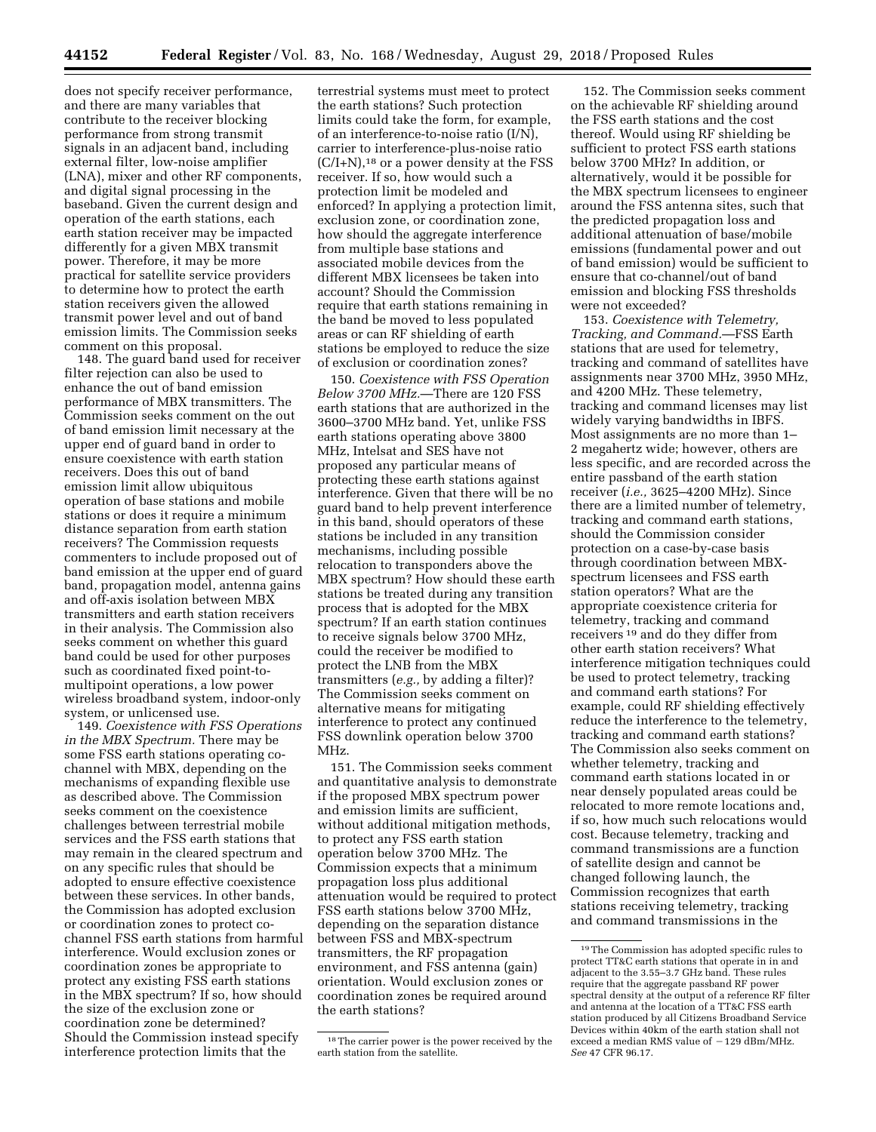does not specify receiver performance, and there are many variables that contribute to the receiver blocking performance from strong transmit signals in an adjacent band, including external filter, low-noise amplifier (LNA), mixer and other RF components, and digital signal processing in the baseband. Given the current design and operation of the earth stations, each earth station receiver may be impacted differently for a given MBX transmit power. Therefore, it may be more practical for satellite service providers to determine how to protect the earth station receivers given the allowed transmit power level and out of band emission limits. The Commission seeks comment on this proposal.

148. The guard band used for receiver filter rejection can also be used to enhance the out of band emission performance of MBX transmitters. The Commission seeks comment on the out of band emission limit necessary at the upper end of guard band in order to ensure coexistence with earth station receivers. Does this out of band emission limit allow ubiquitous operation of base stations and mobile stations or does it require a minimum distance separation from earth station receivers? The Commission requests commenters to include proposed out of band emission at the upper end of guard band, propagation model, antenna gains and off-axis isolation between MBX transmitters and earth station receivers in their analysis. The Commission also seeks comment on whether this guard band could be used for other purposes such as coordinated fixed point-tomultipoint operations, a low power wireless broadband system, indoor-only system, or unlicensed use.

149. *Coexistence with FSS Operations in the MBX Spectrum.* There may be some FSS earth stations operating cochannel with MBX, depending on the mechanisms of expanding flexible use as described above. The Commission seeks comment on the coexistence challenges between terrestrial mobile services and the FSS earth stations that may remain in the cleared spectrum and on any specific rules that should be adopted to ensure effective coexistence between these services. In other bands, the Commission has adopted exclusion or coordination zones to protect cochannel FSS earth stations from harmful interference. Would exclusion zones or coordination zones be appropriate to protect any existing FSS earth stations in the MBX spectrum? If so, how should the size of the exclusion zone or coordination zone be determined? Should the Commission instead specify interference protection limits that the

terrestrial systems must meet to protect the earth stations? Such protection limits could take the form, for example, of an interference-to-noise ratio (I/N), carrier to interference-plus-noise ratio  $(C/I+N)$ ,<sup>18</sup> or a power density at the FSS receiver. If so, how would such a protection limit be modeled and enforced? In applying a protection limit, exclusion zone, or coordination zone, how should the aggregate interference from multiple base stations and associated mobile devices from the different MBX licensees be taken into account? Should the Commission require that earth stations remaining in the band be moved to less populated areas or can RF shielding of earth stations be employed to reduce the size of exclusion or coordination zones?

150. *Coexistence with FSS Operation Below 3700 MHz.*—There are 120 FSS earth stations that are authorized in the 3600–3700 MHz band. Yet, unlike FSS earth stations operating above 3800 MHz, Intelsat and SES have not proposed any particular means of protecting these earth stations against interference. Given that there will be no guard band to help prevent interference in this band, should operators of these stations be included in any transition mechanisms, including possible relocation to transponders above the MBX spectrum? How should these earth stations be treated during any transition process that is adopted for the MBX spectrum? If an earth station continues to receive signals below 3700 MHz, could the receiver be modified to protect the LNB from the MBX transmitters (*e.g.,* by adding a filter)? The Commission seeks comment on alternative means for mitigating interference to protect any continued FSS downlink operation below 3700 MHz.

151. The Commission seeks comment and quantitative analysis to demonstrate if the proposed MBX spectrum power and emission limits are sufficient, without additional mitigation methods, to protect any FSS earth station operation below 3700 MHz. The Commission expects that a minimum propagation loss plus additional attenuation would be required to protect FSS earth stations below 3700 MHz, depending on the separation distance between FSS and MBX-spectrum transmitters, the RF propagation environment, and FSS antenna (gain) orientation. Would exclusion zones or coordination zones be required around the earth stations?

152. The Commission seeks comment on the achievable RF shielding around the FSS earth stations and the cost thereof. Would using RF shielding be sufficient to protect FSS earth stations below 3700 MHz? In addition, or alternatively, would it be possible for the MBX spectrum licensees to engineer around the FSS antenna sites, such that the predicted propagation loss and additional attenuation of base/mobile emissions (fundamental power and out of band emission) would be sufficient to ensure that co-channel/out of band emission and blocking FSS thresholds were not exceeded?

153. *Coexistence with Telemetry, Tracking, and Command.*—FSS Earth stations that are used for telemetry, tracking and command of satellites have assignments near 3700 MHz, 3950 MHz, and 4200 MHz. These telemetry, tracking and command licenses may list widely varying bandwidths in IBFS. Most assignments are no more than 1– 2 megahertz wide; however, others are less specific, and are recorded across the entire passband of the earth station receiver (*i.e.,* 3625–4200 MHz). Since there are a limited number of telemetry, tracking and command earth stations, should the Commission consider protection on a case-by-case basis through coordination between MBXspectrum licensees and FSS earth station operators? What are the appropriate coexistence criteria for telemetry, tracking and command receivers 19 and do they differ from other earth station receivers? What interference mitigation techniques could be used to protect telemetry, tracking and command earth stations? For example, could RF shielding effectively reduce the interference to the telemetry, tracking and command earth stations? The Commission also seeks comment on whether telemetry, tracking and command earth stations located in or near densely populated areas could be relocated to more remote locations and, if so, how much such relocations would cost. Because telemetry, tracking and command transmissions are a function of satellite design and cannot be changed following launch, the Commission recognizes that earth stations receiving telemetry, tracking and command transmissions in the

<sup>&</sup>lt;sup>18</sup>The carrier power is the power received by the earth station from the satellite.

<sup>19</sup>The Commission has adopted specific rules to protect TT&C earth stations that operate in in and adjacent to the 3.55–3.7 GHz band. These rules require that the aggregate passband RF power spectral density at the output of a reference RF filter and antenna at the location of a TT&C FSS earth station produced by all Citizens Broadband Service Devices within 40km of the earth station shall not exceed a median RMS value of  $-129$  dBm/MHz. *See* 47 CFR 96.17.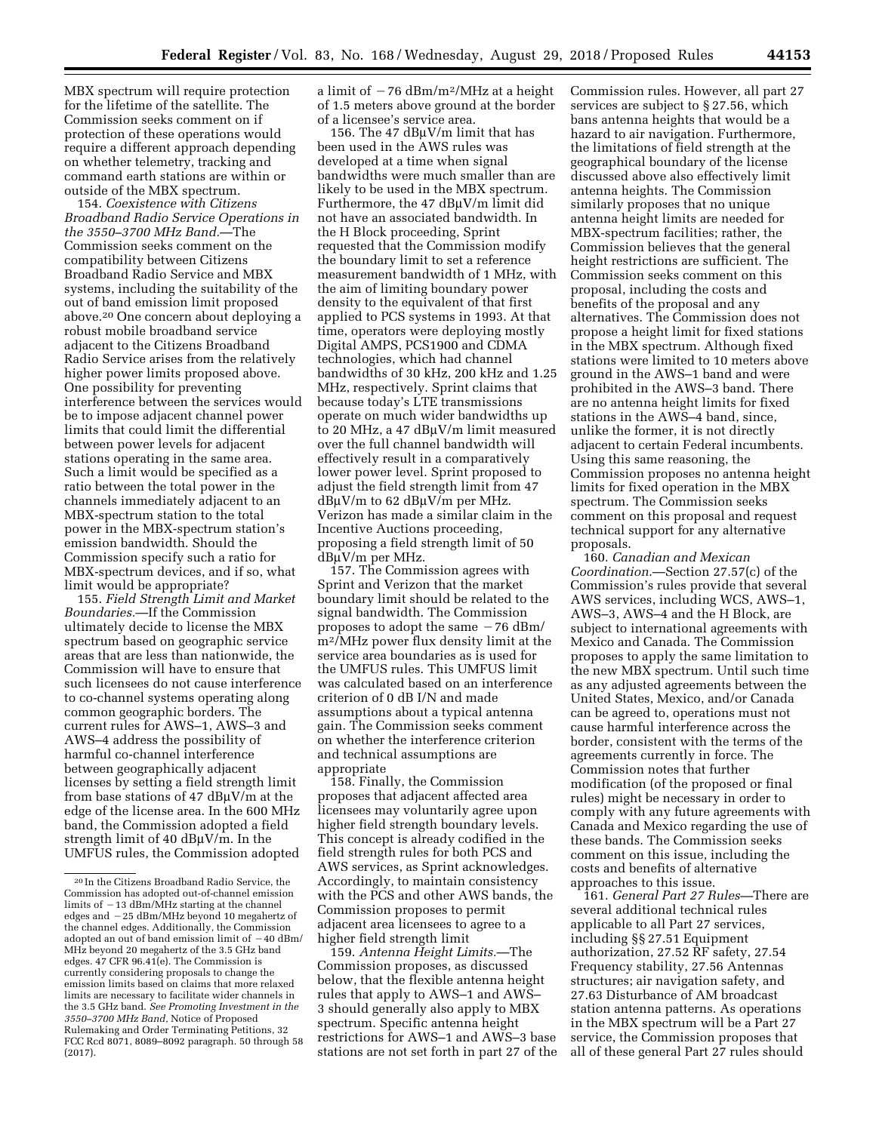MBX spectrum will require protection for the lifetime of the satellite. The Commission seeks comment on if protection of these operations would require a different approach depending on whether telemetry, tracking and command earth stations are within or outside of the MBX spectrum.

154. *Coexistence with Citizens Broadband Radio Service Operations in the 3550–3700 MHz Band.*—The Commission seeks comment on the compatibility between Citizens Broadband Radio Service and MBX systems, including the suitability of the out of band emission limit proposed above.20 One concern about deploying a robust mobile broadband service adjacent to the Citizens Broadband Radio Service arises from the relatively higher power limits proposed above. One possibility for preventing interference between the services would be to impose adjacent channel power limits that could limit the differential between power levels for adjacent stations operating in the same area. Such a limit would be specified as a ratio between the total power in the channels immediately adjacent to an MBX-spectrum station to the total power in the MBX-spectrum station's emission bandwidth. Should the Commission specify such a ratio for MBX-spectrum devices, and if so, what limit would be appropriate?

155. *Field Strength Limit and Market Boundaries.*—If the Commission ultimately decide to license the MBX spectrum based on geographic service areas that are less than nationwide, the Commission will have to ensure that such licensees do not cause interference to co-channel systems operating along common geographic borders. The current rules for AWS–1, AWS–3 and AWS–4 address the possibility of harmful co-channel interference between geographically adjacent licenses by setting a field strength limit from base stations of 47 dB $\mu$ V/m at the edge of the license area. In the 600 MHz band, the Commission adopted a field strength limit of 40  $d$ B $\mu$ V/m. In the UMFUS rules, the Commission adopted

a limit of  $-76$  dBm/m<sup>2</sup>/MHz at a height of 1.5 meters above ground at the border of a licensee's service area.

156. The 47  $dB\mu V/m$  limit that has been used in the AWS rules was developed at a time when signal bandwidths were much smaller than are likely to be used in the MBX spectrum. Furthermore, the  $47 \text{ dB}$  $\mu$ V/m limit did not have an associated bandwidth. In the H Block proceeding, Sprint requested that the Commission modify the boundary limit to set a reference measurement bandwidth of 1 MHz, with the aim of limiting boundary power density to the equivalent of that first applied to PCS systems in 1993. At that time, operators were deploying mostly Digital AMPS, PCS1900 and CDMA technologies, which had channel bandwidths of 30 kHz, 200 kHz and 1.25 MHz, respectively. Sprint claims that because today's LTE transmissions operate on much wider bandwidths up to 20 MHz, a 47  $dB\mu V/m$  limit measured over the full channel bandwidth will effectively result in a comparatively lower power level. Sprint proposed to adjust the field strength limit from 47  $dB\mu V/m$  to 62  $dB\mu V/m$  per MHz. Verizon has made a similar claim in the Incentive Auctions proceeding, proposing a field strength limit of 50  $dB\mu V/m$  per MHz.

157. The Commission agrees with Sprint and Verizon that the market boundary limit should be related to the signal bandwidth. The Commission proposes to adopt the same  $-76$  dBm/ m2/MHz power flux density limit at the service area boundaries as is used for the UMFUS rules. This UMFUS limit was calculated based on an interference criterion of 0 dB I/N and made assumptions about a typical antenna gain. The Commission seeks comment on whether the interference criterion and technical assumptions are appropriate

158. Finally, the Commission proposes that adjacent affected area licensees may voluntarily agree upon higher field strength boundary levels. This concept is already codified in the field strength rules for both PCS and AWS services, as Sprint acknowledges. Accordingly, to maintain consistency with the PCS and other AWS bands, the Commission proposes to permit adjacent area licensees to agree to a higher field strength limit

159. *Antenna Height Limits.*—The Commission proposes, as discussed below, that the flexible antenna height rules that apply to AWS–1 and AWS– 3 should generally also apply to MBX spectrum. Specific antenna height restrictions for AWS–1 and AWS–3 base stations are not set forth in part 27 of the Commission rules. However, all part 27 services are subject to § 27.56, which bans antenna heights that would be a hazard to air navigation. Furthermore, the limitations of field strength at the geographical boundary of the license discussed above also effectively limit antenna heights. The Commission similarly proposes that no unique antenna height limits are needed for MBX-spectrum facilities; rather, the Commission believes that the general height restrictions are sufficient. The Commission seeks comment on this proposal, including the costs and benefits of the proposal and any alternatives. The Commission does not propose a height limit for fixed stations in the MBX spectrum. Although fixed stations were limited to 10 meters above ground in the AWS–1 band and were prohibited in the AWS–3 band. There are no antenna height limits for fixed stations in the AWS–4 band, since, unlike the former, it is not directly adjacent to certain Federal incumbents. Using this same reasoning, the Commission proposes no antenna height limits for fixed operation in the MBX spectrum. The Commission seeks comment on this proposal and request technical support for any alternative proposals.

160. *Canadian and Mexican Coordination.*—Section 27.57(c) of the Commission's rules provide that several AWS services, including WCS, AWS–1, AWS–3, AWS–4 and the H Block, are subject to international agreements with Mexico and Canada. The Commission proposes to apply the same limitation to the new MBX spectrum. Until such time as any adjusted agreements between the United States, Mexico, and/or Canada can be agreed to, operations must not cause harmful interference across the border, consistent with the terms of the agreements currently in force. The Commission notes that further modification (of the proposed or final rules) might be necessary in order to comply with any future agreements with Canada and Mexico regarding the use of these bands. The Commission seeks comment on this issue, including the costs and benefits of alternative approaches to this issue.

161. *General Part 27 Rules—*There are several additional technical rules applicable to all Part 27 services, including §§ 27.51 Equipment authorization, 27.52 RF safety, 27.54 Frequency stability, 27.56 Antennas structures; air navigation safety, and 27.63 Disturbance of AM broadcast station antenna patterns. As operations in the MBX spectrum will be a Part 27 service, the Commission proposes that all of these general Part 27 rules should

<sup>20</sup> In the Citizens Broadband Radio Service, the Commission has adopted out-of-channel emission limits of  $-13$  dBm/MHz starting at the channel edges and -25 dBm/MHz beyond 10 megahertz of the channel edges. Additionally, the Commission adopted an out of band emission limit of  $-40$  dBm/ MHz beyond 20 megahertz of the 3.5 GHz band edges. 47 CFR 96.41(e). The Commission is currently considering proposals to change the emission limits based on claims that more relaxed limits are necessary to facilitate wider channels in the 3.5 GHz band. *See Promoting Investment in the 3550–3700 MHz Band,* Notice of Proposed Rulemaking and Order Terminating Petitions, 32 FCC Rcd 8071, 8089–8092 paragraph. 50 through 58 (2017).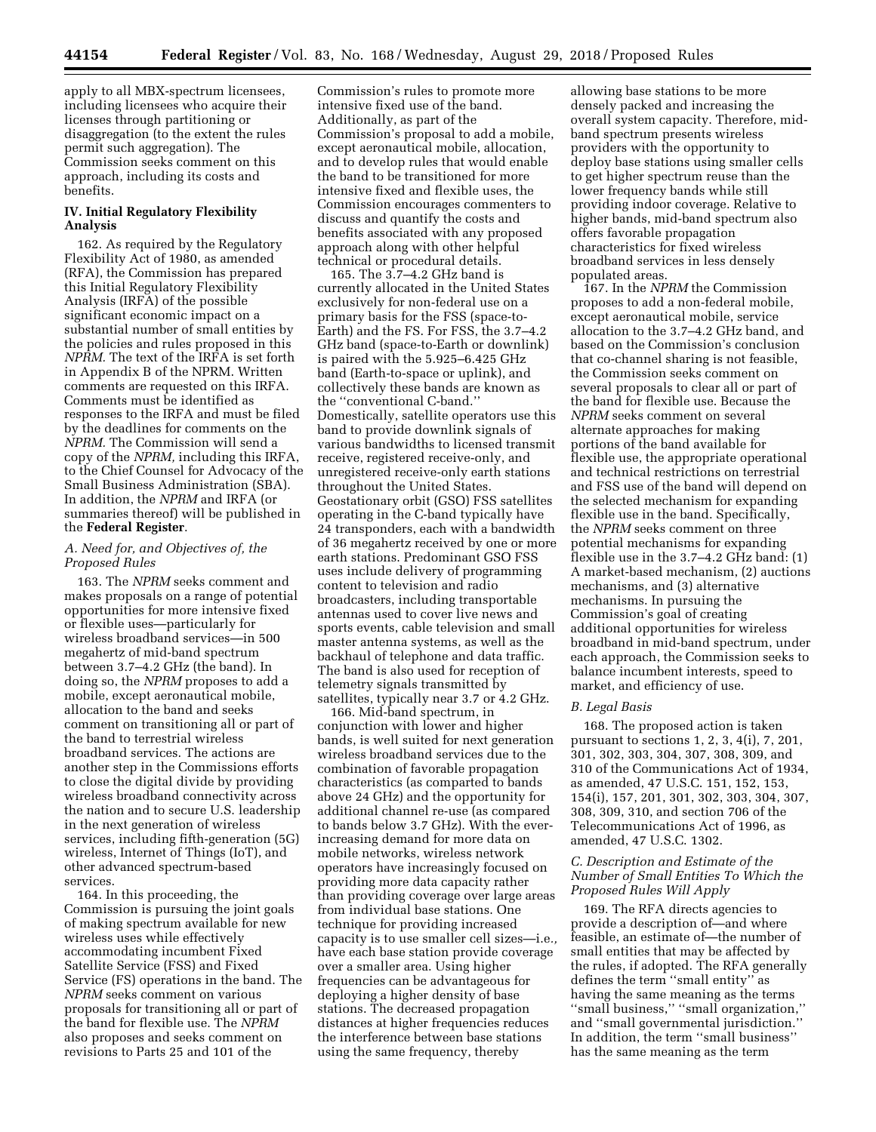apply to all MBX-spectrum licensees, including licensees who acquire their licenses through partitioning or disaggregation (to the extent the rules permit such aggregation). The Commission seeks comment on this approach, including its costs and benefits.

# **IV. Initial Regulatory Flexibility Analysis**

162. As required by the Regulatory Flexibility Act of 1980, as amended (RFA), the Commission has prepared this Initial Regulatory Flexibility Analysis (IRFA) of the possible significant economic impact on a substantial number of small entities by the policies and rules proposed in this *NPRM.* The text of the IRFA is set forth in Appendix B of the NPRM. Written comments are requested on this IRFA. Comments must be identified as responses to the IRFA and must be filed by the deadlines for comments on the *NPRM.* The Commission will send a copy of the *NPRM,* including this IRFA, to the Chief Counsel for Advocacy of the Small Business Administration (SBA). In addition, the *NPRM* and IRFA (or summaries thereof) will be published in the **Federal Register**.

## *A. Need for, and Objectives of, the Proposed Rules*

163. The *NPRM* seeks comment and makes proposals on a range of potential opportunities for more intensive fixed or flexible uses—particularly for wireless broadband services—in 500 megahertz of mid-band spectrum between 3.7–4.2 GHz (the band). In doing so, the *NPRM* proposes to add a mobile, except aeronautical mobile, allocation to the band and seeks comment on transitioning all or part of the band to terrestrial wireless broadband services. The actions are another step in the Commissions efforts to close the digital divide by providing wireless broadband connectivity across the nation and to secure U.S. leadership in the next generation of wireless services, including fifth-generation (5G) wireless, Internet of Things (IoT), and other advanced spectrum-based services.

164. In this proceeding, the Commission is pursuing the joint goals of making spectrum available for new wireless uses while effectively accommodating incumbent Fixed Satellite Service (FSS) and Fixed Service (FS) operations in the band. The *NPRM* seeks comment on various proposals for transitioning all or part of the band for flexible use. The *NPRM*  also proposes and seeks comment on revisions to Parts 25 and 101 of the

Commission's rules to promote more intensive fixed use of the band. Additionally, as part of the Commission's proposal to add a mobile, except aeronautical mobile, allocation, and to develop rules that would enable the band to be transitioned for more intensive fixed and flexible uses, the Commission encourages commenters to discuss and quantify the costs and benefits associated with any proposed approach along with other helpful technical or procedural details.

165. The 3.7–4.2 GHz band is currently allocated in the United States exclusively for non-federal use on a primary basis for the FSS (space-to-Earth) and the FS. For FSS, the 3.7–4.2 GHz band (space-to-Earth or downlink) is paired with the 5.925–6.425 GHz band (Earth-to-space or uplink), and collectively these bands are known as the ''conventional C-band.'' Domestically, satellite operators use this band to provide downlink signals of various bandwidths to licensed transmit receive, registered receive-only, and unregistered receive-only earth stations throughout the United States. Geostationary orbit (GSO) FSS satellites operating in the C-band typically have 24 transponders, each with a bandwidth of 36 megahertz received by one or more earth stations. Predominant GSO FSS uses include delivery of programming content to television and radio broadcasters, including transportable antennas used to cover live news and sports events, cable television and small master antenna systems, as well as the backhaul of telephone and data traffic. The band is also used for reception of telemetry signals transmitted by satellites, typically near 3.7 or 4.2 GHz.

166. Mid-band spectrum, in conjunction with lower and higher bands, is well suited for next generation wireless broadband services due to the combination of favorable propagation characteristics (as comparted to bands above 24 GHz) and the opportunity for additional channel re-use (as compared to bands below 3.7 GHz). With the everincreasing demand for more data on mobile networks, wireless network operators have increasingly focused on providing more data capacity rather than providing coverage over large areas from individual base stations. One technique for providing increased capacity is to use smaller cell sizes—i.e*.,*  have each base station provide coverage over a smaller area. Using higher frequencies can be advantageous for deploying a higher density of base stations. The decreased propagation distances at higher frequencies reduces the interference between base stations using the same frequency, thereby

allowing base stations to be more densely packed and increasing the overall system capacity. Therefore, midband spectrum presents wireless providers with the opportunity to deploy base stations using smaller cells to get higher spectrum reuse than the lower frequency bands while still providing indoor coverage. Relative to higher bands, mid-band spectrum also offers favorable propagation characteristics for fixed wireless broadband services in less densely populated areas.

167. In the *NPRM* the Commission proposes to add a non-federal mobile, except aeronautical mobile, service allocation to the 3.7–4.2 GHz band, and based on the Commission's conclusion that co-channel sharing is not feasible, the Commission seeks comment on several proposals to clear all or part of the band for flexible use. Because the *NPRM* seeks comment on several alternate approaches for making portions of the band available for flexible use, the appropriate operational and technical restrictions on terrestrial and FSS use of the band will depend on the selected mechanism for expanding flexible use in the band. Specifically, the *NPRM* seeks comment on three potential mechanisms for expanding flexible use in the 3.7–4.2 GHz band: (1) A market-based mechanism, (2) auctions mechanisms, and (3) alternative mechanisms. In pursuing the Commission's goal of creating additional opportunities for wireless broadband in mid-band spectrum, under each approach, the Commission seeks to balance incumbent interests, speed to market, and efficiency of use.

#### *B. Legal Basis*

168. The proposed action is taken pursuant to sections 1, 2, 3, 4(i), 7, 201, 301, 302, 303, 304, 307, 308, 309, and 310 of the Communications Act of 1934, as amended, 47 U.S.C. 151, 152, 153, 154(i), 157, 201, 301, 302, 303, 304, 307, 308, 309, 310, and section 706 of the Telecommunications Act of 1996, as amended, 47 U.S.C. 1302.

## *C. Description and Estimate of the Number of Small Entities To Which the Proposed Rules Will Apply*

169. The RFA directs agencies to provide a description of—and where feasible, an estimate of—the number of small entities that may be affected by the rules, if adopted. The RFA generally defines the term ''small entity'' as having the same meaning as the terms ''small business,'' ''small organization,'' and ''small governmental jurisdiction.'' In addition, the term ''small business'' has the same meaning as the term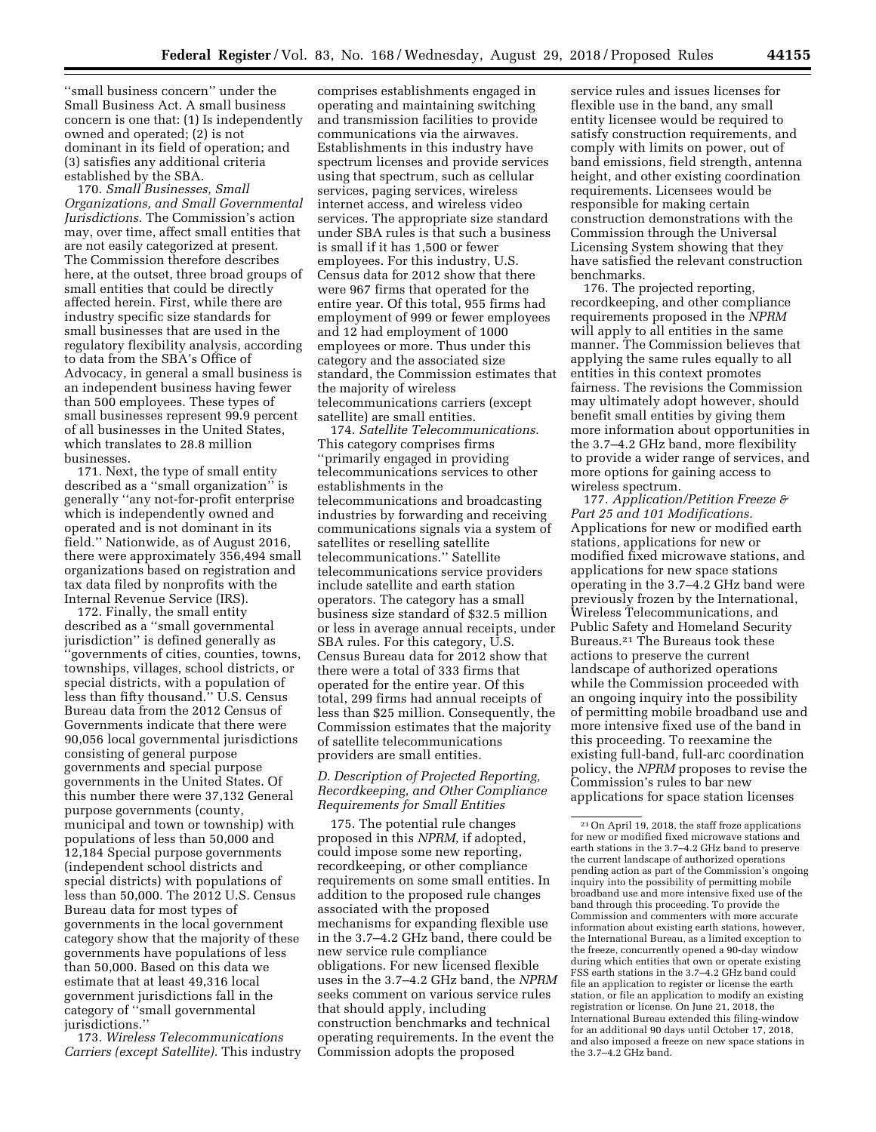''small business concern'' under the Small Business Act. A small business concern is one that: (1) Is independently owned and operated; (2) is not dominant in its field of operation; and (3) satisfies any additional criteria established by the SBA.

170. *Small Businesses, Small Organizations, and Small Governmental Jurisdictions.* The Commission's action may, over time, affect small entities that are not easily categorized at present. The Commission therefore describes here, at the outset, three broad groups of small entities that could be directly affected herein. First, while there are industry specific size standards for small businesses that are used in the regulatory flexibility analysis, according to data from the SBA's Office of Advocacy, in general a small business is an independent business having fewer than 500 employees. These types of small businesses represent 99.9 percent of all businesses in the United States, which translates to 28.8 million businesses.

171. Next, the type of small entity described as a ''small organization'' is generally ''any not-for-profit enterprise which is independently owned and operated and is not dominant in its field.'' Nationwide, as of August 2016, there were approximately 356,494 small organizations based on registration and tax data filed by nonprofits with the Internal Revenue Service (IRS).

172. Finally, the small entity described as a ''small governmental jurisdiction'' is defined generally as ''governments of cities, counties, towns, townships, villages, school districts, or special districts, with a population of less than fifty thousand.'' U.S. Census Bureau data from the 2012 Census of Governments indicate that there were 90,056 local governmental jurisdictions consisting of general purpose governments and special purpose governments in the United States. Of this number there were 37,132 General purpose governments (county, municipal and town or township) with populations of less than 50,000 and 12,184 Special purpose governments (independent school districts and special districts) with populations of less than 50,000. The 2012 U.S. Census Bureau data for most types of governments in the local government category show that the majority of these governments have populations of less than 50,000. Based on this data we estimate that at least 49,316 local government jurisdictions fall in the category of ''small governmental jurisdictions.''

173. *Wireless Telecommunications Carriers (except Satellite).* This industry

comprises establishments engaged in operating and maintaining switching and transmission facilities to provide communications via the airwaves. Establishments in this industry have spectrum licenses and provide services using that spectrum, such as cellular services, paging services, wireless internet access, and wireless video services. The appropriate size standard under SBA rules is that such a business is small if it has 1,500 or fewer employees. For this industry, U.S. Census data for 2012 show that there were 967 firms that operated for the entire year. Of this total, 955 firms had employment of 999 or fewer employees and 12 had employment of 1000 employees or more. Thus under this category and the associated size standard, the Commission estimates that the majority of wireless telecommunications carriers (except satellite) are small entities.

174. *Satellite Telecommunications.*  This category comprises firms ''primarily engaged in providing telecommunications services to other establishments in the telecommunications and broadcasting industries by forwarding and receiving communications signals via a system of satellites or reselling satellite telecommunications.'' Satellite telecommunications service providers include satellite and earth station operators. The category has a small business size standard of \$32.5 million or less in average annual receipts, under SBA rules. For this category, U.S. Census Bureau data for 2012 show that there were a total of 333 firms that operated for the entire year. Of this total, 299 firms had annual receipts of less than \$25 million. Consequently, the Commission estimates that the majority of satellite telecommunications providers are small entities.

*D. Description of Projected Reporting, Recordkeeping, and Other Compliance Requirements for Small Entities* 

175. The potential rule changes proposed in this *NPRM,* if adopted, could impose some new reporting, recordkeeping, or other compliance requirements on some small entities. In addition to the proposed rule changes associated with the proposed mechanisms for expanding flexible use in the 3.7–4.2 GHz band, there could be new service rule compliance obligations. For new licensed flexible uses in the 3.7–4.2 GHz band, the *NPRM*  seeks comment on various service rules that should apply, including construction benchmarks and technical operating requirements. In the event the Commission adopts the proposed

service rules and issues licenses for flexible use in the band, any small entity licensee would be required to satisfy construction requirements, and comply with limits on power, out of band emissions, field strength, antenna height, and other existing coordination requirements. Licensees would be responsible for making certain construction demonstrations with the Commission through the Universal Licensing System showing that they have satisfied the relevant construction benchmarks.

176. The projected reporting, recordkeeping, and other compliance requirements proposed in the *NPRM*  will apply to all entities in the same manner. The Commission believes that applying the same rules equally to all entities in this context promotes fairness. The revisions the Commission may ultimately adopt however, should benefit small entities by giving them more information about opportunities in the 3.7–4.2 GHz band, more flexibility to provide a wider range of services, and more options for gaining access to wireless spectrum.

177. *Application/Petition Freeze & Part 25 and 101 Modifications.*  Applications for new or modified earth stations, applications for new or modified fixed microwave stations, and applications for new space stations operating in the 3.7–4.2 GHz band were previously frozen by the International, Wireless Telecommunications, and Public Safety and Homeland Security Bureaus.21 The Bureaus took these actions to preserve the current landscape of authorized operations while the Commission proceeded with an ongoing inquiry into the possibility of permitting mobile broadband use and more intensive fixed use of the band in this proceeding. To reexamine the existing full-band, full-arc coordination policy, the *NPRM* proposes to revise the Commission's rules to bar new applications for space station licenses

<sup>21</sup>On April 19, 2018, the staff froze applications for new or modified fixed microwave stations and earth stations in the 3.7–4.2 GHz band to preserve the current landscape of authorized operations pending action as part of the Commission's ongoing inquiry into the possibility of permitting mobile broadband use and more intensive fixed use of the band through this proceeding. To provide the Commission and commenters with more accurate information about existing earth stations, however, the International Bureau, as a limited exception to the freeze, concurrently opened a 90-day window during which entities that own or operate existing FSS earth stations in the 3.7–4.2 GHz band could file an application to register or license the earth station, or file an application to modify an existing registration or license. On June 21, 2018, the International Bureau extended this filing-window for an additional 90 days until October 17, 2018, and also imposed a freeze on new space stations in the 3.7–4.2 GHz band.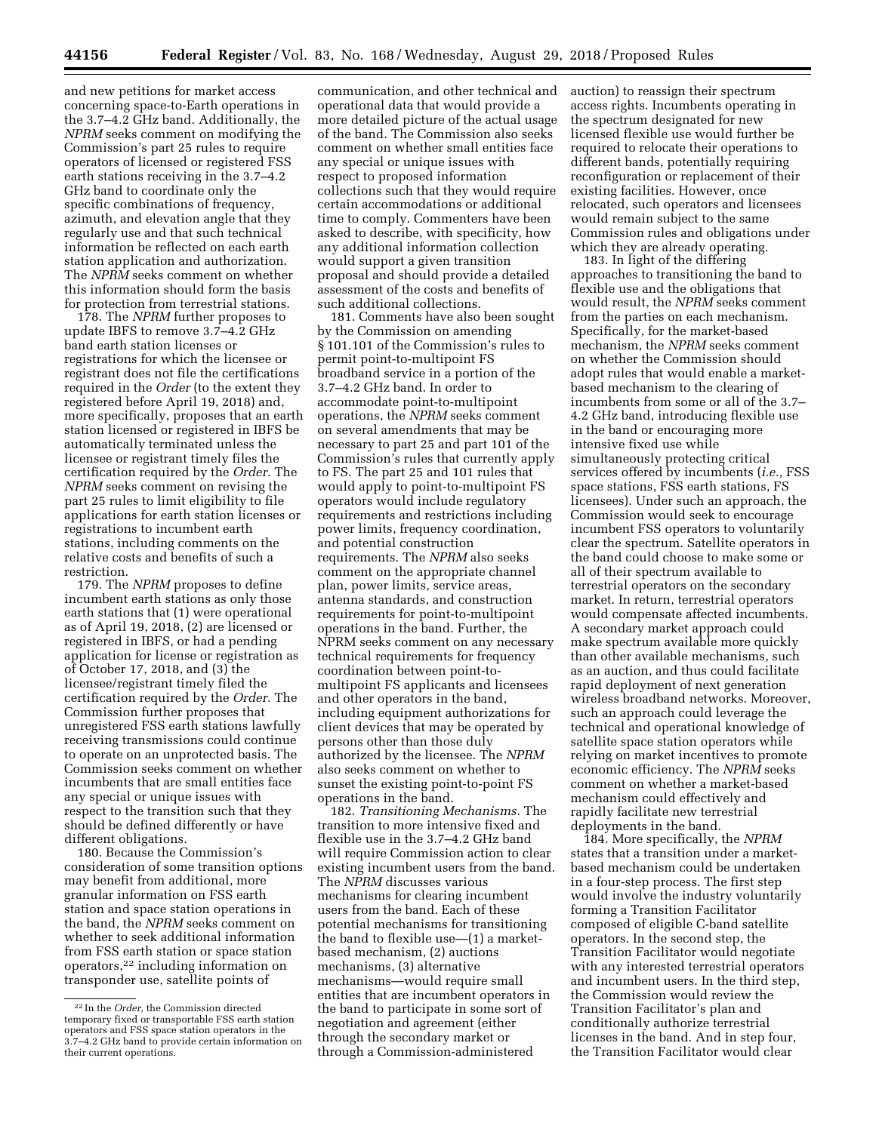and new petitions for market access concerning space-to-Earth operations in the 3.7–4.2 GHz band. Additionally, the *NPRM* seeks comment on modifying the Commission's part 25 rules to require operators of licensed or registered FSS earth stations receiving in the 3.7–4.2 GHz band to coordinate only the specific combinations of frequency, azimuth, and elevation angle that they regularly use and that such technical information be reflected on each earth station application and authorization. The *NPRM* seeks comment on whether this information should form the basis for protection from terrestrial stations.

178. The *NPRM* further proposes to update IBFS to remove 3.7–4.2 GHz band earth station licenses or registrations for which the licensee or registrant does not file the certifications required in the *Order* (to the extent they registered before April 19, 2018) and, more specifically, proposes that an earth station licensed or registered in IBFS be automatically terminated unless the licensee or registrant timely files the certification required by the *Order.* The *NPRM* seeks comment on revising the part 25 rules to limit eligibility to file applications for earth station licenses or registrations to incumbent earth stations, including comments on the relative costs and benefits of such a restriction.

179. The *NPRM* proposes to define incumbent earth stations as only those earth stations that (1) were operational as of April 19, 2018, (2) are licensed or registered in IBFS, or had a pending application for license or registration as of October 17, 2018, and (3) the licensee/registrant timely filed the certification required by the *Order.* The Commission further proposes that unregistered FSS earth stations lawfully receiving transmissions could continue to operate on an unprotected basis. The Commission seeks comment on whether incumbents that are small entities face any special or unique issues with respect to the transition such that they should be defined differently or have different obligations.

180. Because the Commission's consideration of some transition options may benefit from additional, more granular information on FSS earth station and space station operations in the band, the *NPRM* seeks comment on whether to seek additional information from FSS earth station or space station operators,22 including information on transponder use, satellite points of

communication, and other technical and operational data that would provide a more detailed picture of the actual usage of the band. The Commission also seeks comment on whether small entities face any special or unique issues with respect to proposed information collections such that they would require certain accommodations or additional time to comply. Commenters have been asked to describe, with specificity, how any additional information collection would support a given transition proposal and should provide a detailed assessment of the costs and benefits of such additional collections.

181. Comments have also been sought by the Commission on amending § 101.101 of the Commission's rules to permit point-to-multipoint FS broadband service in a portion of the 3.7–4.2 GHz band. In order to accommodate point-to-multipoint operations, the *NPRM* seeks comment on several amendments that may be necessary to part 25 and part 101 of the Commission's rules that currently apply to FS. The part 25 and 101 rules that would apply to point-to-multipoint FS operators would include regulatory requirements and restrictions including power limits, frequency coordination, and potential construction requirements. The *NPRM* also seeks comment on the appropriate channel plan, power limits, service areas, antenna standards, and construction requirements for point-to-multipoint operations in the band. Further, the NPRM seeks comment on any necessary technical requirements for frequency coordination between point-tomultipoint FS applicants and licensees and other operators in the band, including equipment authorizations for client devices that may be operated by persons other than those duly authorized by the licensee. The *NPRM*  also seeks comment on whether to sunset the existing point-to-point FS operations in the band.

182. *Transitioning Mechanisms.* The transition to more intensive fixed and flexible use in the 3.7–4.2 GHz band will require Commission action to clear existing incumbent users from the band. The *NPRM* discusses various mechanisms for clearing incumbent users from the band. Each of these potential mechanisms for transitioning the band to flexible use—(1) a marketbased mechanism, (2) auctions mechanisms, (3) alternative mechanisms—would require small entities that are incumbent operators in the band to participate in some sort of negotiation and agreement (either through the secondary market or through a Commission-administered

auction) to reassign their spectrum access rights. Incumbents operating in the spectrum designated for new licensed flexible use would further be required to relocate their operations to different bands, potentially requiring reconfiguration or replacement of their existing facilities. However, once relocated, such operators and licensees would remain subject to the same Commission rules and obligations under which they are already operating.

183. In light of the differing approaches to transitioning the band to flexible use and the obligations that would result, the *NPRM* seeks comment from the parties on each mechanism. Specifically, for the market-based mechanism, the *NPRM* seeks comment on whether the Commission should adopt rules that would enable a marketbased mechanism to the clearing of incumbents from some or all of the 3.7– 4.2 GHz band, introducing flexible use in the band or encouraging more intensive fixed use while simultaneously protecting critical services offered by incumbents (*i.e.,* FSS space stations, FSS earth stations, FS licensees). Under such an approach, the Commission would seek to encourage incumbent FSS operators to voluntarily clear the spectrum. Satellite operators in the band could choose to make some or all of their spectrum available to terrestrial operators on the secondary market. In return, terrestrial operators would compensate affected incumbents. A secondary market approach could make spectrum available more quickly than other available mechanisms, such as an auction, and thus could facilitate rapid deployment of next generation wireless broadband networks. Moreover, such an approach could leverage the technical and operational knowledge of satellite space station operators while relying on market incentives to promote economic efficiency. The *NPRM* seeks comment on whether a market-based mechanism could effectively and rapidly facilitate new terrestrial deployments in the band.

184. More specifically, the *NPRM*  states that a transition under a marketbased mechanism could be undertaken in a four-step process. The first step would involve the industry voluntarily forming a Transition Facilitator composed of eligible C-band satellite operators. In the second step, the Transition Facilitator would negotiate with any interested terrestrial operators and incumbent users. In the third step, the Commission would review the Transition Facilitator's plan and conditionally authorize terrestrial licenses in the band. And in step four, the Transition Facilitator would clear

<sup>22</sup> In the *Order,* the Commission directed temporary fixed or transportable FSS earth station operators and FSS space station operators in the 3.7–4.2 GHz band to provide certain information on their current operations.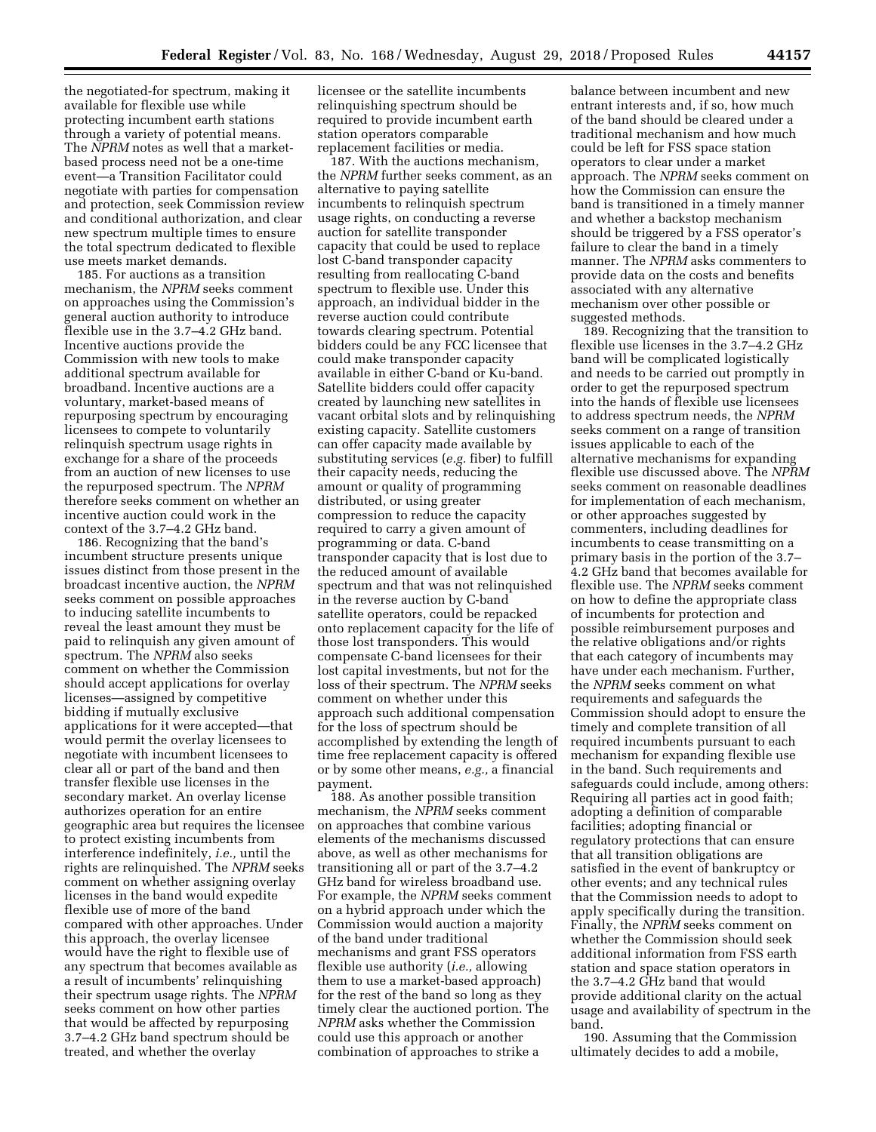the negotiated-for spectrum, making it available for flexible use while protecting incumbent earth stations through a variety of potential means. The *NPRM* notes as well that a marketbased process need not be a one-time event—a Transition Facilitator could negotiate with parties for compensation and protection, seek Commission review and conditional authorization, and clear new spectrum multiple times to ensure the total spectrum dedicated to flexible use meets market demands.

185. For auctions as a transition mechanism, the *NPRM* seeks comment on approaches using the Commission's general auction authority to introduce flexible use in the 3.7–4.2 GHz band. Incentive auctions provide the Commission with new tools to make additional spectrum available for broadband. Incentive auctions are a voluntary, market-based means of repurposing spectrum by encouraging licensees to compete to voluntarily relinquish spectrum usage rights in exchange for a share of the proceeds from an auction of new licenses to use the repurposed spectrum. The *NPRM*  therefore seeks comment on whether an incentive auction could work in the context of the 3.7–4.2 GHz band.

186. Recognizing that the band's incumbent structure presents unique issues distinct from those present in the broadcast incentive auction, the *NPRM*  seeks comment on possible approaches to inducing satellite incumbents to reveal the least amount they must be paid to relinquish any given amount of spectrum. The *NPRM* also seeks comment on whether the Commission should accept applications for overlay licenses—assigned by competitive bidding if mutually exclusive applications for it were accepted—that would permit the overlay licensees to negotiate with incumbent licensees to clear all or part of the band and then transfer flexible use licenses in the secondary market. An overlay license authorizes operation for an entire geographic area but requires the licensee to protect existing incumbents from interference indefinitely, *i.e.,* until the rights are relinquished. The *NPRM* seeks comment on whether assigning overlay licenses in the band would expedite flexible use of more of the band compared with other approaches. Under this approach, the overlay licensee would have the right to flexible use of any spectrum that becomes available as a result of incumbents' relinquishing their spectrum usage rights. The *NPRM*  seeks comment on how other parties that would be affected by repurposing 3.7–4.2 GHz band spectrum should be treated, and whether the overlay

licensee or the satellite incumbents relinquishing spectrum should be required to provide incumbent earth station operators comparable replacement facilities or media.

187. With the auctions mechanism, the *NPRM* further seeks comment, as an alternative to paying satellite incumbents to relinquish spectrum usage rights, on conducting a reverse auction for satellite transponder capacity that could be used to replace lost C-band transponder capacity resulting from reallocating C-band spectrum to flexible use. Under this approach, an individual bidder in the reverse auction could contribute towards clearing spectrum. Potential bidders could be any FCC licensee that could make transponder capacity available in either C-band or Ku-band. Satellite bidders could offer capacity created by launching new satellites in vacant orbital slots and by relinquishing existing capacity. Satellite customers can offer capacity made available by substituting services (*e.g.* fiber) to fulfill their capacity needs, reducing the amount or quality of programming distributed, or using greater compression to reduce the capacity required to carry a given amount of programming or data. C-band transponder capacity that is lost due to the reduced amount of available spectrum and that was not relinquished in the reverse auction by C-band satellite operators, could be repacked onto replacement capacity for the life of those lost transponders. This would compensate C-band licensees for their lost capital investments, but not for the loss of their spectrum. The *NPRM* seeks comment on whether under this approach such additional compensation for the loss of spectrum should be accomplished by extending the length of time free replacement capacity is offered or by some other means, *e.g.,* a financial payment.

188. As another possible transition mechanism, the *NPRM* seeks comment on approaches that combine various elements of the mechanisms discussed above, as well as other mechanisms for transitioning all or part of the 3.7–4.2 GHz band for wireless broadband use. For example, the *NPRM* seeks comment on a hybrid approach under which the Commission would auction a majority of the band under traditional mechanisms and grant FSS operators flexible use authority (*i.e.,* allowing them to use a market-based approach) for the rest of the band so long as they timely clear the auctioned portion. The *NPRM* asks whether the Commission could use this approach or another combination of approaches to strike a

balance between incumbent and new entrant interests and, if so, how much of the band should be cleared under a traditional mechanism and how much could be left for FSS space station operators to clear under a market approach. The *NPRM* seeks comment on how the Commission can ensure the band is transitioned in a timely manner and whether a backstop mechanism should be triggered by a FSS operator's failure to clear the band in a timely manner. The *NPRM* asks commenters to provide data on the costs and benefits associated with any alternative mechanism over other possible or suggested methods.

189. Recognizing that the transition to flexible use licenses in the 3.7–4.2 GHz band will be complicated logistically and needs to be carried out promptly in order to get the repurposed spectrum into the hands of flexible use licensees to address spectrum needs, the *NPRM*  seeks comment on a range of transition issues applicable to each of the alternative mechanisms for expanding flexible use discussed above. The *NPRM*  seeks comment on reasonable deadlines for implementation of each mechanism, or other approaches suggested by commenters, including deadlines for incumbents to cease transmitting on a primary basis in the portion of the 3.7– 4.2 GHz band that becomes available for flexible use. The *NPRM* seeks comment on how to define the appropriate class of incumbents for protection and possible reimbursement purposes and the relative obligations and/or rights that each category of incumbents may have under each mechanism. Further, the *NPRM* seeks comment on what requirements and safeguards the Commission should adopt to ensure the timely and complete transition of all required incumbents pursuant to each mechanism for expanding flexible use in the band. Such requirements and safeguards could include, among others: Requiring all parties act in good faith; adopting a definition of comparable facilities; adopting financial or regulatory protections that can ensure that all transition obligations are satisfied in the event of bankruptcy or other events; and any technical rules that the Commission needs to adopt to apply specifically during the transition. Finally, the *NPRM* seeks comment on whether the Commission should seek additional information from FSS earth station and space station operators in the 3.7–4.2 GHz band that would provide additional clarity on the actual usage and availability of spectrum in the band.

190. Assuming that the Commission ultimately decides to add a mobile,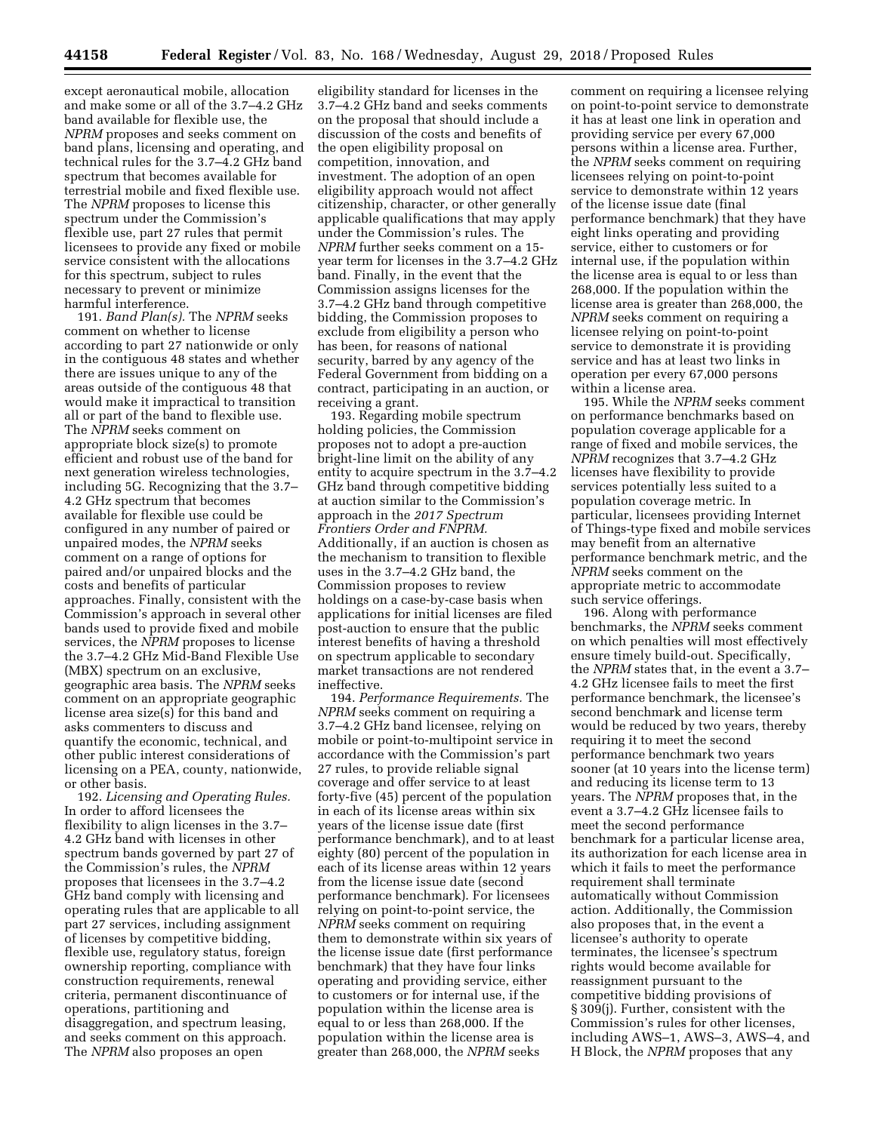except aeronautical mobile, allocation and make some or all of the 3.7–4.2 GHz band available for flexible use, the *NPRM* proposes and seeks comment on band plans, licensing and operating, and technical rules for the 3.7–4.2 GHz band spectrum that becomes available for terrestrial mobile and fixed flexible use. The *NPRM* proposes to license this spectrum under the Commission's flexible use, part 27 rules that permit licensees to provide any fixed or mobile service consistent with the allocations for this spectrum, subject to rules necessary to prevent or minimize harmful interference.

191. *Band Plan(s).* The *NPRM* seeks comment on whether to license according to part 27 nationwide or only in the contiguous 48 states and whether there are issues unique to any of the areas outside of the contiguous 48 that would make it impractical to transition all or part of the band to flexible use. The *NPRM* seeks comment on appropriate block size(s) to promote efficient and robust use of the band for next generation wireless technologies, including 5G. Recognizing that the 3.7– 4.2 GHz spectrum that becomes available for flexible use could be configured in any number of paired or unpaired modes, the *NPRM* seeks comment on a range of options for paired and/or unpaired blocks and the costs and benefits of particular approaches. Finally, consistent with the Commission's approach in several other bands used to provide fixed and mobile services, the *NPRM* proposes to license the 3.7–4.2 GHz Mid-Band Flexible Use (MBX) spectrum on an exclusive, geographic area basis. The *NPRM* seeks comment on an appropriate geographic license area size(s) for this band and asks commenters to discuss and quantify the economic, technical, and other public interest considerations of licensing on a PEA, county, nationwide, or other basis.

192. *Licensing and Operating Rules.*  In order to afford licensees the flexibility to align licenses in the 3.7– 4.2 GHz band with licenses in other spectrum bands governed by part 27 of the Commission's rules, the *NPRM*  proposes that licensees in the 3.7–4.2 GHz band comply with licensing and operating rules that are applicable to all part 27 services, including assignment of licenses by competitive bidding, flexible use, regulatory status, foreign ownership reporting, compliance with construction requirements, renewal criteria, permanent discontinuance of operations, partitioning and disaggregation, and spectrum leasing, and seeks comment on this approach. The *NPRM* also proposes an open

eligibility standard for licenses in the 3.7–4.2 GHz band and seeks comments on the proposal that should include a discussion of the costs and benefits of the open eligibility proposal on competition, innovation, and investment. The adoption of an open eligibility approach would not affect citizenship, character, or other generally applicable qualifications that may apply under the Commission's rules. The *NPRM* further seeks comment on a 15 year term for licenses in the 3.7–4.2 GHz band. Finally, in the event that the Commission assigns licenses for the 3.7–4.2 GHz band through competitive bidding, the Commission proposes to exclude from eligibility a person who has been, for reasons of national security, barred by any agency of the Federal Government from bidding on a contract, participating in an auction, or receiving a grant.

193. Regarding mobile spectrum holding policies, the Commission proposes not to adopt a pre-auction bright-line limit on the ability of any entity to acquire spectrum in the 3.7–4.2 GHz band through competitive bidding at auction similar to the Commission's approach in the *2017 Spectrum Frontiers Order and FNPRM.*  Additionally, if an auction is chosen as the mechanism to transition to flexible uses in the 3.7–4.2 GHz band, the Commission proposes to review holdings on a case-by-case basis when applications for initial licenses are filed post-auction to ensure that the public interest benefits of having a threshold on spectrum applicable to secondary market transactions are not rendered ineffective.

194. *Performance Requirements.* The *NPRM* seeks comment on requiring a 3.7–4.2 GHz band licensee, relying on mobile or point-to-multipoint service in accordance with the Commission's part 27 rules, to provide reliable signal coverage and offer service to at least forty-five (45) percent of the population in each of its license areas within six years of the license issue date (first performance benchmark), and to at least eighty (80) percent of the population in each of its license areas within 12 years from the license issue date (second performance benchmark). For licensees relying on point-to-point service, the *NPRM* seeks comment on requiring them to demonstrate within six years of the license issue date (first performance benchmark) that they have four links operating and providing service, either to customers or for internal use, if the population within the license area is equal to or less than 268,000. If the population within the license area is greater than 268,000, the *NPRM* seeks

comment on requiring a licensee relying on point-to-point service to demonstrate it has at least one link in operation and providing service per every 67,000 persons within a license area. Further, the *NPRM* seeks comment on requiring licensees relying on point-to-point service to demonstrate within 12 years of the license issue date (final performance benchmark) that they have eight links operating and providing service, either to customers or for internal use, if the population within the license area is equal to or less than 268,000. If the population within the license area is greater than 268,000, the *NPRM* seeks comment on requiring a licensee relying on point-to-point service to demonstrate it is providing service and has at least two links in operation per every 67,000 persons within a license area.

195. While the *NPRM* seeks comment on performance benchmarks based on population coverage applicable for a range of fixed and mobile services, the *NPRM* recognizes that 3.7–4.2 GHz licenses have flexibility to provide services potentially less suited to a population coverage metric. In particular, licensees providing Internet of Things-type fixed and mobile services may benefit from an alternative performance benchmark metric, and the *NPRM* seeks comment on the appropriate metric to accommodate such service offerings.

196. Along with performance benchmarks, the *NPRM* seeks comment on which penalties will most effectively ensure timely build-out. Specifically, the *NPRM* states that, in the event a 3.7– 4.2 GHz licensee fails to meet the first performance benchmark, the licensee's second benchmark and license term would be reduced by two years, thereby requiring it to meet the second performance benchmark two years sooner (at 10 years into the license term) and reducing its license term to 13 years. The *NPRM* proposes that, in the event a 3.7–4.2 GHz licensee fails to meet the second performance benchmark for a particular license area, its authorization for each license area in which it fails to meet the performance requirement shall terminate automatically without Commission action. Additionally, the Commission also proposes that, in the event a licensee's authority to operate terminates, the licensee's spectrum rights would become available for reassignment pursuant to the competitive bidding provisions of § 309(j). Further, consistent with the Commission's rules for other licenses, including AWS–1, AWS–3, AWS–4, and H Block, the *NPRM* proposes that any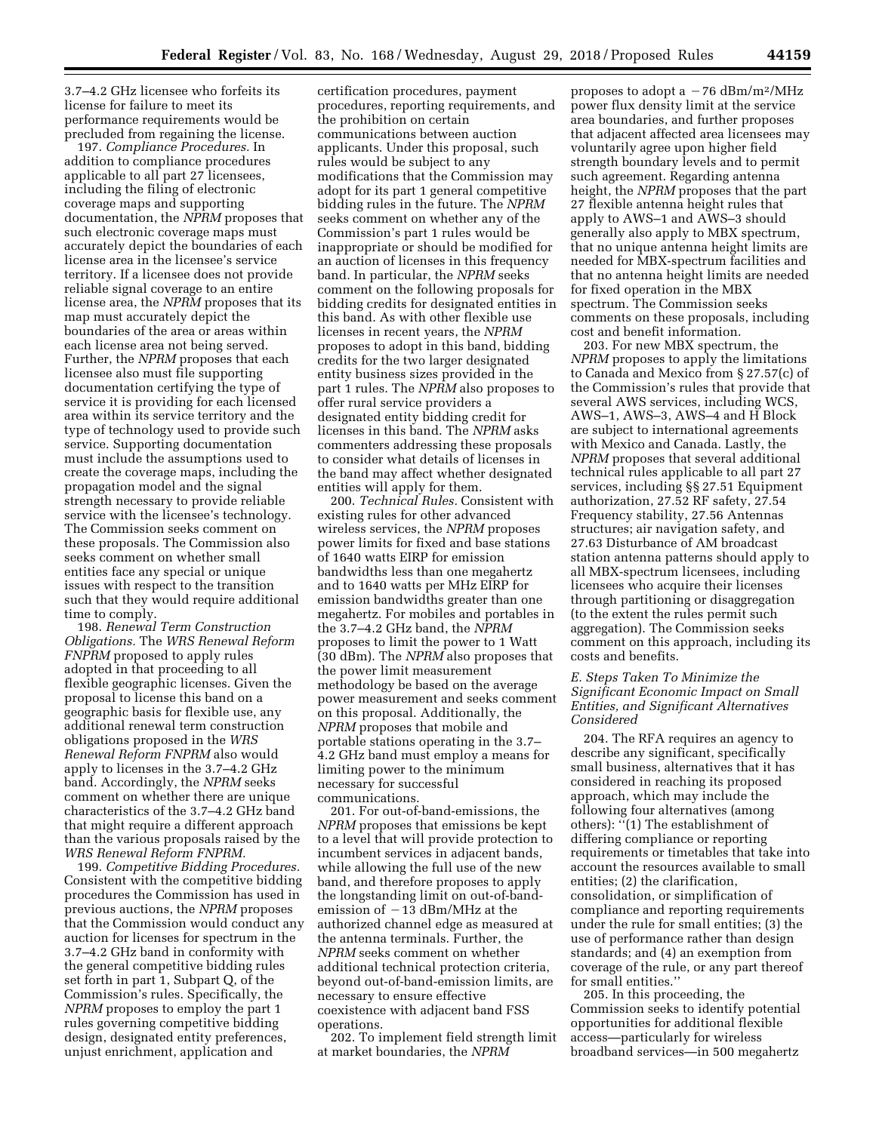3.7–4.2 GHz licensee who forfeits its license for failure to meet its performance requirements would be precluded from regaining the license.

197. *Compliance Procedures.* In addition to compliance procedures applicable to all part 27 licensees, including the filing of electronic coverage maps and supporting documentation, the *NPRM* proposes that such electronic coverage maps must accurately depict the boundaries of each license area in the licensee's service territory. If a licensee does not provide reliable signal coverage to an entire license area, the *NPRM* proposes that its map must accurately depict the boundaries of the area or areas within each license area not being served. Further, the *NPRM* proposes that each licensee also must file supporting documentation certifying the type of service it is providing for each licensed area within its service territory and the type of technology used to provide such service. Supporting documentation must include the assumptions used to create the coverage maps, including the propagation model and the signal strength necessary to provide reliable service with the licensee's technology. The Commission seeks comment on these proposals. The Commission also seeks comment on whether small entities face any special or unique issues with respect to the transition such that they would require additional time to comply.

198. *Renewal Term Construction Obligations.* The *WRS Renewal Reform FNPRM* proposed to apply rules adopted in that proceeding to all flexible geographic licenses. Given the proposal to license this band on a geographic basis for flexible use, any additional renewal term construction obligations proposed in the *WRS Renewal Reform FNPRM* also would apply to licenses in the 3.7–4.2 GHz band. Accordingly, the *NPRM* seeks comment on whether there are unique characteristics of the 3.7–4.2 GHz band that might require a different approach than the various proposals raised by the *WRS Renewal Reform FNPRM.* 

199. *Competitive Bidding Procedures.*  Consistent with the competitive bidding procedures the Commission has used in previous auctions, the *NPRM* proposes that the Commission would conduct any auction for licenses for spectrum in the 3.7–4.2 GHz band in conformity with the general competitive bidding rules set forth in part 1, Subpart Q, of the Commission's rules. Specifically, the *NPRM* proposes to employ the part 1 rules governing competitive bidding design, designated entity preferences, unjust enrichment, application and

certification procedures, payment procedures, reporting requirements, and the prohibition on certain communications between auction applicants. Under this proposal, such rules would be subject to any modifications that the Commission may adopt for its part 1 general competitive bidding rules in the future. The *NPRM*  seeks comment on whether any of the Commission's part 1 rules would be inappropriate or should be modified for an auction of licenses in this frequency band. In particular, the *NPRM* seeks comment on the following proposals for bidding credits for designated entities in this band. As with other flexible use licenses in recent years, the *NPRM*  proposes to adopt in this band, bidding credits for the two larger designated entity business sizes provided in the part 1 rules. The *NPRM* also proposes to offer rural service providers a designated entity bidding credit for licenses in this band. The *NPRM* asks commenters addressing these proposals to consider what details of licenses in the band may affect whether designated entities will apply for them.

200. *Technical Rules.* Consistent with existing rules for other advanced wireless services, the *NPRM* proposes power limits for fixed and base stations of 1640 watts EIRP for emission bandwidths less than one megahertz and to 1640 watts per MHz EIRP for emission bandwidths greater than one megahertz. For mobiles and portables in the 3.7–4.2 GHz band, the *NPRM*  proposes to limit the power to 1 Watt (30 dBm). The *NPRM* also proposes that the power limit measurement methodology be based on the average power measurement and seeks comment on this proposal. Additionally, the *NPRM* proposes that mobile and portable stations operating in the 3.7– 4.2 GHz band must employ a means for limiting power to the minimum necessary for successful communications.

201. For out-of-band-emissions, the *NPRM* proposes that emissions be kept to a level that will provide protection to incumbent services in adjacent bands, while allowing the full use of the new band, and therefore proposes to apply the longstanding limit on out-of-bandemission of  $-1\bar{3}$  dBm/MHz at the authorized channel edge as measured at the antenna terminals. Further, the *NPRM* seeks comment on whether additional technical protection criteria, beyond out-of-band-emission limits, are necessary to ensure effective coexistence with adjacent band FSS operations.

202. To implement field strength limit at market boundaries, the *NPRM* 

proposes to adopt a  $-76$  dBm/m<sup>2</sup>/MHz power flux density limit at the service area boundaries, and further proposes that adjacent affected area licensees may voluntarily agree upon higher field strength boundary levels and to permit such agreement. Regarding antenna height, the *NPRM* proposes that the part 27 flexible antenna height rules that apply to AWS–1 and AWS–3 should generally also apply to MBX spectrum, that no unique antenna height limits are needed for MBX-spectrum facilities and that no antenna height limits are needed for fixed operation in the MBX spectrum. The Commission seeks comments on these proposals, including cost and benefit information.

203. For new MBX spectrum, the *NPRM* proposes to apply the limitations to Canada and Mexico from § 27.57(c) of the Commission's rules that provide that several AWS services, including WCS, AWS–1, AWS–3, AWS–4 and H Block are subject to international agreements with Mexico and Canada. Lastly, the *NPRM* proposes that several additional technical rules applicable to all part 27 services, including §§ 27.51 Equipment authorization, 27.52 RF safety, 27.54 Frequency stability, 27.56 Antennas structures; air navigation safety, and 27.63 Disturbance of AM broadcast station antenna patterns should apply to all MBX-spectrum licensees, including licensees who acquire their licenses through partitioning or disaggregation (to the extent the rules permit such aggregation). The Commission seeks comment on this approach, including its costs and benefits.

## *E. Steps Taken To Minimize the Significant Economic Impact on Small Entities, and Significant Alternatives Considered*

204. The RFA requires an agency to describe any significant, specifically small business, alternatives that it has considered in reaching its proposed approach, which may include the following four alternatives (among others): ''(1) The establishment of differing compliance or reporting requirements or timetables that take into account the resources available to small entities; (2) the clarification, consolidation, or simplification of compliance and reporting requirements under the rule for small entities; (3) the use of performance rather than design standards; and (4) an exemption from coverage of the rule, or any part thereof for small entities.''

205. In this proceeding, the Commission seeks to identify potential opportunities for additional flexible access—particularly for wireless broadband services—in 500 megahertz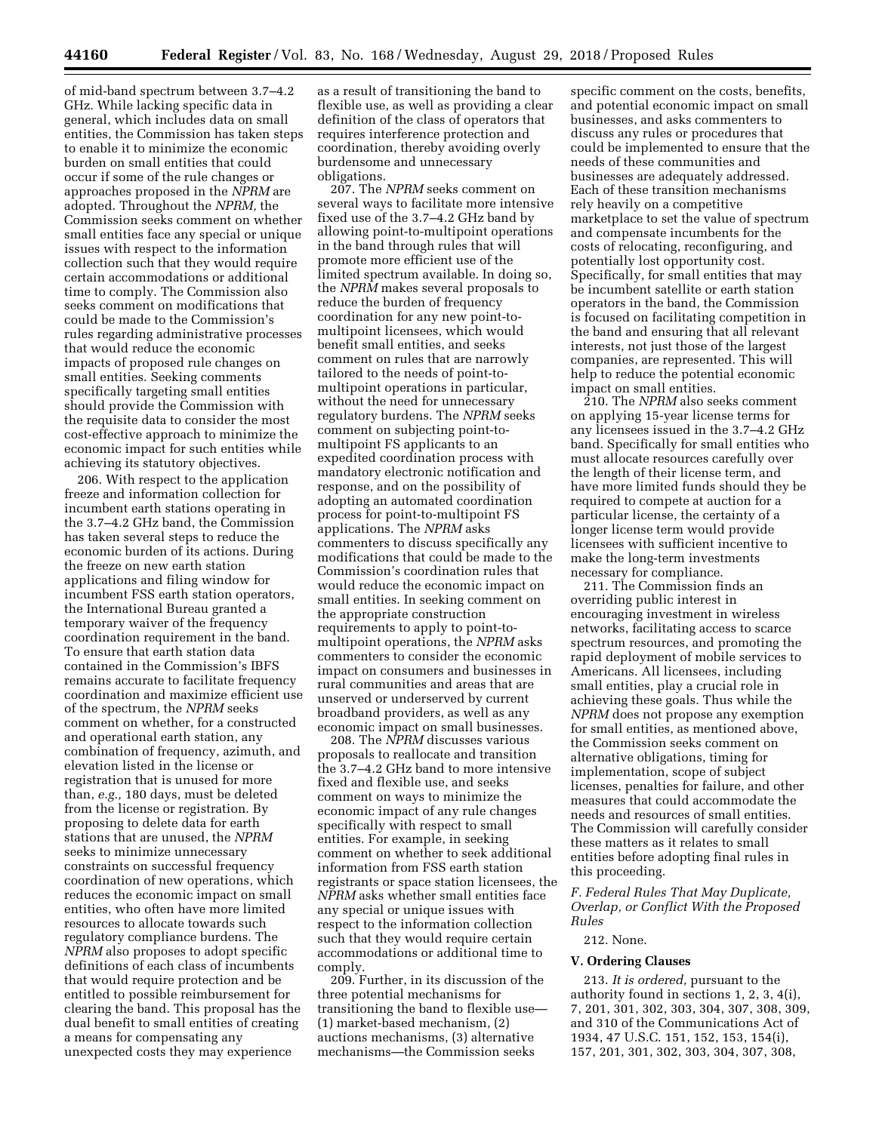of mid-band spectrum between 3.7–4.2 GHz. While lacking specific data in general, which includes data on small entities, the Commission has taken steps to enable it to minimize the economic burden on small entities that could occur if some of the rule changes or approaches proposed in the *NPRM* are adopted. Throughout the *NPRM,* the Commission seeks comment on whether small entities face any special or unique issues with respect to the information collection such that they would require certain accommodations or additional time to comply. The Commission also seeks comment on modifications that could be made to the Commission's rules regarding administrative processes that would reduce the economic impacts of proposed rule changes on small entities. Seeking comments specifically targeting small entities should provide the Commission with the requisite data to consider the most cost-effective approach to minimize the economic impact for such entities while achieving its statutory objectives.

206. With respect to the application freeze and information collection for incumbent earth stations operating in the 3.7–4.2 GHz band, the Commission has taken several steps to reduce the economic burden of its actions. During the freeze on new earth station applications and filing window for incumbent FSS earth station operators, the International Bureau granted a temporary waiver of the frequency coordination requirement in the band. To ensure that earth station data contained in the Commission's IBFS remains accurate to facilitate frequency coordination and maximize efficient use of the spectrum, the *NPRM* seeks comment on whether, for a constructed and operational earth station, any combination of frequency, azimuth, and elevation listed in the license or registration that is unused for more than, *e.g.,* 180 days, must be deleted from the license or registration. By proposing to delete data for earth stations that are unused, the *NPRM*  seeks to minimize unnecessary constraints on successful frequency coordination of new operations, which reduces the economic impact on small entities, who often have more limited resources to allocate towards such regulatory compliance burdens. The *NPRM* also proposes to adopt specific definitions of each class of incumbents that would require protection and be entitled to possible reimbursement for clearing the band. This proposal has the dual benefit to small entities of creating a means for compensating any unexpected costs they may experience

as a result of transitioning the band to flexible use, as well as providing a clear definition of the class of operators that requires interference protection and coordination, thereby avoiding overly burdensome and unnecessary obligations.

207. The *NPRM* seeks comment on several ways to facilitate more intensive fixed use of the 3.7–4.2 GHz band by allowing point-to-multipoint operations in the band through rules that will promote more efficient use of the limited spectrum available. In doing so, the *NPRM* makes several proposals to reduce the burden of frequency coordination for any new point-tomultipoint licensees, which would benefit small entities, and seeks comment on rules that are narrowly tailored to the needs of point-tomultipoint operations in particular, without the need for unnecessary regulatory burdens. The *NPRM* seeks comment on subjecting point-tomultipoint FS applicants to an expedited coordination process with mandatory electronic notification and response, and on the possibility of adopting an automated coordination process for point-to-multipoint FS applications. The *NPRM* asks commenters to discuss specifically any modifications that could be made to the Commission's coordination rules that would reduce the economic impact on small entities. In seeking comment on the appropriate construction requirements to apply to point-tomultipoint operations, the *NPRM* asks commenters to consider the economic impact on consumers and businesses in rural communities and areas that are unserved or underserved by current broadband providers, as well as any economic impact on small businesses.

208. The *NPRM* discusses various proposals to reallocate and transition the 3.7–4.2 GHz band to more intensive fixed and flexible use, and seeks comment on ways to minimize the economic impact of any rule changes specifically with respect to small entities. For example, in seeking comment on whether to seek additional information from FSS earth station registrants or space station licensees, the *NPRM* asks whether small entities face any special or unique issues with respect to the information collection such that they would require certain accommodations or additional time to comply.

209. Further, in its discussion of the three potential mechanisms for transitioning the band to flexible use— (1) market-based mechanism, (2) auctions mechanisms, (3) alternative mechanisms—the Commission seeks

specific comment on the costs, benefits, and potential economic impact on small businesses, and asks commenters to discuss any rules or procedures that could be implemented to ensure that the needs of these communities and businesses are adequately addressed. Each of these transition mechanisms rely heavily on a competitive marketplace to set the value of spectrum and compensate incumbents for the costs of relocating, reconfiguring, and potentially lost opportunity cost. Specifically, for small entities that may be incumbent satellite or earth station operators in the band, the Commission is focused on facilitating competition in the band and ensuring that all relevant interests, not just those of the largest companies, are represented. This will help to reduce the potential economic impact on small entities.

210. The *NPRM* also seeks comment on applying 15-year license terms for any licensees issued in the 3.7–4.2 GHz band. Specifically for small entities who must allocate resources carefully over the length of their license term, and have more limited funds should they be required to compete at auction for a particular license, the certainty of a longer license term would provide licensees with sufficient incentive to make the long-term investments necessary for compliance.

211. The Commission finds an overriding public interest in encouraging investment in wireless networks, facilitating access to scarce spectrum resources, and promoting the rapid deployment of mobile services to Americans. All licensees, including small entities, play a crucial role in achieving these goals. Thus while the *NPRM* does not propose any exemption for small entities, as mentioned above, the Commission seeks comment on alternative obligations, timing for implementation, scope of subject licenses, penalties for failure, and other measures that could accommodate the needs and resources of small entities. The Commission will carefully consider these matters as it relates to small entities before adopting final rules in this proceeding.

*F. Federal Rules That May Duplicate, Overlap, or Conflict With the Proposed Rules* 

#### 212. None.

#### **V. Ordering Clauses**

213. *It is ordered,* pursuant to the authority found in sections 1, 2, 3, 4(i), 7, 201, 301, 302, 303, 304, 307, 308, 309, and 310 of the Communications Act of 1934, 47 U.S.C. 151, 152, 153, 154(i), 157, 201, 301, 302, 303, 304, 307, 308,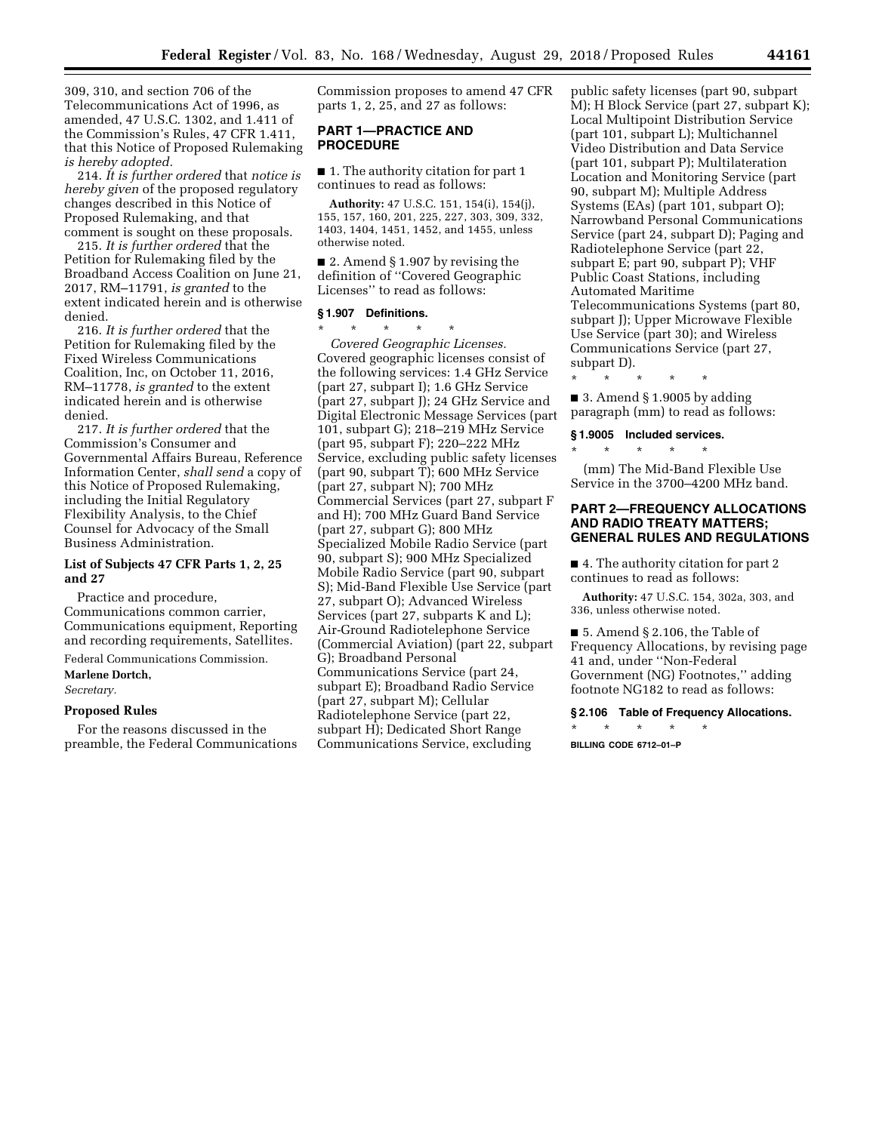309, 310, and section 706 of the Telecommunications Act of 1996, as amended, 47 U.S.C. 1302, and 1.411 of the Commission's Rules, 47 CFR 1.411, that this Notice of Proposed Rulemaking *is hereby adopted.* 

214. *It is further ordered* that *notice is hereby given* of the proposed regulatory changes described in this Notice of Proposed Rulemaking, and that comment is sought on these proposals.

215. *It is further ordered* that the Petition for Rulemaking filed by the Broadband Access Coalition on June 21, 2017, RM–11791, *is granted* to the extent indicated herein and is otherwise denied.

216. *It is further ordered* that the Petition for Rulemaking filed by the Fixed Wireless Communications Coalition, Inc, on October 11, 2016, RM–11778, *is granted* to the extent indicated herein and is otherwise denied.

217. *It is further ordered* that the Commission's Consumer and Governmental Affairs Bureau, Reference Information Center, *shall send* a copy of this Notice of Proposed Rulemaking, including the Initial Regulatory Flexibility Analysis, to the Chief Counsel for Advocacy of the Small Business Administration.

## **List of Subjects 47 CFR Parts 1, 2, 25 and 27**

Practice and procedure, Communications common carrier, Communications equipment, Reporting and recording requirements, Satellites.

Federal Communications Commission. **Marlene Dortch,** 

*Secretary.* 

#### **Proposed Rules**

For the reasons discussed in the preamble, the Federal Communications Commission proposes to amend 47 CFR parts 1, 2, 25, and 27 as follows:

## **PART 1—PRACTICE AND PROCEDURE**

■ 1. The authority citation for part 1 continues to read as follows:

**Authority:** 47 U.S.C. 151, 154(i), 154(j), 155, 157, 160, 201, 225, 227, 303, 309, 332, 1403, 1404, 1451, 1452, and 1455, unless otherwise noted.

■ 2. Amend § 1.907 by revising the definition of ''Covered Geographic Licenses'' to read as follows:

#### **§ 1.907 Definitions.**

\* \* \* \* \* *Covered Geographic Licenses.*  Covered geographic licenses consist of the following services: 1.4 GHz Service (part 27, subpart I); 1.6 GHz Service (part 27, subpart J); 24 GHz Service and Digital Electronic Message Services (part 101, subpart G); 218–219 MHz Service (part 95, subpart F); 220–222 MHz Service, excluding public safety licenses (part 90, subpart  $\overline{T}$ ); 600 MHz Service (part 27, subpart N); 700 MHz Commercial Services (part 27, subpart F and H); 700 MHz Guard Band Service (part 27, subpart G); 800 MHz Specialized Mobile Radio Service (part 90, subpart S); 900 MHz Specialized Mobile Radio Service (part 90, subpart S); Mid-Band Flexible Use Service (part 27, subpart O); Advanced Wireless Services (part 27, subparts K and L); Air-Ground Radiotelephone Service (Commercial Aviation) (part 22, subpart G); Broadband Personal Communications Service (part 24, subpart E); Broadband Radio Service (part 27, subpart M); Cellular Radiotelephone Service (part 22, subpart H); Dedicated Short Range Communications Service, excluding

public safety licenses (part 90, subpart M); H Block Service (part 27, subpart K); Local Multipoint Distribution Service (part 101, subpart L); Multichannel Video Distribution and Data Service (part 101, subpart P); Multilateration Location and Monitoring Service (part 90, subpart M); Multiple Address Systems (EAs) (part 101, subpart O); Narrowband Personal Communications Service (part 24, subpart D); Paging and Radiotelephone Service (part 22, subpart E; part 90, subpart P); VHF Public Coast Stations, including Automated Maritime Telecommunications Systems (part 80, subpart J); Upper Microwave Flexible Use Service (part 30); and Wireless Communications Service (part 27, subpart D).

 $\blacksquare$  3. Amend § 1.9005 by adding paragraph (mm) to read as follows:

# **§ 1.9005 Included services.**  \* \* \* \* \*

\* \* \* \* \*

(mm) The Mid-Band Flexible Use Service in the 3700–4200 MHz band.

## **PART 2—FREQUENCY ALLOCATIONS AND RADIO TREATY MATTERS; GENERAL RULES AND REGULATIONS**

■ 4. The authority citation for part 2 continues to read as follows:

**Authority:** 47 U.S.C. 154, 302a, 303, and 336, unless otherwise noted.

■ 5. Amend § 2.106, the Table of Frequency Allocations, by revising page 41 and, under ''Non-Federal Government (NG) Footnotes,'' adding footnote NG182 to read as follows:

#### **§ 2.106 Table of Frequency Allocations.**

\* \* \* \* \* **BILLING CODE 6712–01–P**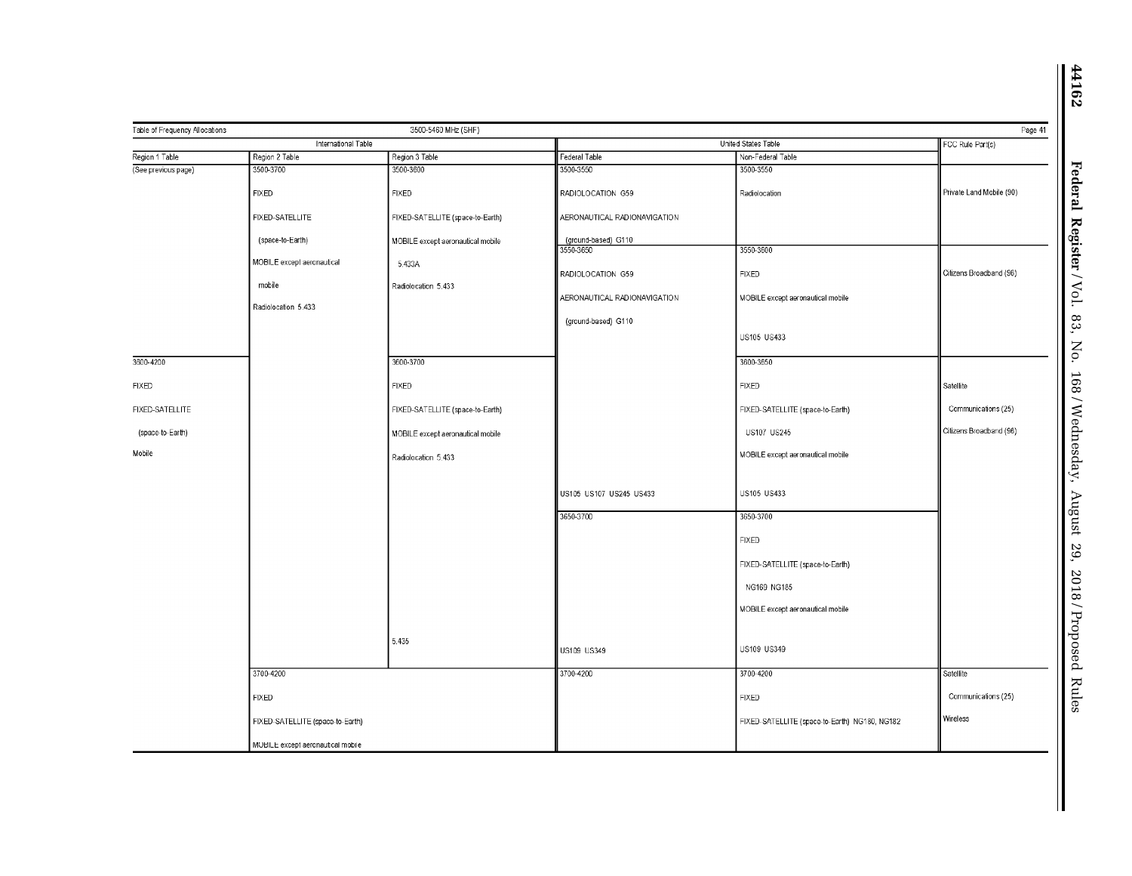|                     | 3500-5460 MHz (SHF)<br>Table of Frequency Allocations<br>International Table |                                   |                                  | United States Table                           |                          |
|---------------------|------------------------------------------------------------------------------|-----------------------------------|----------------------------------|-----------------------------------------------|--------------------------|
| Region 1 Table      | Region 2 Table                                                               | Region 3 Table                    | Federal Table                    | Non-Federal Table                             | FCC Rule Part(s)         |
| (See previous page) | 3500-3700                                                                    | 3500-3600                         | 3500-3550                        | 3500-3550                                     |                          |
|                     | <b>FIXED</b>                                                                 | <b>FIXED</b>                      | RADIOLOCATION G59                | Radiolocation                                 | Private Land Mobile (90) |
|                     | FIXED-SATELLITE                                                              | FIXED-SATELLITE (space-to-Earth)  | AERONAUTICAL RADIONAVIGATION     |                                               |                          |
|                     | (space-to-Earth)                                                             | MOBILE except aeronautical mobile | (ground-based) G110<br>3550-3650 | 3550-3600                                     |                          |
|                     | MOBILE except aeronautical<br>mobile                                         | 5.433A                            | RADIOLOCATION G59                | <b>FIXED</b>                                  | Citizens Broadband (96)  |
|                     | Radiolocation 5.433                                                          | Radiolocation 5.433               | AERONAUTICAL RADIONAVIGATION     | MOBILE except aeronautical mobile             |                          |
|                     |                                                                              |                                   | (ground-based) G110              |                                               |                          |
|                     |                                                                              |                                   |                                  | US105 US433                                   |                          |
| 3600-4200           |                                                                              | 3600-3700                         |                                  | 3600-3650                                     |                          |
| <b>FIXED</b>        |                                                                              | <b>FIXED</b>                      |                                  | <b>FIXED</b>                                  | Satellite                |
| FIXED-SATELLITE     |                                                                              | FIXED-SATELLITE (space-to-Earth)  |                                  | FIXED-SATELLITE (space-to-Earth)              | Communications (25)      |
| (space-to-Earth)    |                                                                              | MOBILE except aeronautical mobile |                                  | US107 US245                                   | Citizens Broadband (96)  |
| Mobile              |                                                                              | Radiolocation 5.433               |                                  | MOBILE except aeronautical mobile             |                          |
|                     |                                                                              |                                   | US105 US107 US245 US433          | US105 US433                                   |                          |
|                     |                                                                              |                                   | 3650-3700                        | 3650-3700                                     |                          |
|                     |                                                                              |                                   |                                  | <b>FIXED</b>                                  |                          |
|                     |                                                                              |                                   |                                  | FIXED-SATELLITE (space-to-Earth)              |                          |
|                     |                                                                              |                                   |                                  | NG169 NG185                                   |                          |
|                     |                                                                              |                                   |                                  | MOBILE except aeronautical mobile             |                          |
|                     |                                                                              | 5.435                             | US109 US349                      | US109 US349                                   |                          |
|                     | 3700-4200                                                                    |                                   | 3700-4200                        | 3700-4200                                     | Satellite                |
|                     | <b>FIXED</b>                                                                 |                                   |                                  | <b>FIXED</b>                                  | Communications (25)      |
|                     | FIXED-SATELLITE (space-to-Earth)                                             |                                   |                                  | FIXED-SATELLITE (space-to-Earth) NG180, NG182 | Wireless                 |
|                     | MOBILE except aeronautical mobile                                            |                                   |                                  |                                               |                          |

 $\mathbf \mathbf I$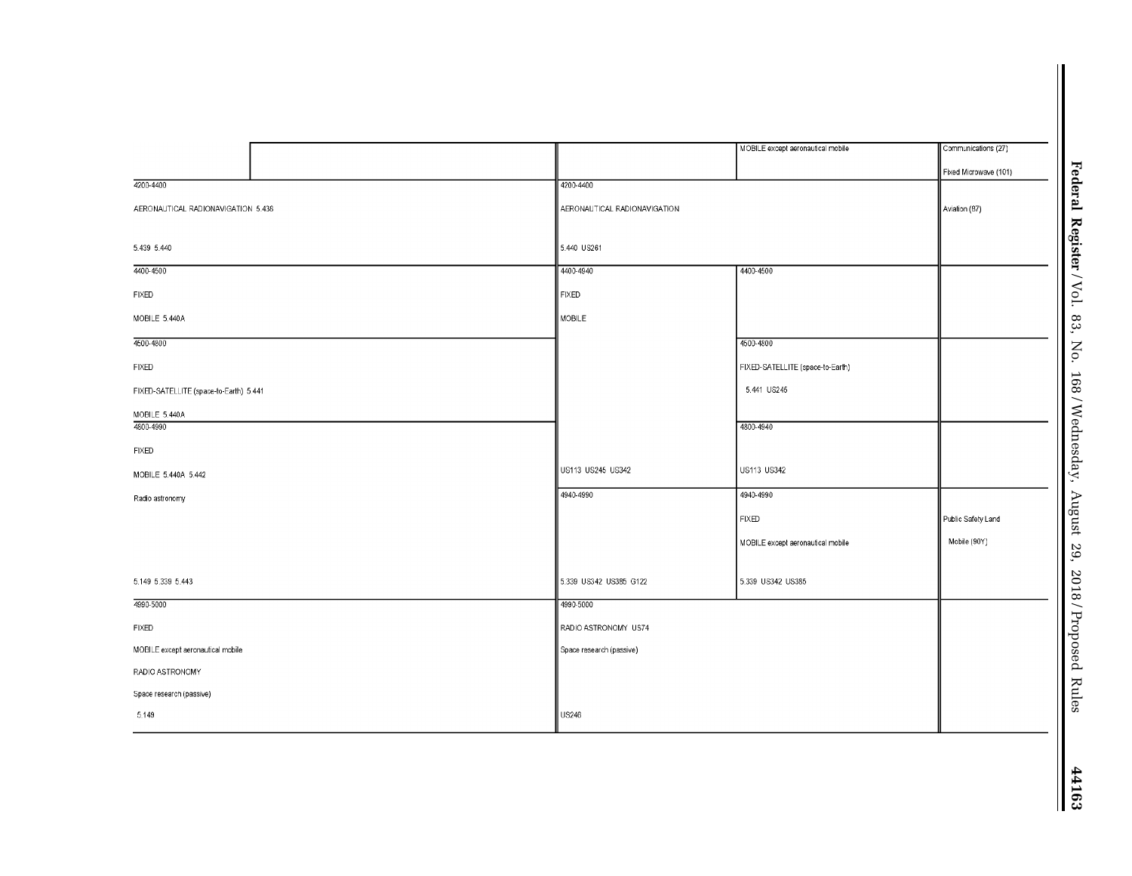|                                        |                              | MOBILE except aeronautical mobile | Communications (27)                                 |
|----------------------------------------|------------------------------|-----------------------------------|-----------------------------------------------------|
|                                        |                              |                                   | Federal Register / $Vol$ .<br>Fixed Microwave (101) |
| 4200-4400                              | 4200-4400                    |                                   |                                                     |
| AERONAUTICAL RADIONAVIGATION 5.438     | AERONAUTICAL RADIONAVIGATION |                                   | Aviation (87)                                       |
|                                        |                              |                                   |                                                     |
| 5.439 5.440                            | 5.440 US261                  |                                   |                                                     |
| 4400-4500                              | 4400-4940                    | 4400-4500                         |                                                     |
| <b>FIXED</b>                           | <b>FIXED</b>                 |                                   |                                                     |
| MOBILE 5.440A                          | MOBILE                       |                                   | 83,                                                 |
| 4500-4800                              |                              | 4500-4800                         | No.                                                 |
| <b>FIXED</b>                           |                              | FIXED-SATELLITE (space-to-Earth)  |                                                     |
| FIXED-SATELLITE (space-to-Earth) 5.441 |                              | 5.441 US245                       |                                                     |
| MOBILE 5.440A                          |                              |                                   |                                                     |
| 4800-4990                              |                              | 4800-4940                         |                                                     |
| FIXED                                  |                              |                                   |                                                     |
| MOBILE 5.440A 5.442                    | US113 US245 US342            | US113 US342                       | 168/Wednesday,                                      |
| Radio astronomy                        | 4940-4990<br>4940-4990       |                                   |                                                     |
|                                        |                              | <b>FIXED</b>                      | August 29,<br>Public Safety Land                    |
|                                        |                              | MOBILE except aeronautical mobile | Mobile (90Y)                                        |
|                                        |                              |                                   |                                                     |
| 5.149 5.339 5.443                      | 5.339 US342 US385 G122       | 5.339 US342 US385                 | 2018/Proposed Rules                                 |
| 4990-5000                              | 4990-5000                    |                                   |                                                     |
| <b>FIXED</b>                           | RADIO ASTRONOMY US74         |                                   |                                                     |
| MOBILE except aeronautical mobile      | Space research (passive)     |                                   |                                                     |
| RADIO ASTRONOMY                        |                              |                                   |                                                     |
| Space research (passive)               |                              |                                   |                                                     |
| 5.149                                  | <b>US246</b>                 |                                   |                                                     |
|                                        |                              |                                   |                                                     |
|                                        |                              |                                   |                                                     |
|                                        |                              |                                   |                                                     |
|                                        |                              |                                   | 44163                                               |
|                                        |                              |                                   |                                                     |

 $MOBLE$  5.440A

MOBILE 5.440A 5.442

RADIO ASTRONOMY Space research (passive)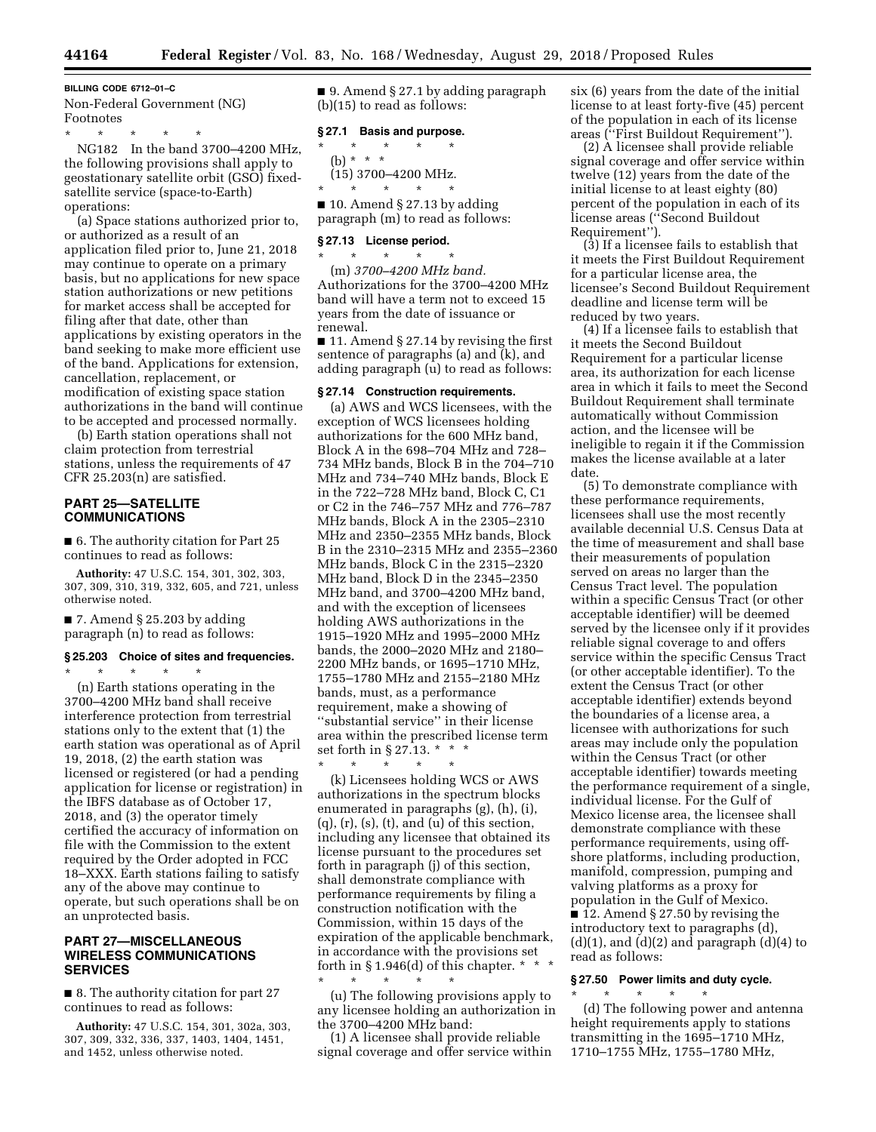#### **BILLING CODE 6712–01–C**

Non-Federal Government (NG) Footnotes

\* \* \* \* \* NG182 In the band 3700–4200 MHz, the following provisions shall apply to geostationary satellite orbit (GSO) fixedsatellite service (space-to-Earth) operations:

(a) Space stations authorized prior to, or authorized as a result of an application filed prior to, June 21, 2018 may continue to operate on a primary basis, but no applications for new space station authorizations or new petitions for market access shall be accepted for filing after that date, other than applications by existing operators in the band seeking to make more efficient use of the band. Applications for extension, cancellation, replacement, or modification of existing space station authorizations in the band will continue to be accepted and processed normally.

(b) Earth station operations shall not claim protection from terrestrial stations, unless the requirements of 47 CFR 25.203(n) are satisfied.

## **PART 25—SATELLITE COMMUNICATIONS**

■ 6. The authority citation for Part 25 continues to read as follows:

**Authority:** 47 U.S.C. 154, 301, 302, 303, 307, 309, 310, 319, 332, 605, and 721, unless otherwise noted.

 $\blacksquare$  7. Amend § 25.203 by adding paragraph (n) to read as follows:

\* \* \* \* \*

#### **§ 25.203 Choice of sites and frequencies.**

(n) Earth stations operating in the 3700–4200 MHz band shall receive interference protection from terrestrial stations only to the extent that (1) the earth station was operational as of April 19, 2018, (2) the earth station was licensed or registered (or had a pending application for license or registration) in the IBFS database as of October 17, 2018, and (3) the operator timely certified the accuracy of information on file with the Commission to the extent required by the Order adopted in FCC 18–XXX. Earth stations failing to satisfy any of the above may continue to operate, but such operations shall be on an unprotected basis.

## **PART 27—MISCELLANEOUS WIRELESS COMMUNICATIONS SERVICES**

■ 8. The authority citation for part 27 continues to read as follows:

**Authority:** 47 U.S.C. 154, 301, 302a, 303, 307, 309, 332, 336, 337, 1403, 1404, 1451, and 1452, unless otherwise noted.

■ 9. Amend § 27.1 by adding paragraph (b)(15) to read as follows:

#### **§ 27.1 Basis and purpose.**

 $\star$   $\star$   $\star$ (b) \* \* \* (15) 3700–4200 MHz. \* \* \* \* \*

■ 10. Amend § 27.13 by adding paragraph (m) to read as follows:

## **§ 27.13 License period.**

 $\star$   $\qquad$   $\star$   $\qquad$   $\star$ (m) *3700–4200 MHz band.*  Authorizations for the 3700–4200 MHz band will have a term not to exceed 15 years from the date of issuance or renewal.

■ 11. Amend § 27.14 by revising the first sentence of paragraphs (a) and (k), and adding paragraph (u) to read as follows:

## **§ 27.14 Construction requirements.**

(a) AWS and WCS licensees, with the exception of WCS licensees holding authorizations for the 600 MHz band, Block A in the 698–704 MHz and 728– 734 MHz bands, Block B in the 704–710 MHz and 734–740 MHz bands, Block E in the 722–728 MHz band, Block C, C1 or C2 in the 746–757 MHz and 776–787 MHz bands, Block A in the 2305–2310 MHz and 2350–2355 MHz bands, Block B in the 2310–2315 MHz and 2355–2360 MHz bands, Block C in the 2315–2320 MHz band, Block D in the 2345–2350 MHz band, and 3700–4200 MHz band, and with the exception of licensees holding AWS authorizations in the 1915–1920 MHz and 1995–2000 MHz bands, the 2000–2020 MHz and 2180– 2200 MHz bands, or 1695–1710 MHz, 1755–1780 MHz and 2155–2180 MHz bands, must, as a performance requirement, make a showing of ''substantial service'' in their license area within the prescribed license term set forth in § 27.13. \* \* \*  $\star$   $\star$   $\star$   $\star$ 

(k) Licensees holding WCS or AWS authorizations in the spectrum blocks enumerated in paragraphs (g), (h), (i),  $(q)$ ,  $(r)$ ,  $(s)$ ,  $(t)$ , and  $(u)$  of this section, including any licensee that obtained its license pursuant to the procedures set forth in paragraph (j) of this section, shall demonstrate compliance with performance requirements by filing a construction notification with the Commission, within 15 days of the expiration of the applicable benchmark, in accordance with the provisions set forth in §1.946(d) of this chapter.  $* * *$ 

\* \* \* \* \* (u) The following provisions apply to any licensee holding an authorization in the 3700–4200 MHz band:

(1) A licensee shall provide reliable signal coverage and offer service within six (6) years from the date of the initial license to at least forty-five (45) percent of the population in each of its license areas (''First Buildout Requirement'').

(2) A licensee shall provide reliable signal coverage and offer service within twelve (12) years from the date of the initial license to at least eighty (80) percent of the population in each of its license areas (''Second Buildout Requirement'').

(3) If a licensee fails to establish that it meets the First Buildout Requirement for a particular license area, the licensee's Second Buildout Requirement deadline and license term will be reduced by two years.

(4) If a licensee fails to establish that it meets the Second Buildout Requirement for a particular license area, its authorization for each license area in which it fails to meet the Second Buildout Requirement shall terminate automatically without Commission action, and the licensee will be ineligible to regain it if the Commission makes the license available at a later date.

(5) To demonstrate compliance with these performance requirements, licensees shall use the most recently available decennial U.S. Census Data at the time of measurement and shall base their measurements of population served on areas no larger than the Census Tract level. The population within a specific Census Tract (or other acceptable identifier) will be deemed served by the licensee only if it provides reliable signal coverage to and offers service within the specific Census Tract (or other acceptable identifier). To the extent the Census Tract (or other acceptable identifier) extends beyond the boundaries of a license area, a licensee with authorizations for such areas may include only the population within the Census Tract (or other acceptable identifier) towards meeting the performance requirement of a single, individual license. For the Gulf of Mexico license area, the licensee shall demonstrate compliance with these performance requirements, using offshore platforms, including production, manifold, compression, pumping and valving platforms as a proxy for population in the Gulf of Mexico.

■ 12. Amend § 27.50 by revising the introductory text to paragraphs (d),  $(d)(1)$ , and  $(d)(2)$  and paragraph  $(d)(4)$  to read as follows:

## **§ 27.50 Power limits and duty cycle.**

\* \* \* \* \*

(d) The following power and antenna height requirements apply to stations transmitting in the 1695–1710 MHz, 1710–1755 MHz, 1755–1780 MHz,